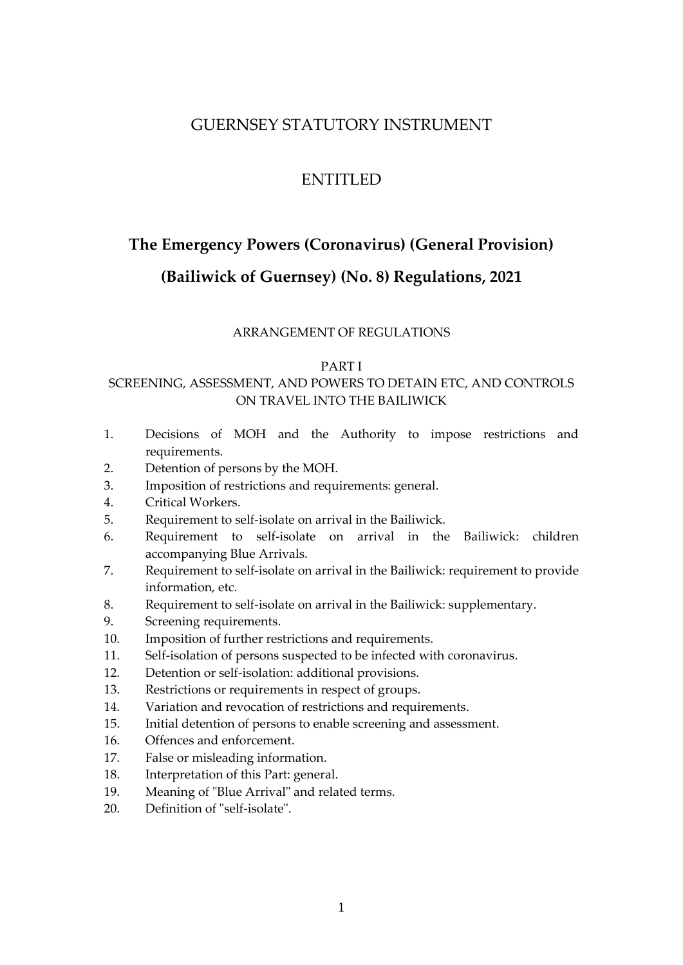## GUERNSEY STATUTORY INSTRUMENT

## ENTITLED

# <span id="page-0-0"></span>**The Emergency Powers (Coronavirus) (General Provision)**

## **(Bailiwick of Guernsey) (No. 8) Regulations, 2021**

### ARRANGEMENT OF REGULATIONS

### [PART I](#page-3-0)

### SCREENING, ASSESSMENT, AND POWERS TO DETAIN ETC, AND CONTROLS ON TRAVEL INTO THE BAILIWICK

- 1. [Decisions of MOH and the Authority to impose restrictions and](#page-4-0)  [requirements.](#page-4-0)
- 2. [Detention of persons by the MOH.](#page-4-1)
- 3. [Imposition of restrictions and requirements: general.](#page-5-0)
- 4. Critical Workers.
- 5. [Requirement to self-isolate on arrival in the Bailiwick.](#page-8-0)
- 6. [Requirement to self-isolate on arrival in the Bailiwick:](#page-8-0) children accompanying Blue Arrivals.
- 7. [Requirement to self-isolate on arrival in the Bailiwick:](#page-8-0) requirement to provide information, etc.
- 8. [Requirement to self-isolate on arrival in the Bailiwick:](#page-8-0) supplementary.
- 9. [Screening requirements.](#page-16-0)
- 10. [Imposition of further restrictions and requirements.](#page-18-0)
- 11. [Self-isolation of persons suspected to be infected with coronavirus.](#page-21-0)
- 12. [Detention or self-isolation: additional provisions.](#page-22-0)
- 13. [Restrictions or requirements in respect of groups.](#page-24-0)
- 14. [Variation and revocation of restrictions and requirements.](#page-25-0)
- 15. [Initial detention of persons to enable screening and assessment.](#page-26-0)
- 16. [Offences and enforcement.](#page-30-0)
- 17. [False or misleading information.](#page-32-0)
- 18. [Interpretation of this Part: general.](#page-34-0)
- 19. Meaning of "Blue Arrival" and related terms.
- 20. [Definition of "self-isolate".](#page-38-0)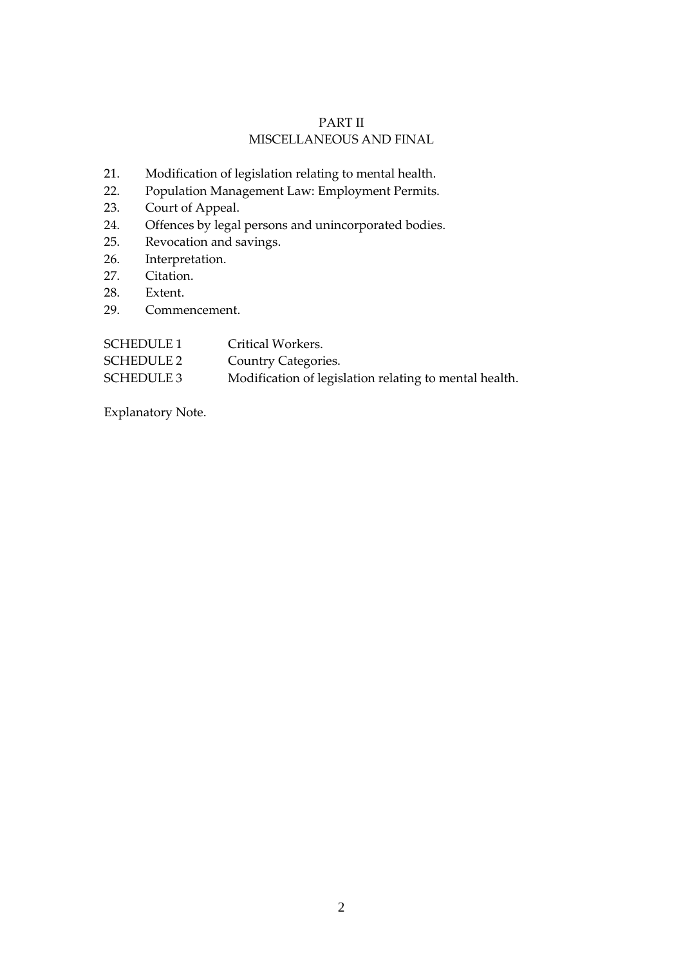### PART II MISCELLANEOUS AND FINAL

- 21. [Modification of legislation relating to mental health.](#page-40-0)
- 22. Population Management Law: Employment Permits.
- 23. [Court of Appeal.](#page-42-0)
- 24. [Offences by legal persons and unincorporated bodies.](#page-43-0)
- 25. Revocation and savings.
- 26. Interpretation.
- 27. [Citation.](#page-46-0)
- 28. [Extent.](#page-47-0)
- 29. [Commencement.](#page-47-1)

| <b>SCHEDULE 1</b> | Critical Workers.                                      |
|-------------------|--------------------------------------------------------|
| SCHEDULE 2        | <b>Country Categories.</b>                             |
| SCHEDULE 3        | Modification of legislation relating to mental health. |

[Explanatory Note.](#page-75-0)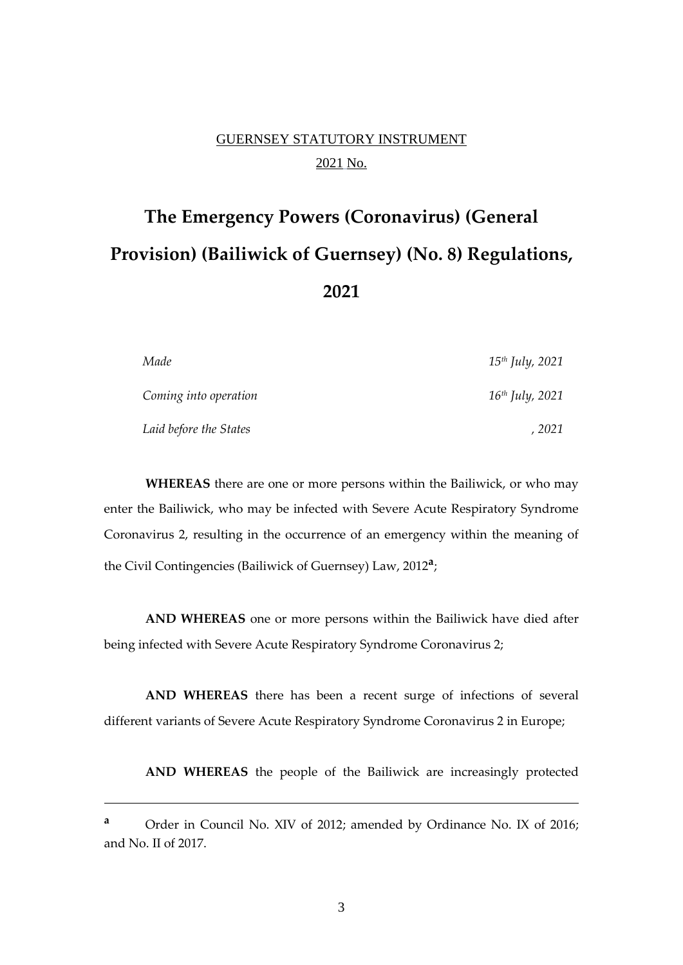# GUERNSEY STATUTORY INSTRUMENT 2021 No.

# **The [Emergency Powers \(Coronavirus\) \(General](#page-0-0)  [Provision\) \(Bailiwick of Guernsey\) \(No. 8\) Regulations,](#page-0-0)  [202](#page-0-0)1**

| Made                   | $15th$ July, 2021 |
|------------------------|-------------------|
| Coming into operation  | $16th$ July, 2021 |
| Laid before the States | 2021              |

**WHEREAS** there are one or more persons within the Bailiwick, or who may enter the Bailiwick, who may be infected with Severe Acute Respiratory Syndrome Coronavirus 2, resulting in the occurrence of an emergency within the meaning of the Civil Contingencies (Bailiwick of Guernsey) Law, 2012**<sup>a</sup>** ;

**AND WHEREAS** one or more persons within the Bailiwick have died after being infected with Severe Acute Respiratory Syndrome Coronavirus 2;

**AND WHEREAS** there has been a recent surge of infections of several different variants of Severe Acute Respiratory Syndrome Coronavirus 2 in Europe;

**AND WHEREAS** the people of the Bailiwick are increasingly protected

**<sup>a</sup>** Order in Council No. XIV of 2012; amended by Ordinance No. IX of 2016; and No. II of 2017.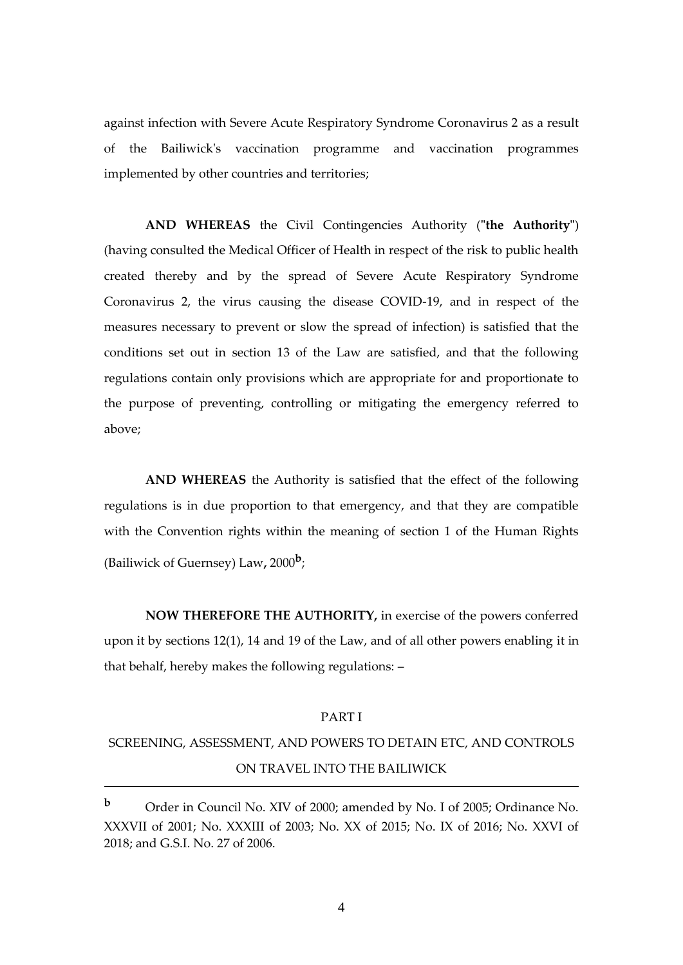against infection with Severe Acute Respiratory Syndrome Coronavirus 2 as a result of the Bailiwick's vaccination programme and vaccination programmes implemented by other countries and territories;

**AND WHEREAS** the Civil Contingencies Authority (**"the Authority"**) (having consulted the Medical Officer of Health in respect of the risk to public health created thereby and by the spread of Severe Acute Respiratory Syndrome Coronavirus 2, the virus causing the disease COVID-19, and in respect of the measures necessary to prevent or slow the spread of infection) is satisfied that the conditions set out in section 13 of the Law are satisfied, and that the following regulations contain only provisions which are appropriate for and proportionate to the purpose of preventing, controlling or mitigating the emergency referred to above;

**AND WHEREAS** the Authority is satisfied that the effect of the following regulations is in due proportion to that emergency, and that they are compatible with the Convention rights within the meaning of section 1 of the Human Rights (Bailiwick of Guernsey) Law**,** 2000**<sup>b</sup>** ;

**NOW THEREFORE THE AUTHORITY,** in exercise of the powers conferred upon it by sections 12(1), 14 and 19 of the Law, and of all other powers enabling it in that behalf, hereby makes the following regulations: –

#### PART I

# <span id="page-3-0"></span>SCREENING, ASSESSMENT, AND POWERS TO DETAIN ETC, AND CONTROLS ON TRAVEL INTO THE BAILIWICK

4

**<sup>b</sup>** Order in Council No. XIV of 2000; amended by No. I of 2005; Ordinance No. XXXVII of 2001; No. XXXIII of 2003; No. XX of 2015; No. IX of 2016; No. XXVI of 2018; and G.S.I. No. 27 of 2006.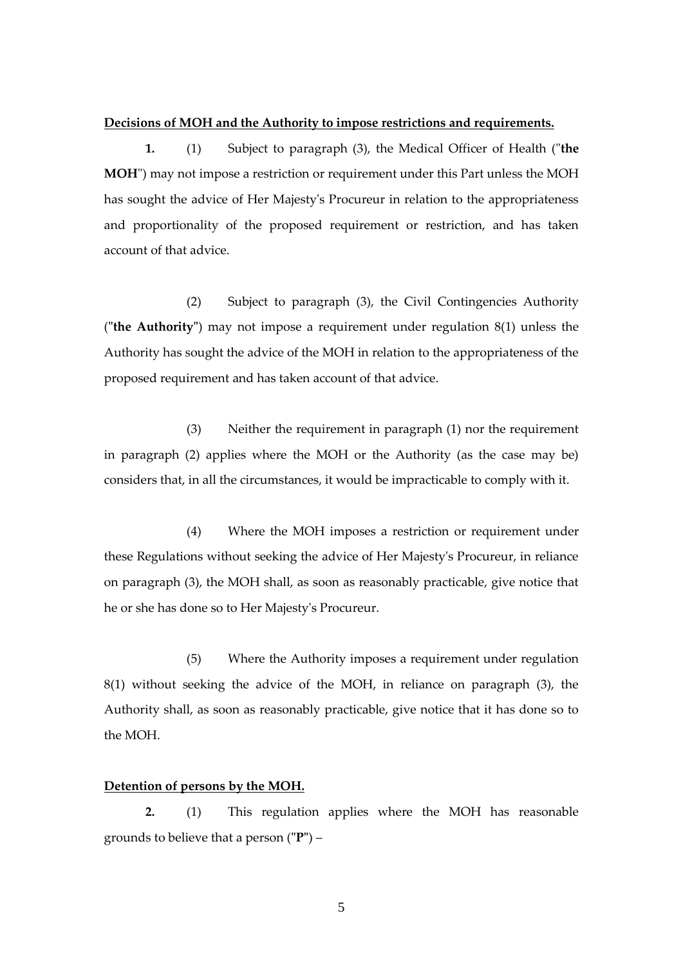#### <span id="page-4-0"></span>**Decisions of MOH and the Authority to impose restrictions and requirements.**

**1.** (1) Subject to paragraph (3), the Medical Officer of Health ("**the MOH**") may not impose a restriction or requirement under this Part unless the MOH has sought the advice of Her Majesty's Procureur in relation to the appropriateness and proportionality of the proposed requirement or restriction, and has taken account of that advice.

(2) Subject to paragraph (3), the Civil Contingencies Authority (**"the Authority"**) may not impose a requirement under regulation 8(1) unless the Authority has sought the advice of the MOH in relation to the appropriateness of the proposed requirement and has taken account of that advice.

(3) Neither the requirement in paragraph (1) nor the requirement in paragraph (2) applies where the MOH or the Authority (as the case may be) considers that, in all the circumstances, it would be impracticable to comply with it.

(4) Where the MOH imposes a restriction or requirement under these Regulations without seeking the advice of Her Majesty's Procureur, in reliance on paragraph (3), the MOH shall, as soon as reasonably practicable, give notice that he or she has done so to Her Majesty's Procureur.

(5) Where the Authority imposes a requirement under regulation 8(1) without seeking the advice of the MOH, in reliance on paragraph (3), the Authority shall, as soon as reasonably practicable, give notice that it has done so to the MOH.

### <span id="page-4-1"></span>**Detention of persons by the MOH.**

**2.** (1) This regulation applies where the MOH has reasonable grounds to believe that a person (**"P"**) –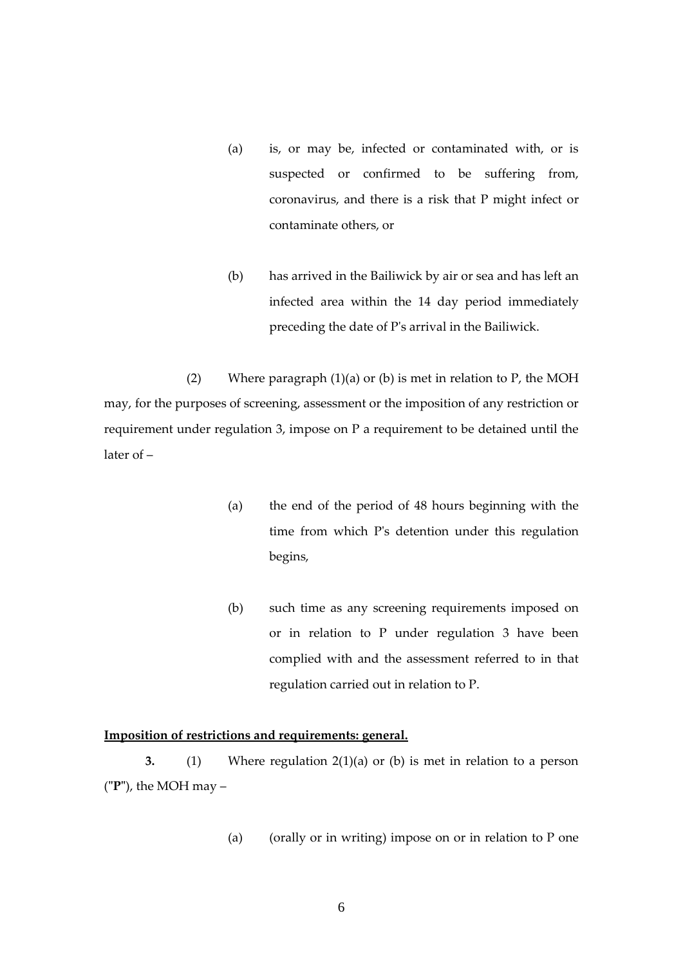- (a) is, or may be, infected or contaminated with, or is suspected or confirmed to be suffering from, coronavirus, and there is a risk that P might infect or contaminate others, or
- (b) has arrived in the Bailiwick by air or sea and has left an infected area within the 14 day period immediately preceding the date of P's arrival in the Bailiwick.

(2) Where paragraph  $(1)(a)$  or  $(b)$  is met in relation to P, the MOH may, for the purposes of screening, assessment or the imposition of any restriction or requirement under regulation 3, impose on P a requirement to be detained until the later of –

- (a) the end of the period of 48 hours beginning with the time from which P's detention under this regulation begins,
- (b) such time as any screening requirements imposed on or in relation to P under regulation 3 have been complied with and the assessment referred to in that regulation carried out in relation to P.

### <span id="page-5-0"></span>**Imposition of restrictions and requirements: general.**

**3.** (1) Where regulation 2(1)(a) or (b) is met in relation to a person (**"P"**), the MOH may –

(a) (orally or in writing) impose on or in relation to P one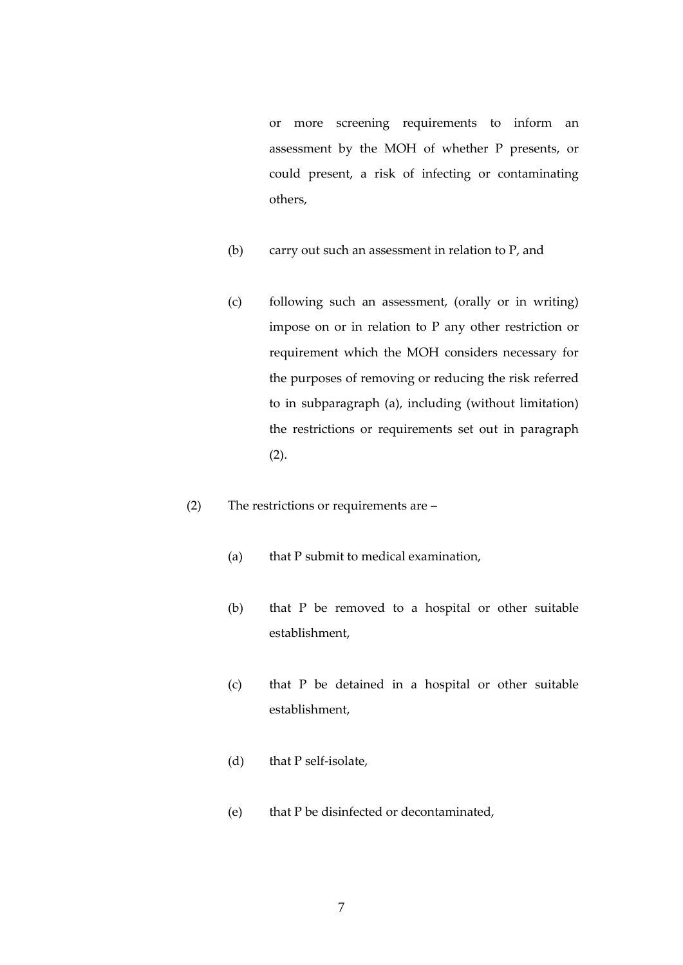or more screening requirements to inform an assessment by the MOH of whether P presents, or could present, a risk of infecting or contaminating others,

- (b) carry out such an assessment in relation to P, and
- (c) following such an assessment, (orally or in writing) impose on or in relation to P any other restriction or requirement which the MOH considers necessary for the purposes of removing or reducing the risk referred to in subparagraph (a), including (without limitation) the restrictions or requirements set out in paragraph (2).
- (2) The restrictions or requirements are
	- (a) that P submit to medical examination,
	- (b) that P be removed to a hospital or other suitable establishment,
	- (c) that P be detained in a hospital or other suitable establishment,
	- (d) that P self-isolate,
	- (e) that P be disinfected or decontaminated,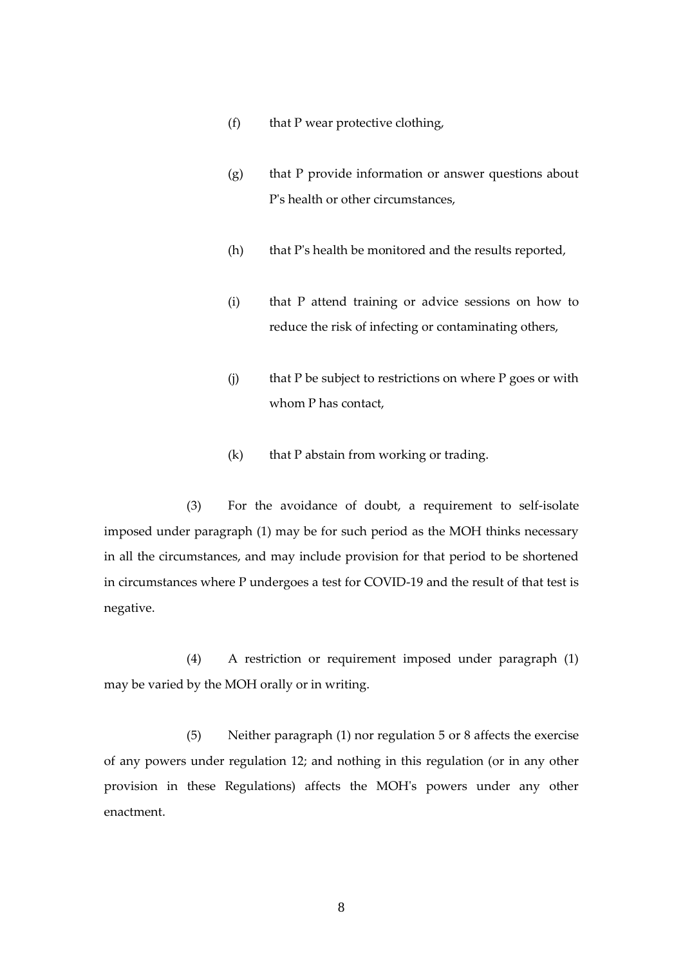- (f) that P wear protective clothing,
- (g) that P provide information or answer questions about P's health or other circumstances,
- (h) that P's health be monitored and the results reported,
- (i) that P attend training or advice sessions on how to reduce the risk of infecting or contaminating others,
- (j) that P be subject to restrictions on where P goes or with whom P has contact,
- (k) that P abstain from working or trading.

 (3) For the avoidance of doubt, a requirement to self-isolate imposed under paragraph (1) may be for such period as the MOH thinks necessary in all the circumstances, and may include provision for that period to be shortened in circumstances where P undergoes a test for COVID-19 and the result of that test is negative.

(4) A restriction or requirement imposed under paragraph (1) may be varied by the MOH orally or in writing.

(5) Neither paragraph (1) nor regulation 5 or 8 affects the exercise of any powers under regulation 12; and nothing in this regulation (or in any other provision in these Regulations) affects the MOH's powers under any other enactment.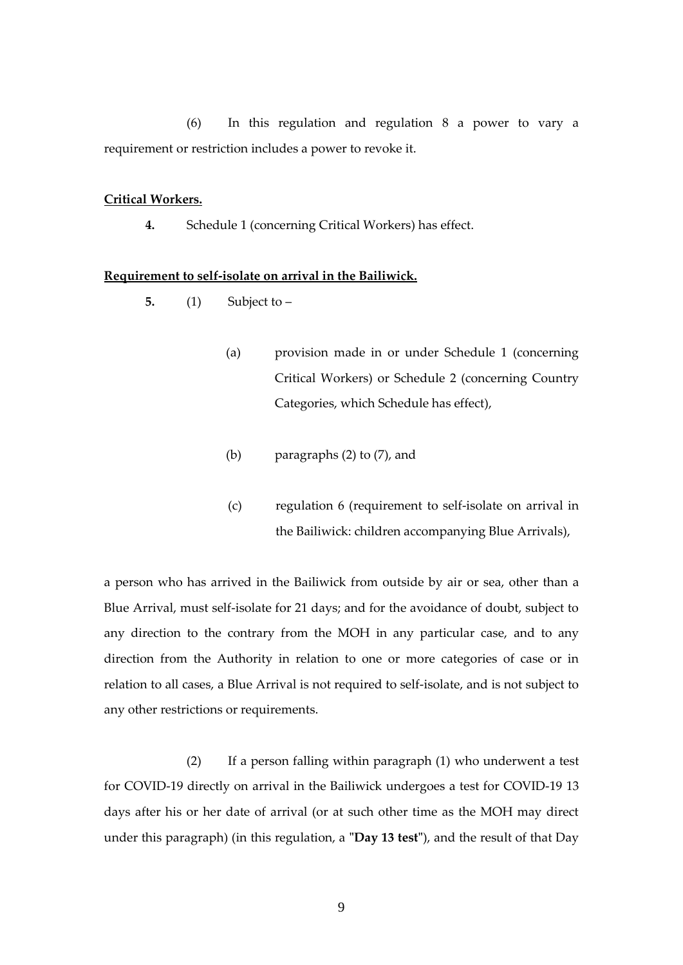(6) In this regulation and regulation 8 a power to vary a requirement or restriction includes a power to revoke it.

### **Critical Workers.**

**4.** Schedule 1 (concerning Critical Workers) has effect.

### <span id="page-8-0"></span>**Requirement to self-isolate on arrival in the Bailiwick.**

- **5.** (1) Subject to
	- (a) provision made in or under Schedule 1 (concerning Critical Workers) or Schedule 2 (concerning Country Categories, which Schedule has effect),
	- (b) paragraphs (2) to (7), and
	- (c) regulation 6 (requirement to self-isolate on arrival in the Bailiwick: children accompanying Blue Arrivals),

a person who has arrived in the Bailiwick from outside by air or sea, other than a Blue Arrival, must self-isolate for 21 days; and for the avoidance of doubt, subject to any direction to the contrary from the MOH in any particular case, and to any direction from the Authority in relation to one or more categories of case or in relation to all cases, a Blue Arrival is not required to self-isolate, and is not subject to any other restrictions or requirements.

 (2) If a person falling within paragraph (1) who underwent a test for COVID-19 directly on arrival in the Bailiwick undergoes a test for COVID-19 13 days after his or her date of arrival (or at such other time as the MOH may direct under this paragraph) (in this regulation, a **"Day 13 test"**), and the result of that Day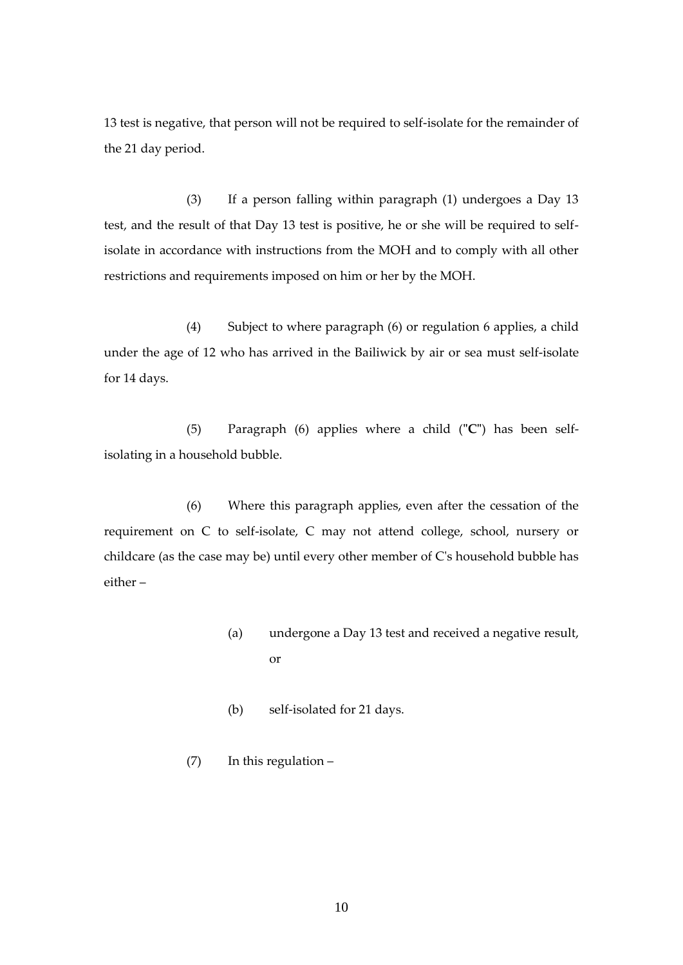13 test is negative, that person will not be required to self-isolate for the remainder of the 21 day period.

(3) If a person falling within paragraph (1) undergoes a Day 13 test, and the result of that Day 13 test is positive, he or she will be required to selfisolate in accordance with instructions from the MOH and to comply with all other restrictions and requirements imposed on him or her by the MOH.

 (4) Subject to where paragraph (6) or regulation 6 applies, a child under the age of 12 who has arrived in the Bailiwick by air or sea must self-isolate for 14 days.

(5) Paragraph (6) applies where a child (**"C"**) has been selfisolating in a household bubble.

(6) Where this paragraph applies, even after the cessation of the requirement on C to self-isolate, C may not attend college, school, nursery or childcare (as the case may be) until every other member of C's household bubble has either –

- (a) undergone a Day 13 test and received a negative result, or
- (b) self-isolated for 21 days.
- (7) In this regulation –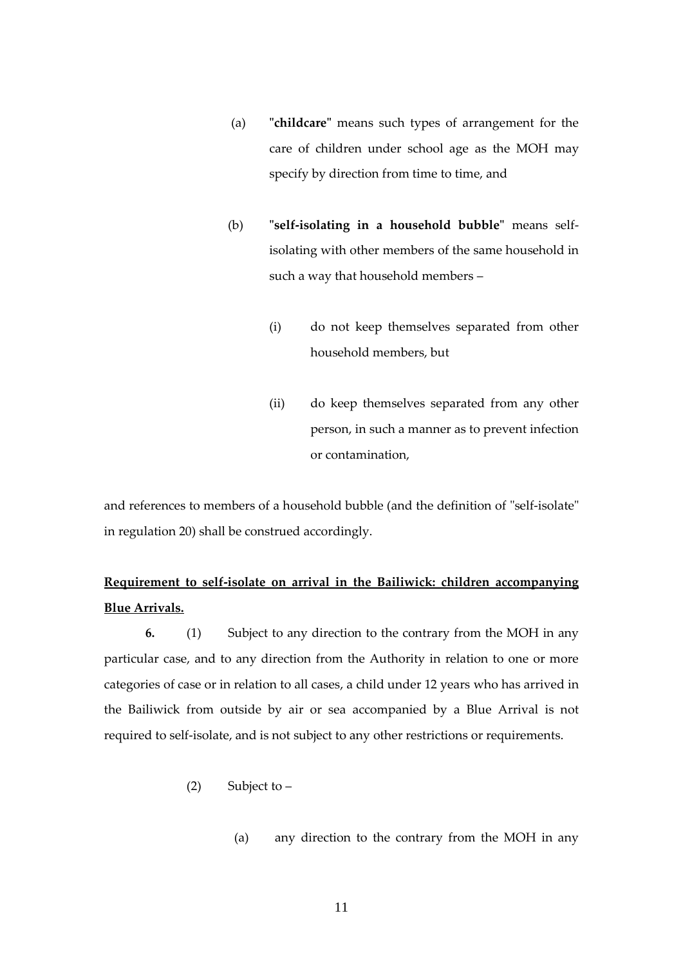- (a) **"childcare"** means such types of arrangement for the care of children under school age as the MOH may specify by direction from time to time, and
- (b) **"self-isolating in a household bubble"** means selfisolating with other members of the same household in such a way that household members –
	- (i) do not keep themselves separated from other household members, but
	- (ii) do keep themselves separated from any other person, in such a manner as to prevent infection or contamination,

and references to members of a household bubble (and the definition of "self-isolate" in regulation 20) shall be construed accordingly.

# **Requirement to self-isolate on arrival in the Bailiwick: children accompanying Blue Arrivals.**

**6.** (1) Subject to any direction to the contrary from the MOH in any particular case, and to any direction from the Authority in relation to one or more categories of case or in relation to all cases, a child under 12 years who has arrived in the Bailiwick from outside by air or sea accompanied by a Blue Arrival is not required to self-isolate, and is not subject to any other restrictions or requirements.

- (2) Subject to  $-$ 
	- (a) any direction to the contrary from the MOH in any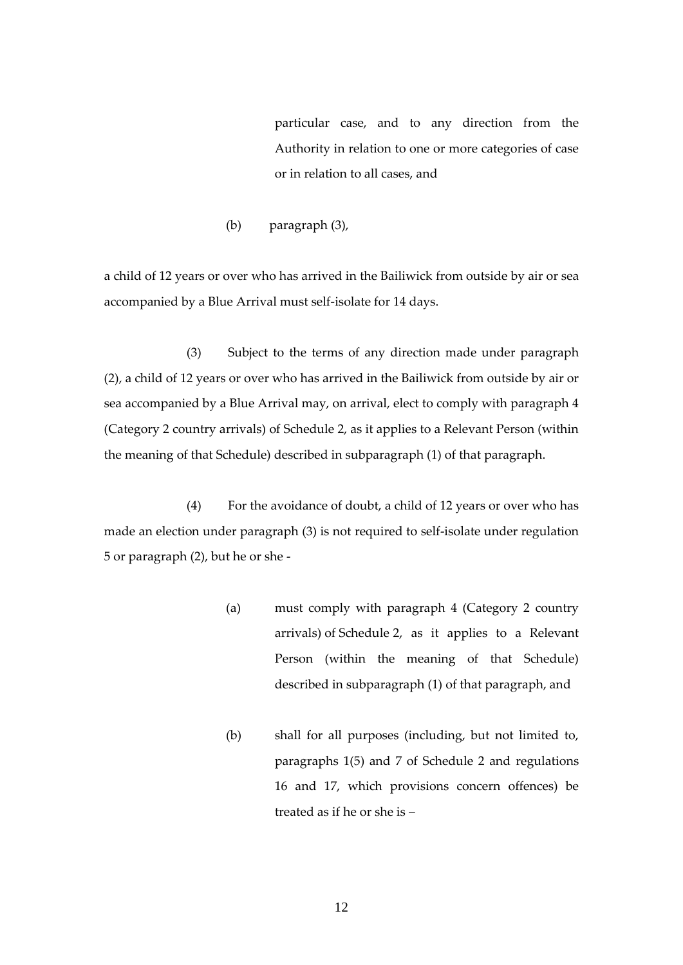particular case, and to any direction from the Authority in relation to one or more categories of case or in relation to all cases, and

(b) paragraph (3),

a child of 12 years or over who has arrived in the Bailiwick from outside by air or sea accompanied by a Blue Arrival must self-isolate for 14 days.

(3) Subject to the terms of any direction made under paragraph (2), a child of 12 years or over who has arrived in the Bailiwick from outside by air or sea accompanied by a Blue Arrival may, on arrival, elect to comply with paragraph 4 (Category 2 country arrivals) of Schedule 2, as it applies to a Relevant Person (within the meaning of that Schedule) described in subparagraph (1) of that paragraph.

(4) For the avoidance of doubt, a child of 12 years or over who has made an election under paragraph (3) is not required to self-isolate under regulation 5 or paragraph (2), but he or she -

- (a) must comply with paragraph 4 (Category 2 country arrivals) of Schedule 2, as it applies to a Relevant Person (within the meaning of that Schedule) described in subparagraph (1) of that paragraph, and
- (b) shall for all purposes (including, but not limited to, paragraphs 1(5) and 7 of Schedule 2 and regulations 16 and 17, which provisions concern offences) be treated as if he or she is –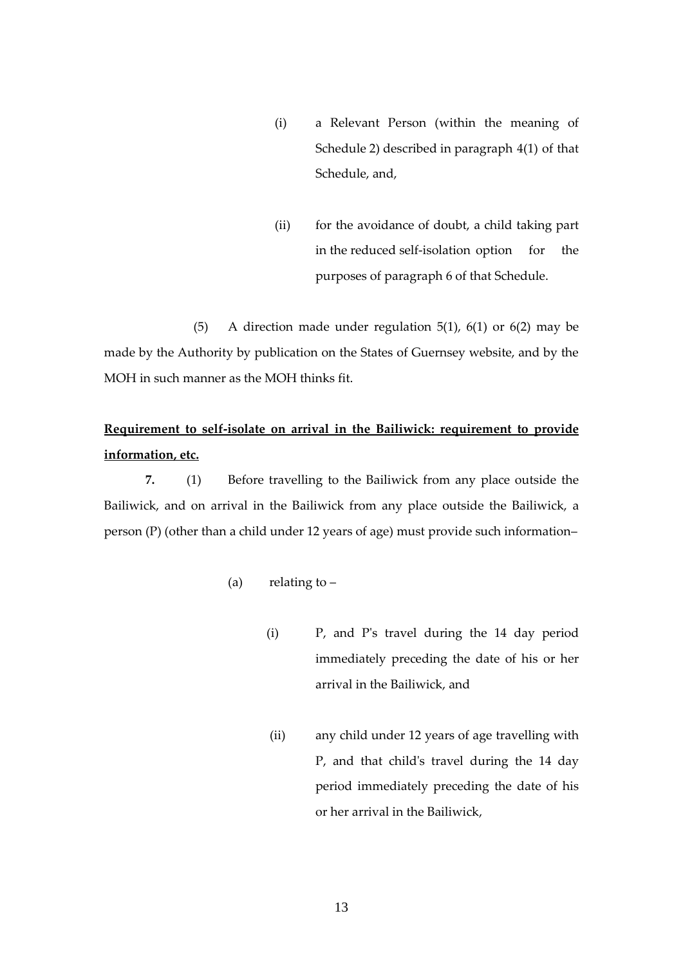- (i) a Relevant Person (within the meaning of Schedule 2) described in paragraph 4(1) of that Schedule, and,
- (ii) for the avoidance of doubt, a child taking part in the reduced self-isolation option for the purposes of paragraph 6 of that Schedule.

(5) A direction made under regulation  $5(1)$ ,  $6(1)$  or  $6(2)$  may be made by the Authority by publication on the States of Guernsey website, and by the MOH in such manner as the MOH thinks fit.

# **Requirement to self-isolate on arrival in the Bailiwick: requirement to provide information, etc.**

**7.** (1) Before travelling to the Bailiwick from any place outside the Bailiwick, and on arrival in the Bailiwick from any place outside the Bailiwick, a person (P) (other than a child under 12 years of age) must provide such information–

- (a) relating to  $-$ 
	- (i) P, and P's travel during the 14 day period immediately preceding the date of his or her arrival in the Bailiwick, and
	- (ii) any child under 12 years of age travelling with P, and that child's travel during the 14 day period immediately preceding the date of his or her arrival in the Bailiwick,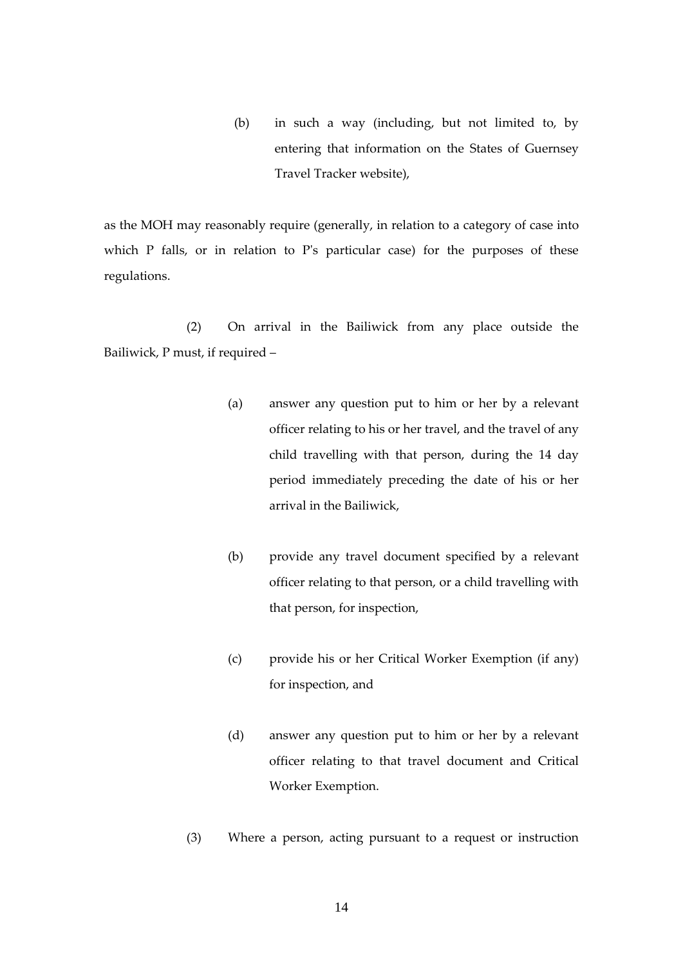(b) in such a way (including, but not limited to, by entering that information on the States of Guernsey Travel Tracker website),

as the MOH may reasonably require (generally, in relation to a category of case into which P falls, or in relation to P's particular case) for the purposes of these regulations.

(2) On arrival in the Bailiwick from any place outside the Bailiwick, P must, if required –

- (a) answer any question put to him or her by a relevant officer relating to his or her travel, and the travel of any child travelling with that person, during the 14 day period immediately preceding the date of his or her arrival in the Bailiwick,
- (b) provide any travel document specified by a relevant officer relating to that person, or a child travelling with that person, for inspection,
- (c) provide his or her Critical Worker Exemption (if any) for inspection, and
- (d) answer any question put to him or her by a relevant officer relating to that travel document and Critical Worker Exemption.
- (3) Where a person, acting pursuant to a request or instruction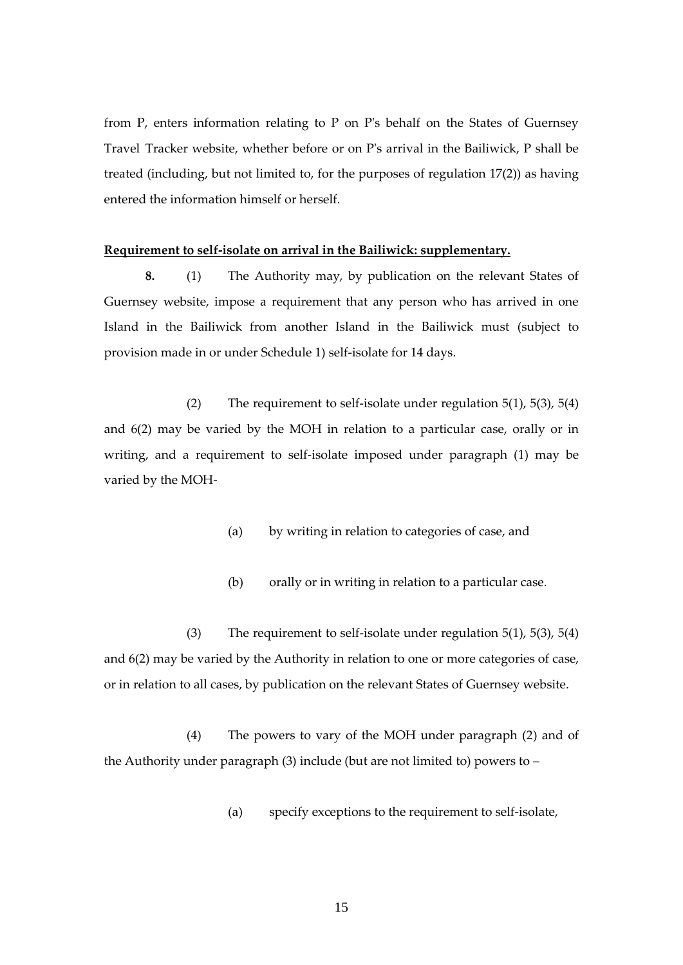from P, enters information relating to P on P's behalf on the States of Guernsey Travel Tracker website, whether before or on P's arrival in the Bailiwick, P shall be treated (including, but not limited to, for the purposes of regulation 17(2)) as having entered the information himself or herself.

#### **Requirement to self-isolate on arrival in the Bailiwick: supplementary.**

**8.** (1) The Authority may, by publication on the relevant States of Guernsey website, impose a requirement that any person who has arrived in one Island in the Bailiwick from another Island in the Bailiwick must (subject to provision made in or under Schedule 1) self-isolate for 14 days.

(2) The requirement to self-isolate under regulation  $5(1)$ ,  $5(3)$ ,  $5(4)$ and 6(2) may be varied by the MOH in relation to a particular case, orally or in writing, and a requirement to self-isolate imposed under paragraph (1) may be varied by the MOH-

- (a) by writing in relation to categories of case, and
- (b) orally or in writing in relation to a particular case.

(3) The requirement to self-isolate under regulation 5(1), 5(3), 5(4) and 6(2) may be varied by the Authority in relation to one or more categories of case, or in relation to all cases, by publication on the relevant States of Guernsey website.

(4) The powers to vary of the MOH under paragraph (2) and of the Authority under paragraph  $(3)$  include (but are not limited to) powers to –

(a) specify exceptions to the requirement to self-isolate,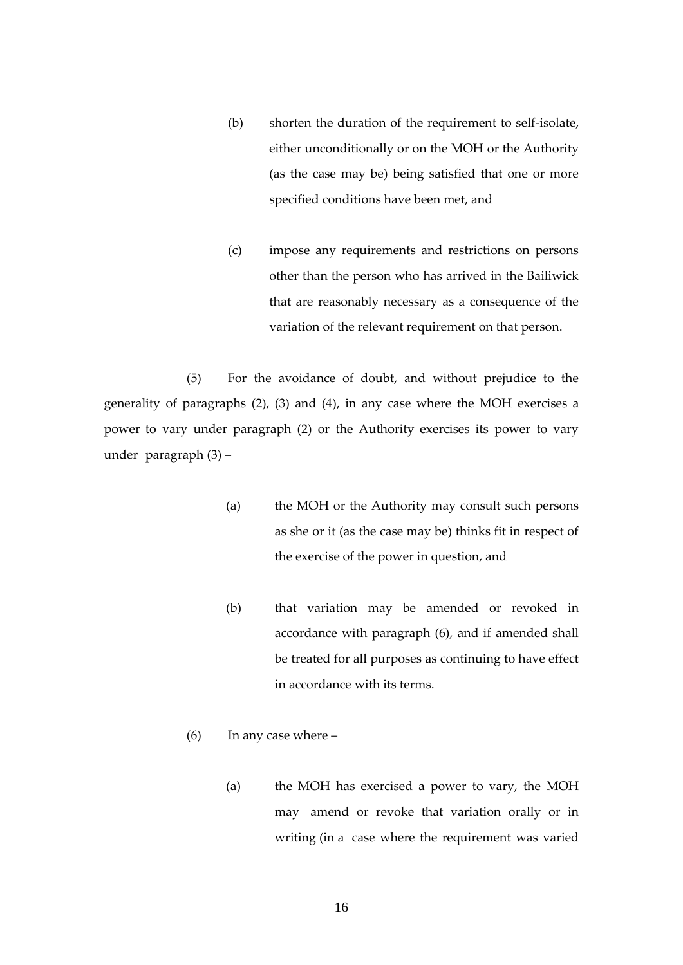- (b) shorten the duration of the requirement to self-isolate, either unconditionally or on the MOH or the Authority (as the case may be) being satisfied that one or more specified conditions have been met, and
- (c) impose any requirements and restrictions on persons other than the person who has arrived in the Bailiwick that are reasonably necessary as a consequence of the variation of the relevant requirement on that person.

(5) For the avoidance of doubt, and without prejudice to the generality of paragraphs (2), (3) and (4), in any case where the MOH exercises a power to vary under paragraph (2) or the Authority exercises its power to vary under paragraph (3) –

- (a) the MOH or the Authority may consult such persons as she or it (as the case may be) thinks fit in respect of the exercise of the power in question, and
- (b) that variation may be amended or revoked in accordance with paragraph (6), and if amended shall be treated for all purposes as continuing to have effect in accordance with its terms.
- (6) In any case where
	- (a) the MOH has exercised a power to vary, the MOH may amend or revoke that variation orally or in writing (in a case where the requirement was varied

16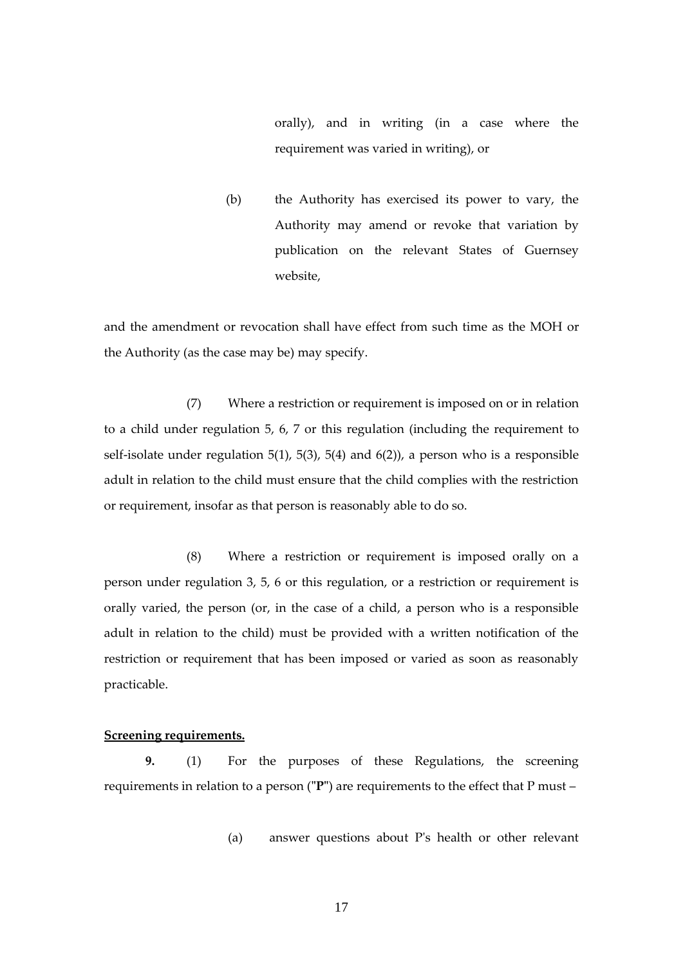orally), and in writing (in a case where the requirement was varied in writing), or

(b) the Authority has exercised its power to vary, the Authority may amend or revoke that variation by publication on the relevant States of Guernsey website,

and the amendment or revocation shall have effect from such time as the MOH or the Authority (as the case may be) may specify.

(7) Where a restriction or requirement is imposed on or in relation to a child under regulation 5, 6, 7 or this regulation (including the requirement to self-isolate under regulation 5(1), 5(3), 5(4) and 6(2)), a person who is a responsible adult in relation to the child must ensure that the child complies with the restriction or requirement, insofar as that person is reasonably able to do so.

(8) Where a restriction or requirement is imposed orally on a person under regulation 3, 5, 6 or this regulation, or a restriction or requirement is orally varied, the person (or, in the case of a child, a person who is a responsible adult in relation to the child) must be provided with a written notification of the restriction or requirement that has been imposed or varied as soon as reasonably practicable.

### <span id="page-16-0"></span>**Screening requirements.**

**9.** (1) For the purposes of these Regulations, the screening requirements in relation to a person (**"P"**) are requirements to the effect that P must –

(a) answer questions about P's health or other relevant

17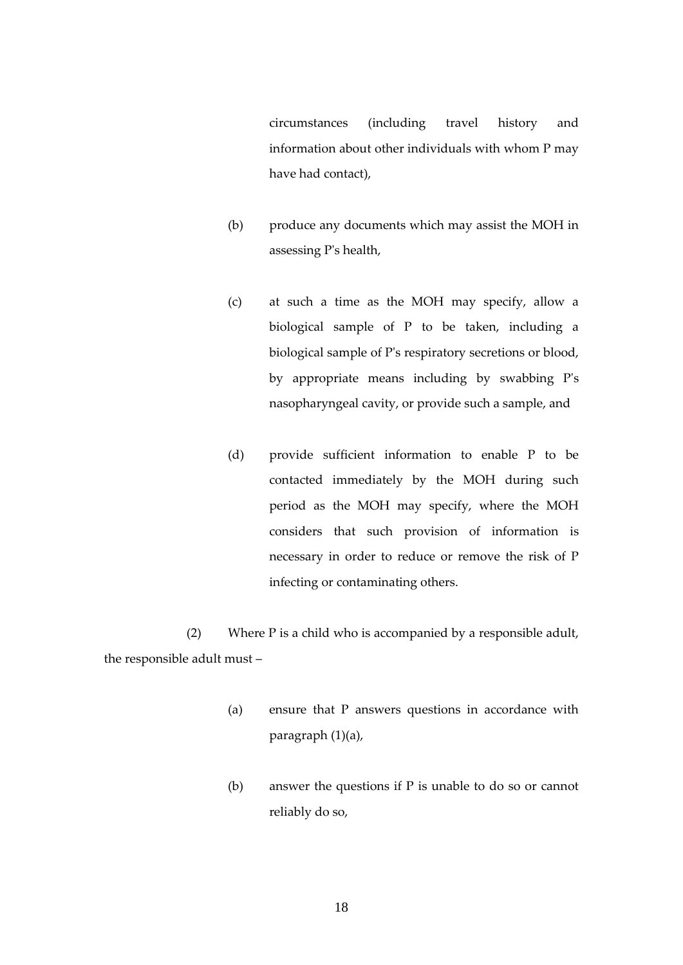circumstances (including travel history and information about other individuals with whom P may have had contact),

- (b) produce any documents which may assist the MOH in assessing P's health,
- (c) at such a time as the MOH may specify, allow a biological sample of P to be taken, including a biological sample of P's respiratory secretions or blood, by appropriate means including by swabbing P's nasopharyngeal cavity, or provide such a sample, and
- (d) provide sufficient information to enable P to be contacted immediately by the MOH during such period as the MOH may specify, where the MOH considers that such provision of information is necessary in order to reduce or remove the risk of P infecting or contaminating others.

(2) Where P is a child who is accompanied by a responsible adult, the responsible adult must –

- (a) ensure that P answers questions in accordance with paragraph (1)(a),
- (b) answer the questions if P is unable to do so or cannot reliably do so,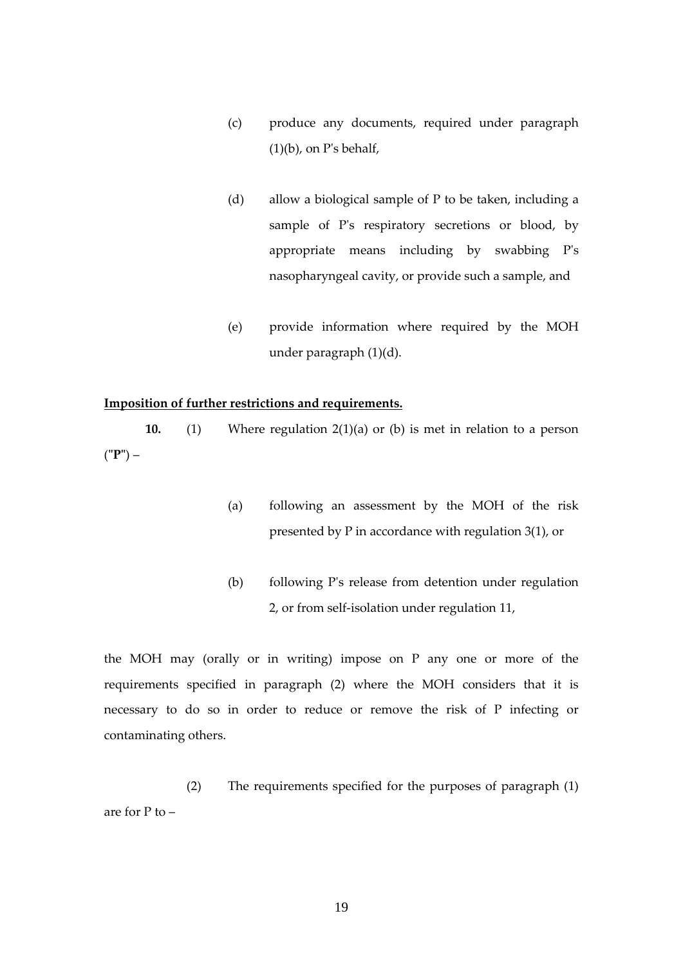- (c) produce any documents, required under paragraph  $(1)(b)$ , on P's behalf,
- (d) allow a biological sample of P to be taken, including a sample of P's respiratory secretions or blood, by appropriate means including by swabbing P's nasopharyngeal cavity, or provide such a sample, and
- (e) provide information where required by the MOH under paragraph (1)(d).

### <span id="page-18-0"></span>**Imposition of further restrictions and requirements.**

**10.** (1) Where regulation 2(1)(a) or (b) is met in relation to a person (**"P"**) –

- (a) following an assessment by the MOH of the risk presented by P in accordance with regulation 3(1), or
- (b) following P's release from detention under regulation 2, or from self-isolation under regulation 11,

the MOH may (orally or in writing) impose on P any one or more of the requirements specified in paragraph (2) where the MOH considers that it is necessary to do so in order to reduce or remove the risk of P infecting or contaminating others.

(2) The requirements specified for the purposes of paragraph (1) are for P to –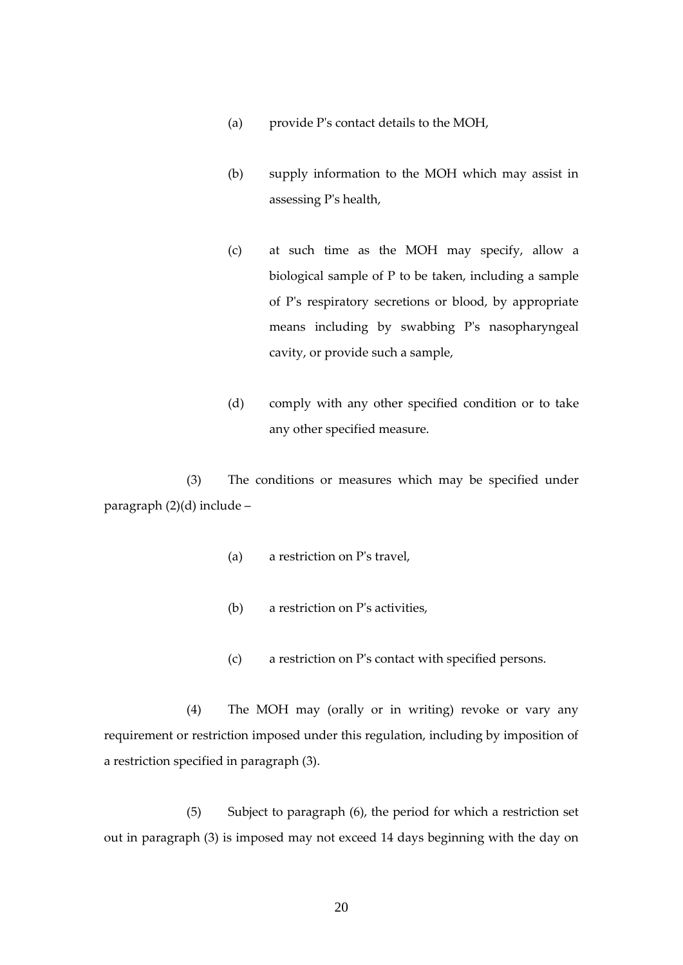- (a) provide P's contact details to the MOH,
- (b) supply information to the MOH which may assist in assessing P's health,
- (c) at such time as the MOH may specify, allow a biological sample of P to be taken, including a sample of P's respiratory secretions or blood, by appropriate means including by swabbing P's nasopharyngeal cavity, or provide such a sample,
- (d) comply with any other specified condition or to take any other specified measure.

(3) The conditions or measures which may be specified under paragraph (2)(d) include –

- (a) a restriction on P's travel,
- (b) a restriction on P's activities,
- (c) a restriction on P's contact with specified persons.

(4) The MOH may (orally or in writing) revoke or vary any requirement or restriction imposed under this regulation, including by imposition of a restriction specified in paragraph (3).

(5) Subject to paragraph (6), the period for which a restriction set out in paragraph (3) is imposed may not exceed 14 days beginning with the day on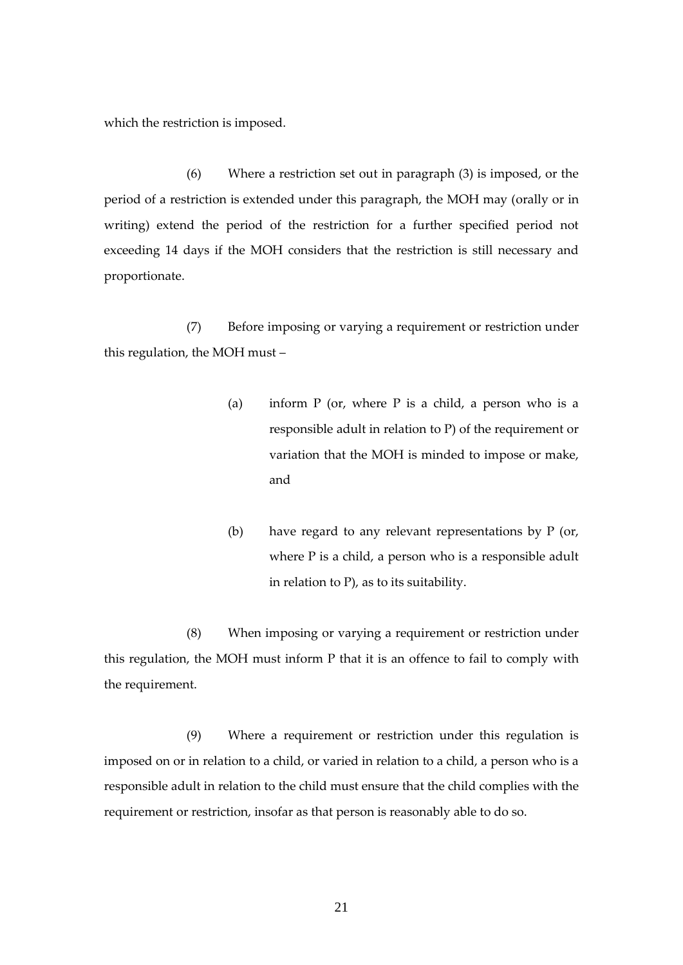which the restriction is imposed.

(6) Where a restriction set out in paragraph (3) is imposed, or the period of a restriction is extended under this paragraph, the MOH may (orally or in writing) extend the period of the restriction for a further specified period not exceeding 14 days if the MOH considers that the restriction is still necessary and proportionate.

(7) Before imposing or varying a requirement or restriction under this regulation, the MOH must –

- (a) inform  $P$  (or, where  $P$  is a child, a person who is a responsible adult in relation to P) of the requirement or variation that the MOH is minded to impose or make, and
- (b) have regard to any relevant representations by P (or, where P is a child, a person who is a responsible adult in relation to P), as to its suitability.

(8) When imposing or varying a requirement or restriction under this regulation, the MOH must inform P that it is an offence to fail to comply with the requirement.

(9) Where a requirement or restriction under this regulation is imposed on or in relation to a child, or varied in relation to a child, a person who is a responsible adult in relation to the child must ensure that the child complies with the requirement or restriction, insofar as that person is reasonably able to do so.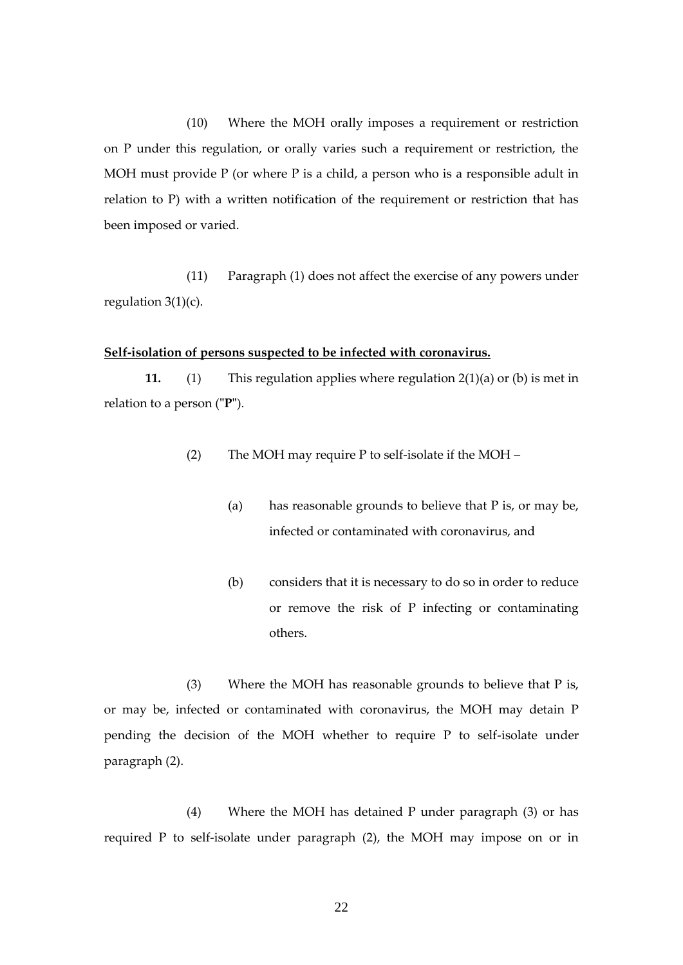(10) Where the MOH orally imposes a requirement or restriction on P under this regulation, or orally varies such a requirement or restriction, the MOH must provide  $P$  (or where  $P$  is a child, a person who is a responsible adult in relation to P) with a written notification of the requirement or restriction that has been imposed or varied.

(11) Paragraph (1) does not affect the exercise of any powers under regulation  $3(1)(c)$ .

### <span id="page-21-0"></span>**Self-isolation of persons suspected to be infected with coronavirus.**

**11.** (1) This regulation applies where regulation 2(1)(a) or (b) is met in relation to a person (**"P"**).

- (2) The MOH may require P to self-isolate if the MOH
	- (a) has reasonable grounds to believe that P is, or may be, infected or contaminated with coronavirus, and
	- (b) considers that it is necessary to do so in order to reduce or remove the risk of P infecting or contaminating others.

(3) Where the MOH has reasonable grounds to believe that P is, or may be, infected or contaminated with coronavirus, the MOH may detain P pending the decision of the MOH whether to require P to self-isolate under paragraph (2).

(4) Where the MOH has detained P under paragraph (3) or has required P to self-isolate under paragraph (2), the MOH may impose on or in

22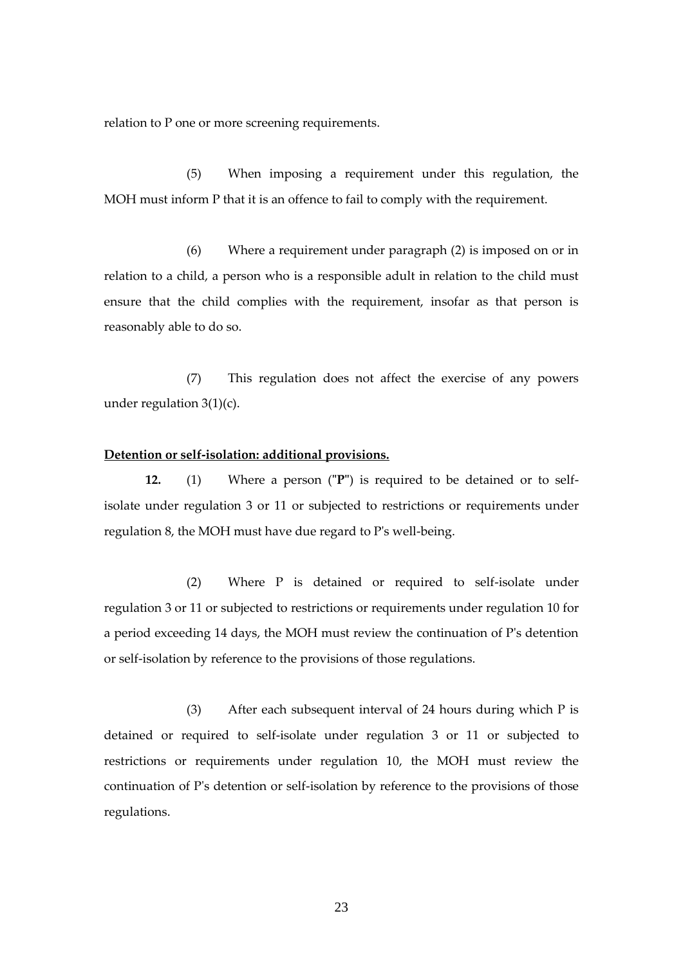relation to P one or more screening requirements.

(5) When imposing a requirement under this regulation, the MOH must inform P that it is an offence to fail to comply with the requirement.

(6) Where a requirement under paragraph (2) is imposed on or in relation to a child, a person who is a responsible adult in relation to the child must ensure that the child complies with the requirement, insofar as that person is reasonably able to do so.

(7) This regulation does not affect the exercise of any powers under regulation 3(1)(c).

#### <span id="page-22-0"></span>**Detention or self-isolation: additional provisions.**

**12.** (1) Where a person (**"P"**) is required to be detained or to selfisolate under regulation 3 or 11 or subjected to restrictions or requirements under regulation 8, the MOH must have due regard to P's well-being.

(2) Where P is detained or required to self-isolate under regulation 3 or 11 or subjected to restrictions or requirements under regulation 10 for a period exceeding 14 days, the MOH must review the continuation of P's detention or self-isolation by reference to the provisions of those regulations.

(3) After each subsequent interval of 24 hours during which P is detained or required to self-isolate under regulation 3 or 11 or subjected to restrictions or requirements under regulation 10, the MOH must review the continuation of P's detention or self-isolation by reference to the provisions of those regulations.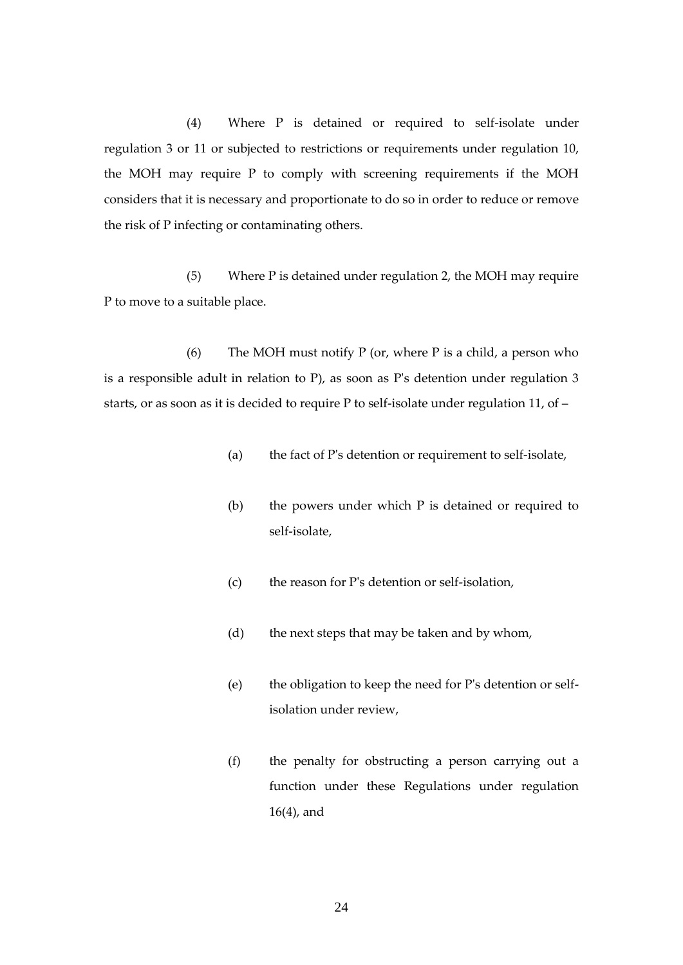(4) Where P is detained or required to self-isolate under regulation 3 or 11 or subjected to restrictions or requirements under regulation 10, the MOH may require P to comply with screening requirements if the MOH considers that it is necessary and proportionate to do so in order to reduce or remove the risk of P infecting or contaminating others.

(5) Where P is detained under regulation 2, the MOH may require P to move to a suitable place.

(6) The MOH must notify  $P$  (or, where  $P$  is a child, a person who is a responsible adult in relation to P), as soon as P's detention under regulation 3 starts, or as soon as it is decided to require P to self-isolate under regulation 11, of –

- (a) the fact of P's detention or requirement to self-isolate,
- (b) the powers under which P is detained or required to self-isolate,
- (c) the reason for P's detention or self-isolation,
- (d) the next steps that may be taken and by whom,
- (e) the obligation to keep the need for P's detention or selfisolation under review,
- (f) the penalty for obstructing a person carrying out a function under these Regulations under regulation 16(4), and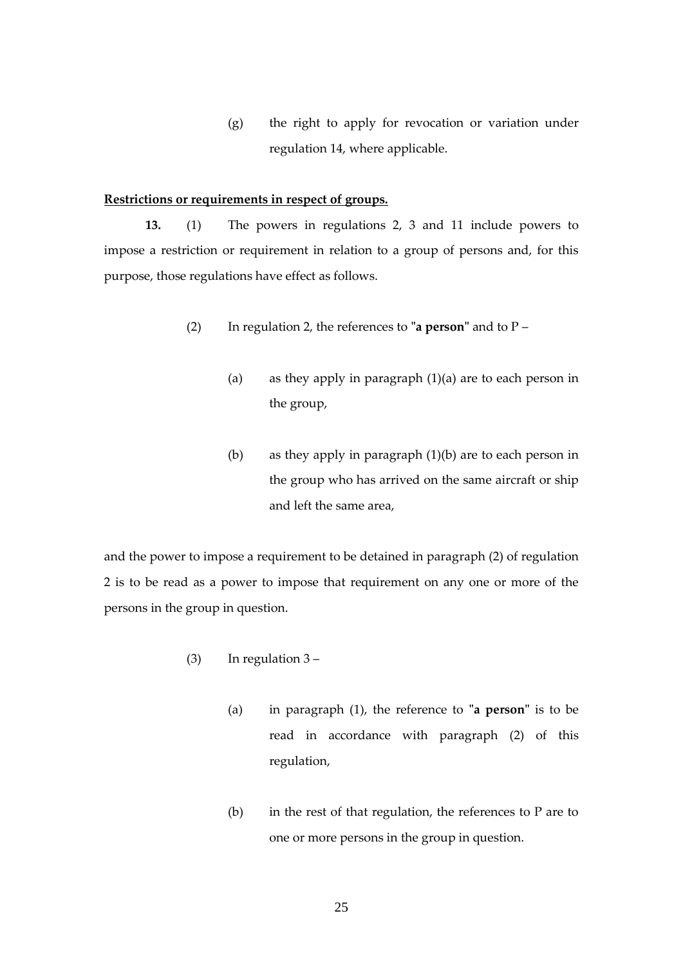(g) the right to apply for revocation or variation under regulation 14, where applicable.

### <span id="page-24-0"></span>**Restrictions or requirements in respect of groups.**

**13.** (1) The powers in regulations 2, 3 and 11 include powers to impose a restriction or requirement in relation to a group of persons and, for this purpose, those regulations have effect as follows.

- (2) In regulation 2, the references to **"a person"** and to P
	- (a) as they apply in paragraph (1)(a) are to each person in the group,
	- (b) as they apply in paragraph (1)(b) are to each person in the group who has arrived on the same aircraft or ship and left the same area,

and the power to impose a requirement to be detained in paragraph (2) of regulation 2 is to be read as a power to impose that requirement on any one or more of the persons in the group in question.

- (3) In regulation 3
	- (a) in paragraph (1), the reference to **"a person"** is to be read in accordance with paragraph (2) of this regulation,
	- (b) in the rest of that regulation, the references to P are to one or more persons in the group in question.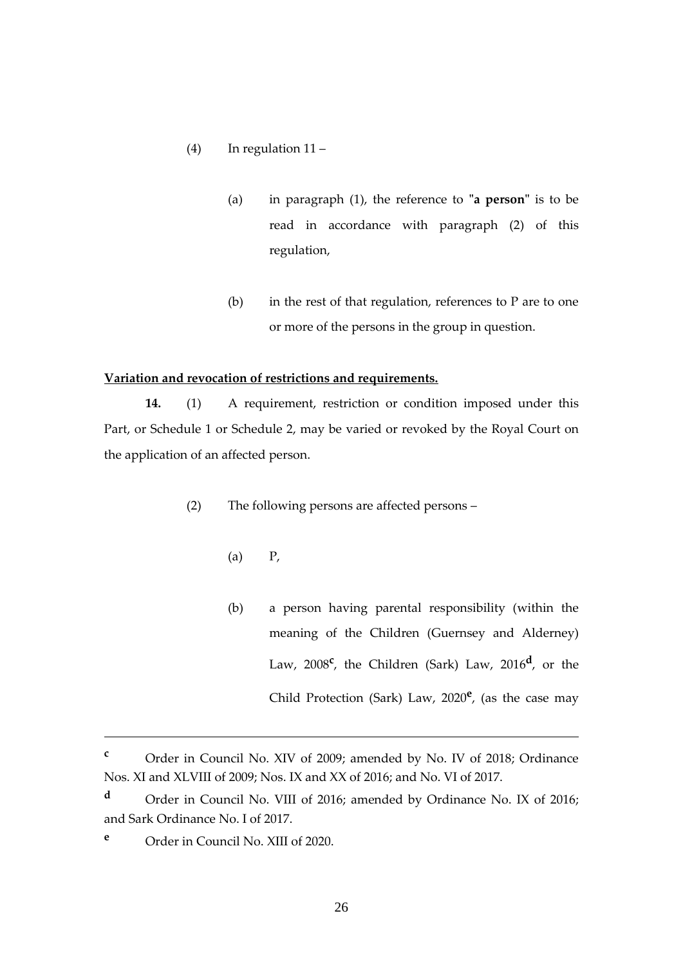- (4) In regulation 11
	- (a) in paragraph (1), the reference to **"a person"** is to be read in accordance with paragraph (2) of this regulation,
	- (b) in the rest of that regulation, references to  $P$  are to one or more of the persons in the group in question.

### <span id="page-25-0"></span>**Variation and revocation of restrictions and requirements.**

**14.** (1) A requirement, restriction or condition imposed under this Part, or Schedule 1 or Schedule 2, may be varied or revoked by the Royal Court on the application of an affected person.

- (2) The following persons are affected persons
	- (a) P,
	- (b) a person having parental responsibility (within the meaning of the Children (Guernsey and Alderney) Law, 2008<sup>c</sup>, the Children (Sark) Law, 2016<sup>d</sup>, or the Child Protection (Sark) Law, 2020**<sup>e</sup>** , (as the case may

**<sup>c</sup>** Order in Council No. XIV of 2009; amended by No. IV of 2018; Ordinance Nos. XI and XLVIII of 2009; Nos. IX and XX of 2016; and No. VI of 2017.

**<sup>d</sup>** Order in Council No. VIII of 2016; amended by Ordinance No. IX of 2016; and Sark Ordinance No. I of 2017.

**<sup>e</sup>** Order in Council No. XIII of 2020.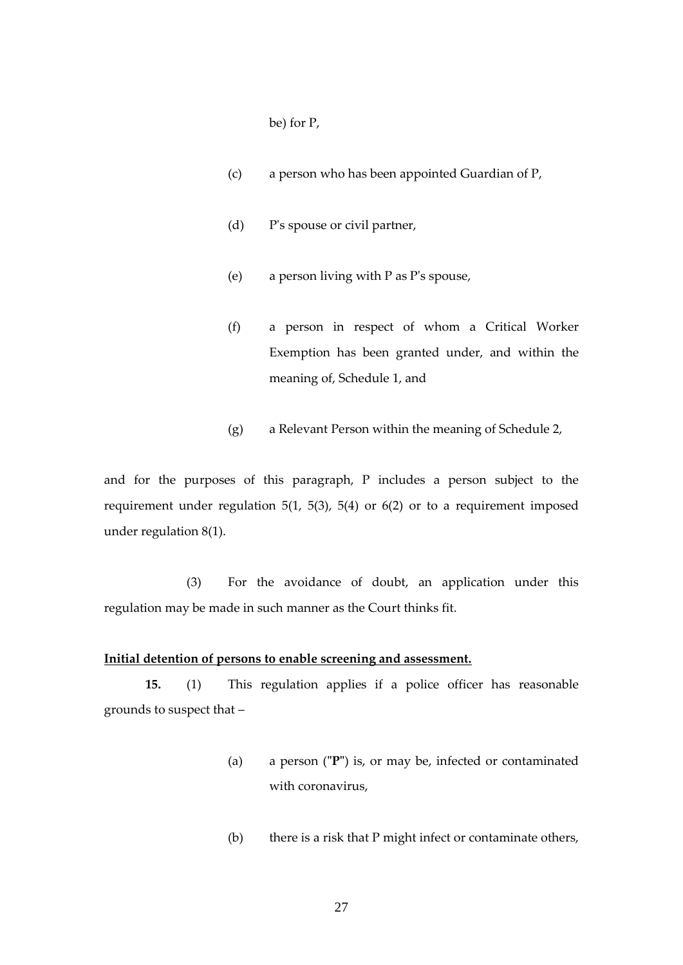be) for P,

- (c) a person who has been appointed Guardian of P,
- (d) P's spouse or civil partner,
- (e) a person living with P as P's spouse,
- (f) a person in respect of whom a Critical Worker Exemption has been granted under, and within the meaning of, Schedule 1, and
- (g) a Relevant Person within the meaning of Schedule 2,

and for the purposes of this paragraph, P includes a person subject to the requirement under regulation 5(1, 5(3), 5(4) or 6(2) or to a requirement imposed under regulation 8(1).

(3) For the avoidance of doubt, an application under this regulation may be made in such manner as the Court thinks fit.

### **Initial detention of persons to enable screening and assessment.**

**15.** (1) This regulation applies if a police officer has reasonable grounds to suspect that –

- <span id="page-26-0"></span>(a) a person (**"P"**) is, or may be, infected or contaminated with coronavirus,
- (b) there is a risk that P might infect or contaminate others,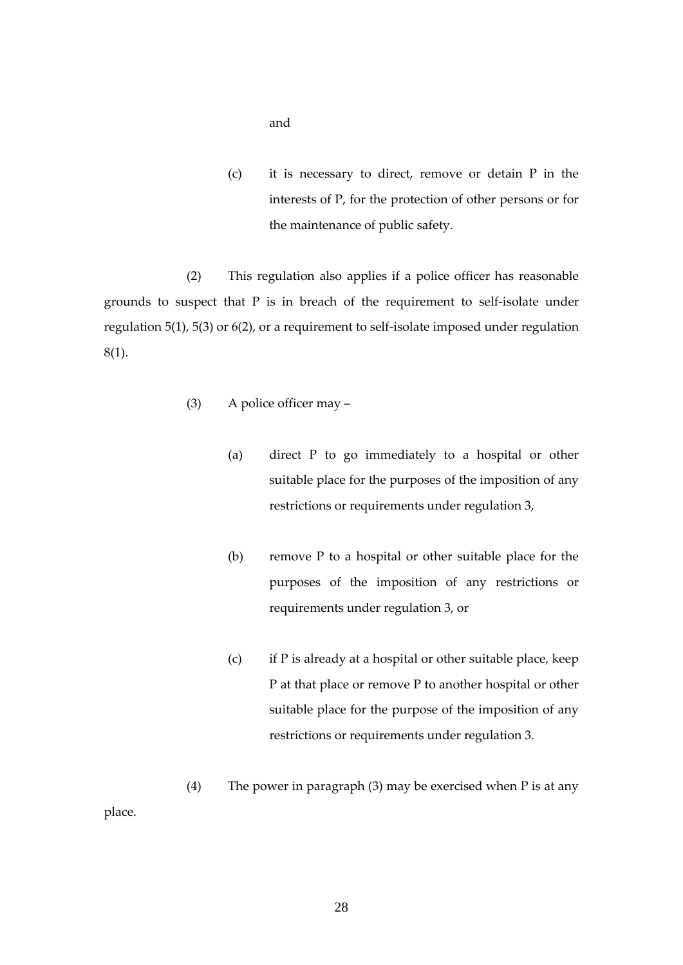and

(c) it is necessary to direct, remove or detain P in the interests of P, for the protection of other persons or for the maintenance of public safety.

(2) This regulation also applies if a police officer has reasonable grounds to suspect that P is in breach of the requirement to self-isolate under regulation 5(1), 5(3) or 6(2), or a requirement to self-isolate imposed under regulation 8(1).

- (3) A police officer may
	- (a) direct P to go immediately to a hospital or other suitable place for the purposes of the imposition of any restrictions or requirements under regulation 3,
	- (b) remove P to a hospital or other suitable place for the purposes of the imposition of any restrictions or requirements under regulation 3, or
	- (c) if P is already at a hospital or other suitable place, keep P at that place or remove P to another hospital or other suitable place for the purpose of the imposition of any restrictions or requirements under regulation 3.
- (4) The power in paragraph (3) may be exercised when P is at any

place.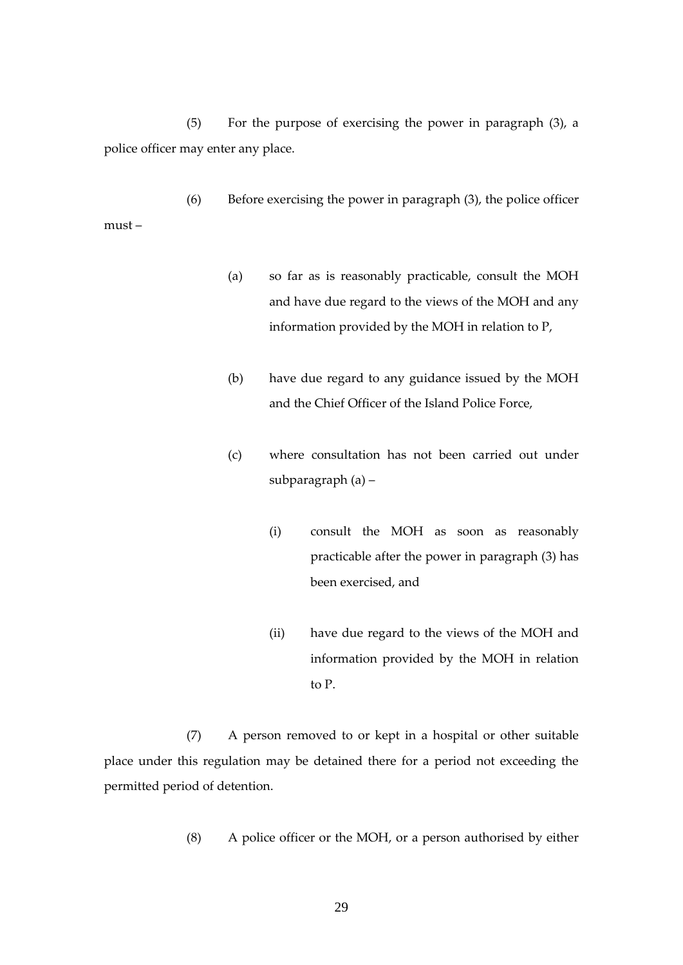(5) For the purpose of exercising the power in paragraph (3), a police officer may enter any place.

(6) Before exercising the power in paragraph (3), the police officer must –

- (a) so far as is reasonably practicable, consult the MOH and have due regard to the views of the MOH and any information provided by the MOH in relation to P,
- (b) have due regard to any guidance issued by the MOH and the Chief Officer of the Island Police Force,
- (c) where consultation has not been carried out under subparagraph (a) –
	- (i) consult the MOH as soon as reasonably practicable after the power in paragraph (3) has been exercised, and
	- (ii) have due regard to the views of the MOH and information provided by the MOH in relation to P.

(7) A person removed to or kept in a hospital or other suitable place under this regulation may be detained there for a period not exceeding the permitted period of detention.

(8) A police officer or the MOH, or a person authorised by either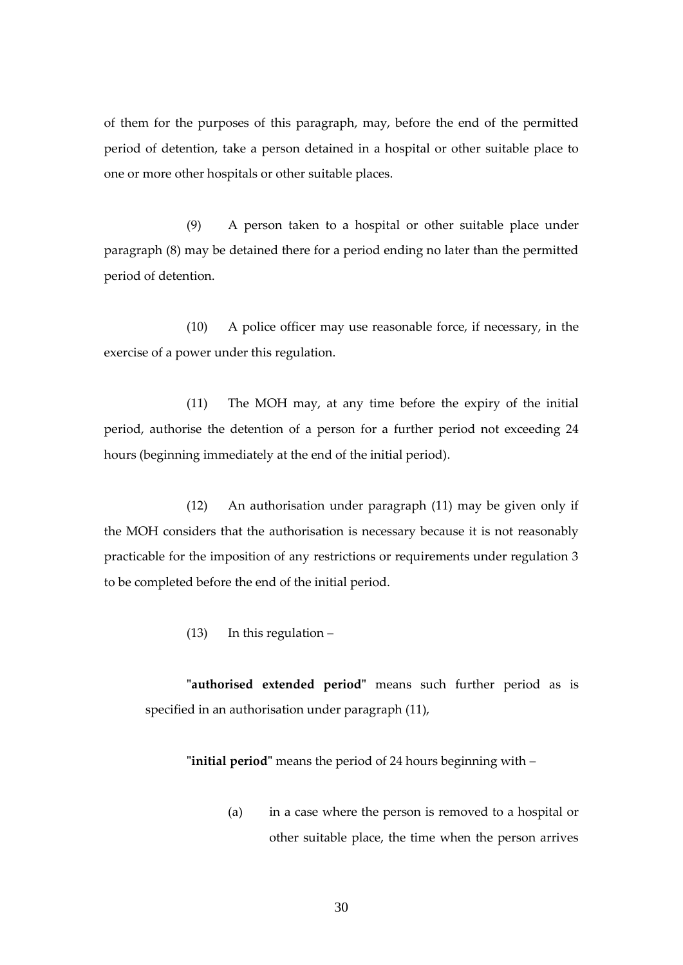of them for the purposes of this paragraph, may, before the end of the permitted period of detention, take a person detained in a hospital or other suitable place to one or more other hospitals or other suitable places.

(9) A person taken to a hospital or other suitable place under paragraph (8) may be detained there for a period ending no later than the permitted period of detention.

(10) A police officer may use reasonable force, if necessary, in the exercise of a power under this regulation.

(11) The MOH may, at any time before the expiry of the initial period, authorise the detention of a person for a further period not exceeding 24 hours (beginning immediately at the end of the initial period).

(12) An authorisation under paragraph (11) may be given only if the MOH considers that the authorisation is necessary because it is not reasonably practicable for the imposition of any restrictions or requirements under regulation 3 to be completed before the end of the initial period.

(13) In this regulation –

**"authorised extended period"** means such further period as is specified in an authorisation under paragraph (11),

**"initial period"** means the period of 24 hours beginning with –

(a) in a case where the person is removed to a hospital or other suitable place, the time when the person arrives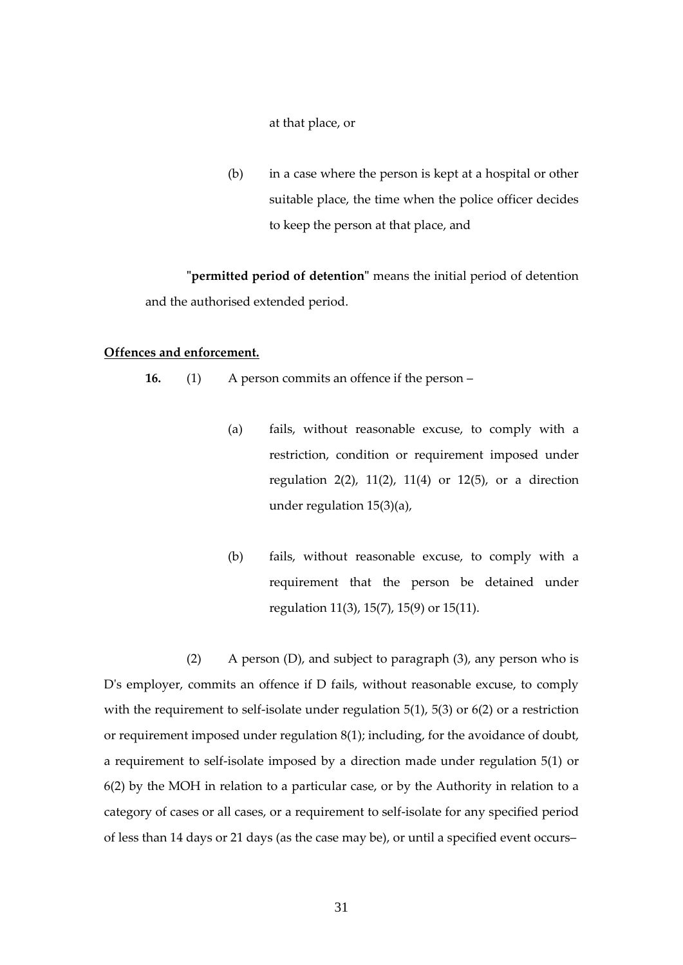at that place, or

(b) in a case where the person is kept at a hospital or other suitable place, the time when the police officer decides to keep the person at that place, and

**"permitted period of detention"** means the initial period of detention and the authorised extended period.

### <span id="page-30-0"></span>**Offences and enforcement.**

**16.** (1) A person commits an offence if the person –

- (a) fails, without reasonable excuse, to comply with a restriction, condition or requirement imposed under regulation 2(2), 11(2), 11(4) or 12(5), or a direction under regulation 15(3)(a),
- (b) fails, without reasonable excuse, to comply with a requirement that the person be detained under regulation 11(3), 15(7), 15(9) or 15(11).

(2) A person  $(D)$ , and subject to paragraph  $(3)$ , any person who is D's employer, commits an offence if D fails, without reasonable excuse, to comply with the requirement to self-isolate under regulation 5(1), 5(3) or 6(2) or a restriction or requirement imposed under regulation 8(1); including, for the avoidance of doubt, a requirement to self-isolate imposed by a direction made under regulation 5(1) or 6(2) by the MOH in relation to a particular case, or by the Authority in relation to a category of cases or all cases, or a requirement to self-isolate for any specified period of less than 14 days or 21 days (as the case may be), or until a specified event occurs–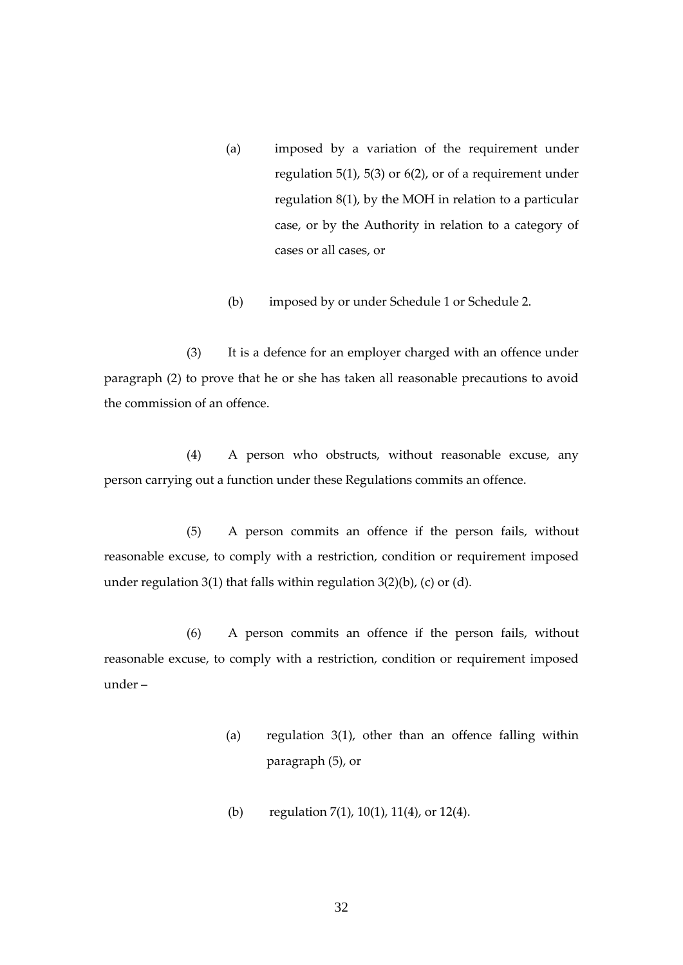- (a) imposed by a variation of the requirement under regulation 5(1), 5(3) or 6(2), or of a requirement under regulation 8(1), by the MOH in relation to a particular case, or by the Authority in relation to a category of cases or all cases, or
- (b) imposed by or under [Schedule 1](#page-61-0) or Schedule 2.

(3) It is a defence for an employer charged with an offence under paragraph (2) to prove that he or she has taken all reasonable precautions to avoid the commission of an offence.

(4) A person who obstructs, without reasonable excuse, any person carrying out a function under these Regulations commits an offence.

(5) A person commits an offence if the person fails, without reasonable excuse, to comply with a restriction, condition or requirement imposed under regulation 3(1) that falls within regulation  $3(2)(b)$ , (c) or (d).

(6) A person commits an offence if the person fails, without reasonable excuse, to comply with a restriction, condition or requirement imposed under –

- (a) regulation  $3(1)$ , other than an offence falling within paragraph (5), or
- (b) regulation 7(1), 10(1), 11(4), or 12(4).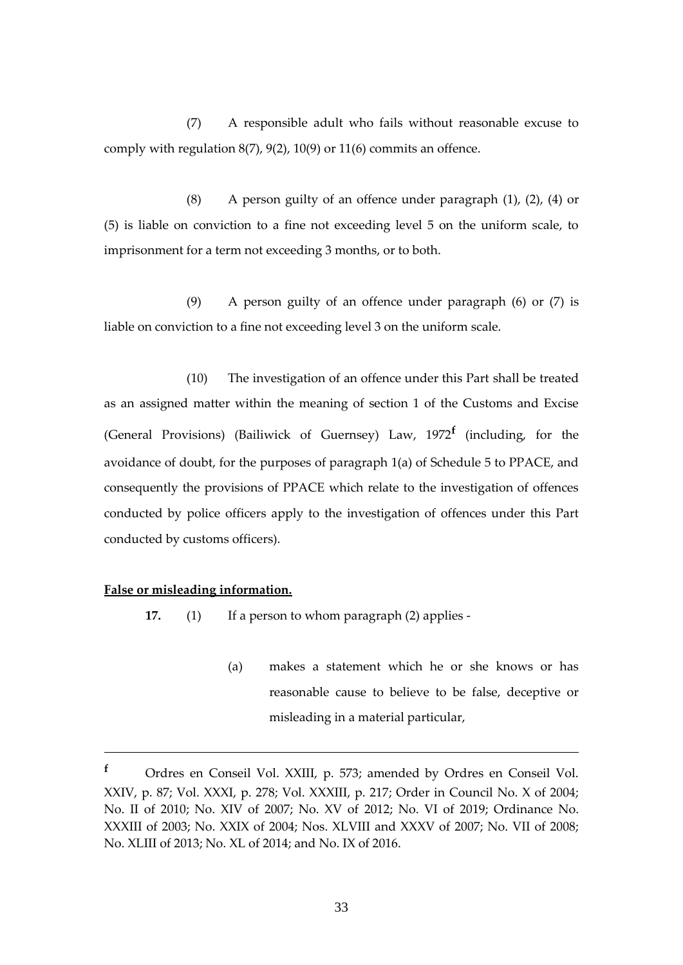(7) A responsible adult who fails without reasonable excuse to comply with regulation 8(7), 9(2), 10(9) or 11(6) commits an offence.

(8) A person guilty of an offence under paragraph (1), (2), (4) or (5) is liable on conviction to a fine not exceeding level 5 on the uniform scale, to imprisonment for a term not exceeding 3 months, or to both.

(9) A person guilty of an offence under paragraph (6) or (7) is liable on conviction to a fine not exceeding level 3 on the uniform scale.

(10) The investigation of an offence under this Part shall be treated as an assigned matter within the meaning of section 1 of the Customs and Excise (General Provisions) (Bailiwick of Guernsey) Law, 1972**<sup>f</sup>** (including, for the avoidance of doubt, for the purposes of paragraph 1(a) of Schedule 5 to PPACE, and consequently the provisions of PPACE which relate to the investigation of offences conducted by police officers apply to the investigation of offences under this Part conducted by customs officers).

### <span id="page-32-0"></span>**False or misleading information.**

**17.** (1) If a person to whom paragraph (2) applies -

(a) makes a statement which he or she knows or has reasonable cause to believe to be false, deceptive or misleading in a material particular,

**<sup>f</sup>** Ordres en Conseil Vol. XXIII, p. 573; amended by Ordres en Conseil Vol. XXIV, p. 87; Vol. XXXI, p. 278; Vol. XXXIII, p. 217; Order in Council No. X of 2004; No. II of 2010; No. XIV of 2007; No. XV of 2012; No. VI of 2019; Ordinance No. XXXIII of 2003; No. XXIX of 2004; Nos. XLVIII and XXXV of 2007; No. VII of 2008; No. XLIII of 2013; No. XL of 2014; and No. IX of 2016.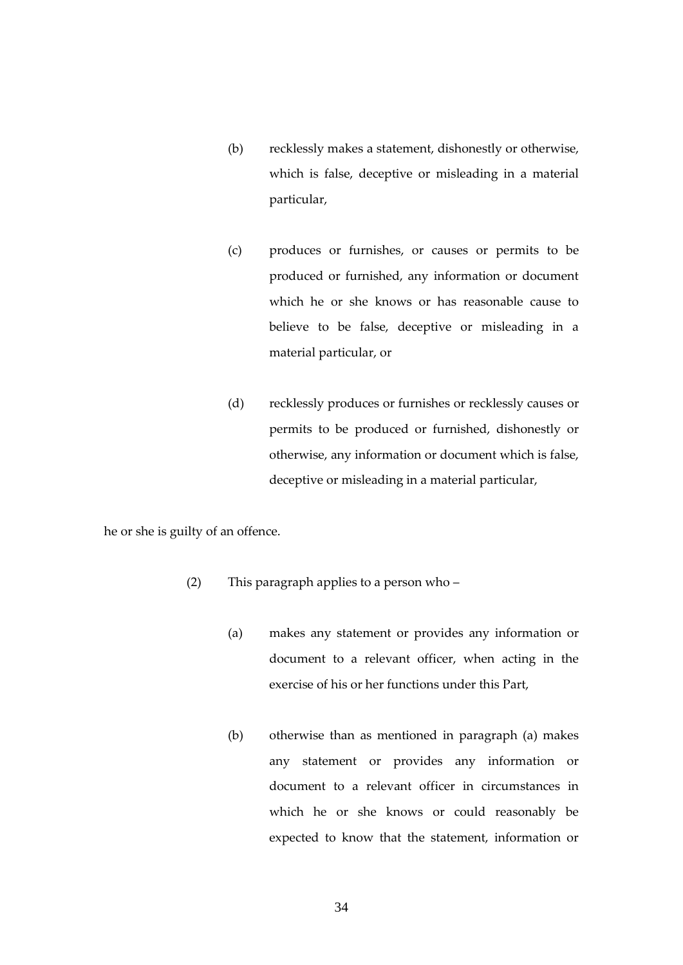- (b) recklessly makes a statement, dishonestly or otherwise, which is false, deceptive or misleading in a material particular,
- (c) produces or furnishes, or causes or permits to be produced or furnished, any information or document which he or she knows or has reasonable cause to believe to be false, deceptive or misleading in a material particular, or
- (d) recklessly produces or furnishes or recklessly causes or permits to be produced or furnished, dishonestly or otherwise, any information or document which is false, deceptive or misleading in a material particular,

he or she is guilty of an offence.

- (2) This paragraph applies to a person who
	- (a) makes any statement or provides any information or document to a relevant officer, when acting in the exercise of his or her functions under this Part,
	- (b) otherwise than as mentioned in paragraph (a) makes any statement or provides any information or document to a relevant officer in circumstances in which he or she knows or could reasonably be expected to know that the statement, information or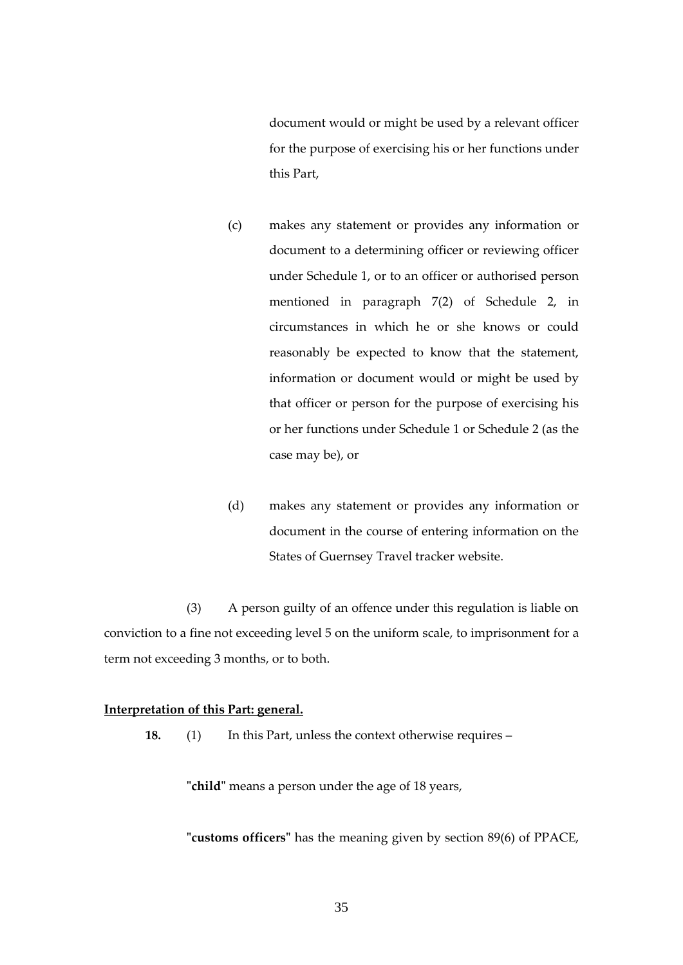document would or might be used by a relevant officer for the purpose of exercising his or her functions under this Part,

- (c) makes any statement or provides any information or document to a determining officer or reviewing officer under Schedule 1, or to an officer or authorised person mentioned in paragraph 7(2) of Schedule 2, in circumstances in which he or she knows or could reasonably be expected to know that the statement, information or document would or might be used by that officer or person for the purpose of exercising his or her functions under Schedule 1 or Schedule 2 (as the case may be), or
- (d) makes any statement or provides any information or document in the course of entering information on the States of Guernsey Travel tracker website.

(3) A person guilty of an offence under this regulation is liable on conviction to a fine not exceeding level 5 on the uniform scale, to imprisonment for a term not exceeding 3 months, or to both.

### <span id="page-34-0"></span>**Interpretation of this Part: general.**

**18.** (1) In this Part, unless the context otherwise requires –

**"child"** means a person under the age of 18 years,

**"customs officers"** has the meaning given by section 89(6) of PPACE,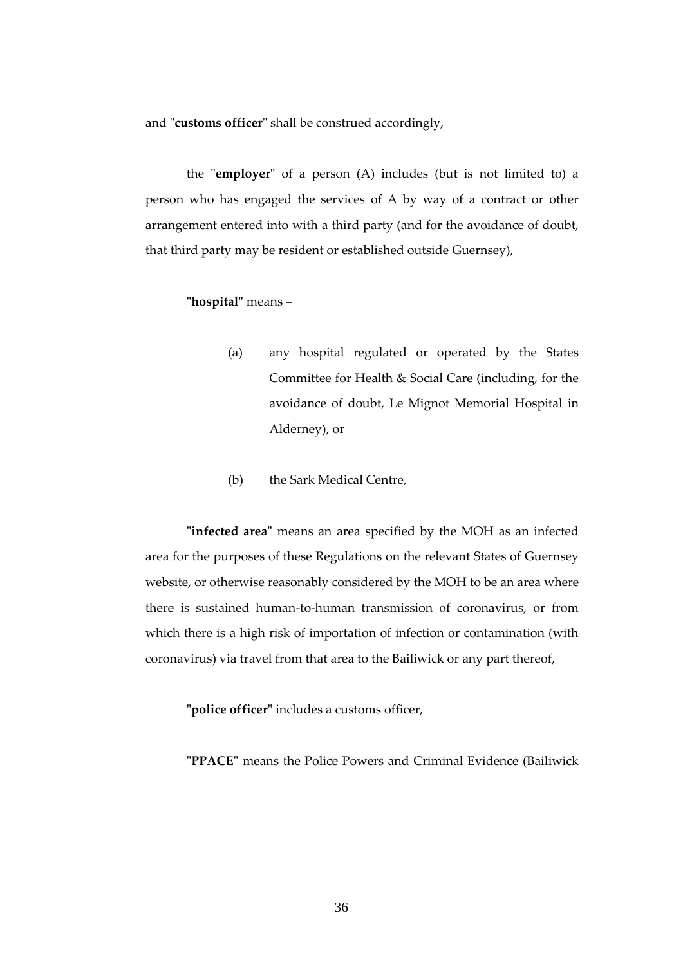and "**customs officer**" shall be construed accordingly,

the **"employer"** of a person (A) includes (but is not limited to) a person who has engaged the services of A by way of a contract or other arrangement entered into with a third party (and for the avoidance of doubt, that third party may be resident or established outside Guernsey),

### **"hospital"** means –

- (a) any hospital regulated or operated by the States Committee for Health & Social Care (including, for the avoidance of doubt, Le Mignot Memorial Hospital in Alderney), or
- (b) the Sark Medical Centre,

**"infected area"** means an area specified by the MOH as an infected area for the purposes of these Regulations on the relevant States of Guernsey website, or otherwise reasonably considered by the MOH to be an area where there is sustained human-to-human transmission of coronavirus, or from which there is a high risk of importation of infection or contamination (with coronavirus) via travel from that area to the Bailiwick or any part thereof,

**"police officer"** includes a customs officer,

**"PPACE"** means the Police Powers and Criminal Evidence (Bailiwick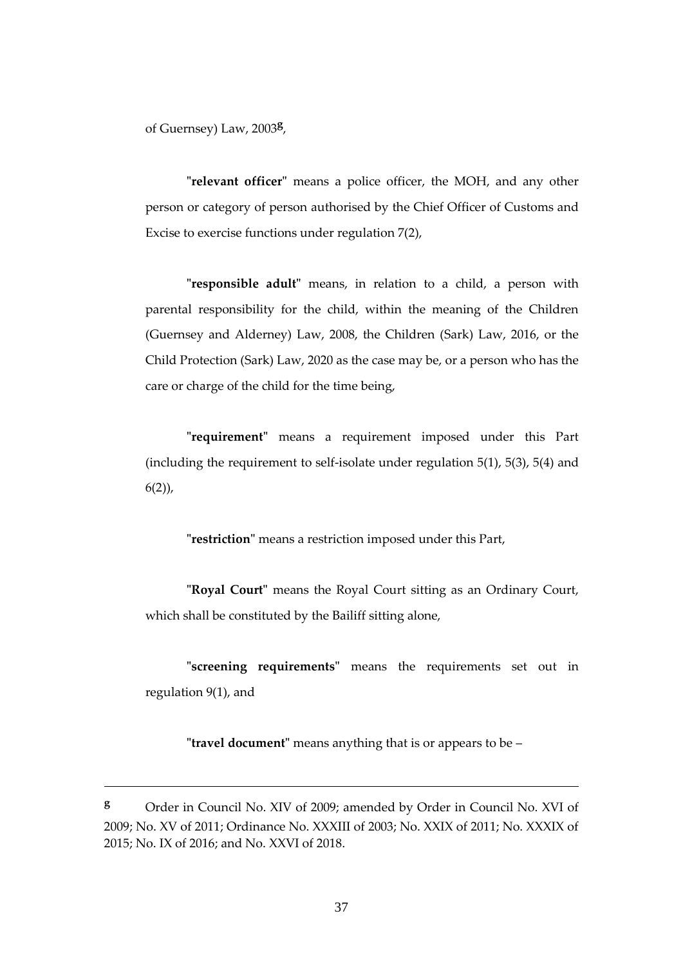of Guernsey) Law, 2003**<sup>g</sup>** ,

**"relevant officer"** means a police officer, the MOH, and any other person or category of person authorised by the Chief Officer of Customs and Excise to exercise functions under regulation 7(2),

**"responsible adult"** means, in relation to a child, a person with parental responsibility for the child, within the meaning of the Children (Guernsey and Alderney) Law, 2008, the Children (Sark) Law, 2016, or the Child Protection (Sark) Law, 2020 as the case may be, or a person who has the care or charge of the child for the time being,

**"requirement"** means a requirement imposed under this Part (including the requirement to self-isolate under regulation  $5(1)$ ,  $5(3)$ ,  $5(4)$  and  $6(2)$ ,

**"restriction"** means a restriction imposed under this Part,

**"Royal Court"** means the Royal Court sitting as an Ordinary Court, which shall be constituted by the Bailiff sitting alone,

**"screening requirements"** means the requirements set out in regulation 9(1), and

**"travel document"** means anything that is or appears to be –

**<sup>g</sup>** Order in Council No. XIV of 2009; amended by Order in Council No. XVI of 2009; No. XV of 2011; Ordinance No. XXXIII of 2003; No. XXIX of 2011; No. XXXIX of 2015; No. IX of 2016; and No. XXVI of 2018.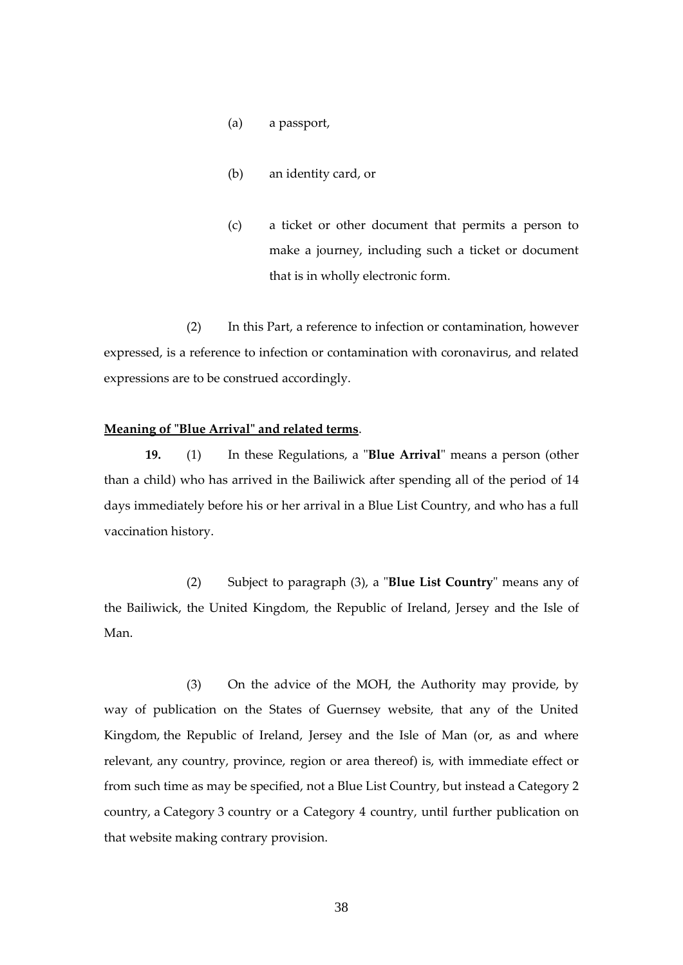- (a) a passport,
- (b) an identity card, or
- (c) a ticket or other document that permits a person to make a journey, including such a ticket or document that is in wholly electronic form.

(2) In this Part, a reference to infection or contamination, however expressed, is a reference to infection or contamination with coronavirus, and related expressions are to be construed accordingly.

## **Meaning of "Blue Arrival" and related terms**.

**19.** (1) In these Regulations, a "**Blue Arrival**" means a person (other than a child) who has arrived in the Bailiwick after spending all of the period of 14 days immediately before his or her arrival in a Blue List Country, and who has a full vaccination history.

(2) Subject to paragraph (3), a "**Blue List Country**" means any of the Bailiwick, the United Kingdom, the Republic of Ireland, Jersey and the Isle of Man.

(3) On the advice of the MOH, the Authority may provide, by way of publication on the States of Guernsey website, that any of the United Kingdom, the Republic of Ireland, Jersey and the Isle of Man (or, as and where relevant, any country, province, region or area thereof) is, with immediate effect or from such time as may be specified, not a Blue List Country, but instead a Category 2 country, a Category 3 country or a Category 4 country, until further publication on that website making contrary provision.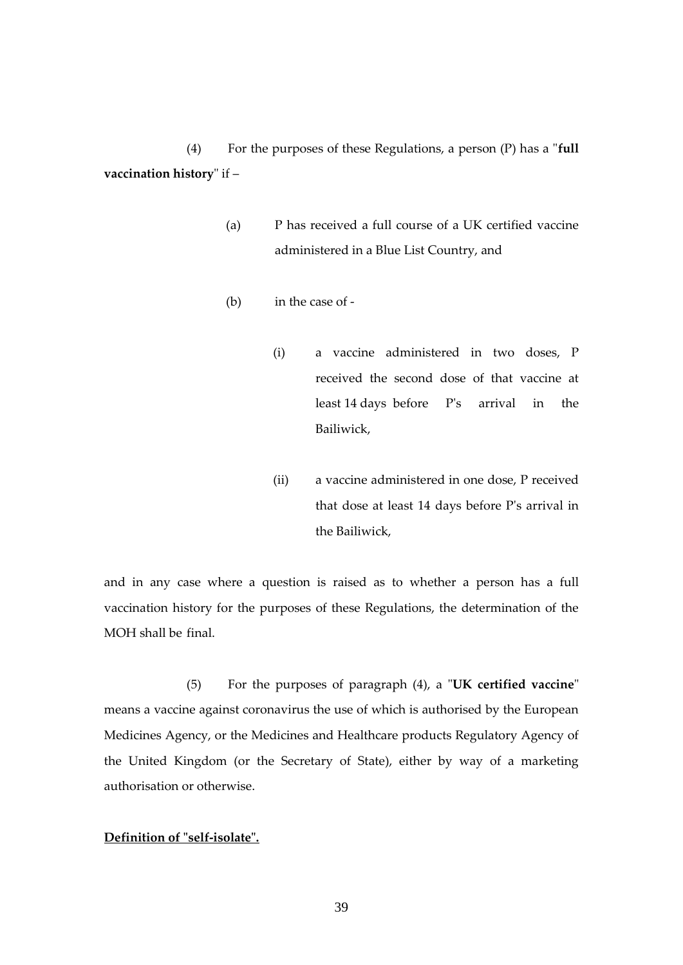(4) For the purposes of these Regulations, a person (P) has a "**full vaccination history**" if –

- (a) P has received a full course of a UK certified vaccine administered in a Blue List Country, and
- (b) in the case of
	- (i) a vaccine administered in two doses, P received the second dose of that vaccine at least 14 days before P's arrival in the Bailiwick,
	- (ii) a vaccine administered in one dose, P received that dose at least 14 days before P's arrival in the Bailiwick,

and in any case where a question is raised as to whether a person has a full vaccination history for the purposes of these Regulations, the determination of the MOH shall be final.

(5) For the purposes of paragraph (4), a "**UK certified vaccine**" means a vaccine against coronavirus the use of which is authorised by the European Medicines Agency, or the Medicines and Healthcare products Regulatory Agency of the United Kingdom (or the Secretary of State), either by way of a marketing authorisation or otherwise.

# **Definition of "self-isolate".**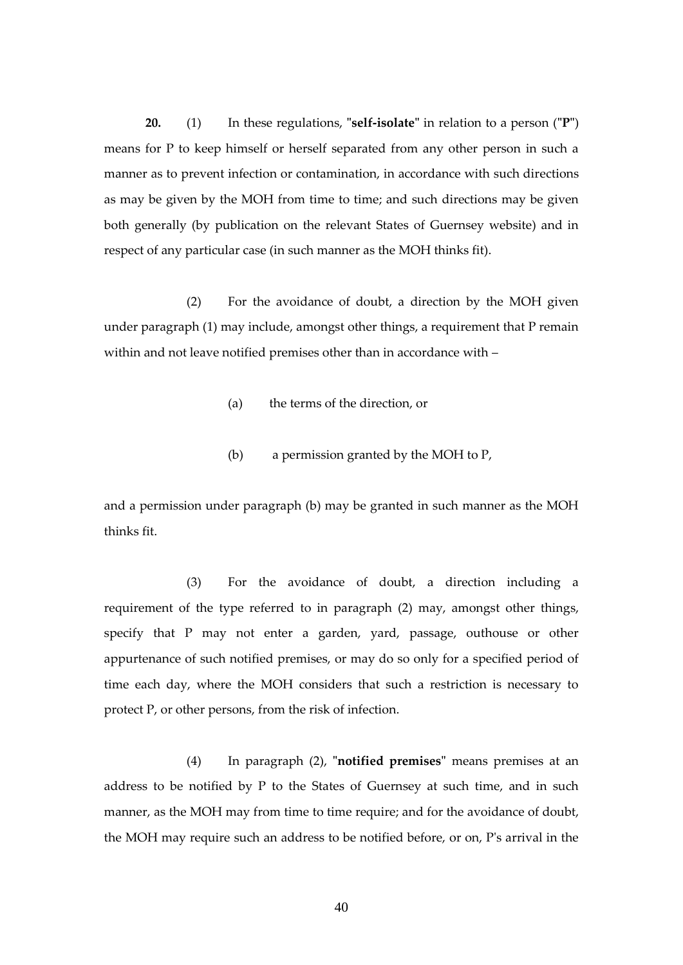**20.** (1) In these regulations, **"self-isolate"** in relation to a person (**"P"**) means for P to keep himself or herself separated from any other person in such a manner as to prevent infection or contamination, in accordance with such directions as may be given by the MOH from time to time; and such directions may be given both generally (by publication on the relevant States of Guernsey website) and in respect of any particular case (in such manner as the MOH thinks fit).

(2) For the avoidance of doubt, a direction by the MOH given under paragraph (1) may include, amongst other things, a requirement that P remain within and not leave notified premises other than in accordance with –

- (a) the terms of the direction, or
- (b) a permission granted by the MOH to P,

and a permission under paragraph (b) may be granted in such manner as the MOH thinks fit.

(3) For the avoidance of doubt, a direction including a requirement of the type referred to in paragraph (2) may, amongst other things, specify that P may not enter a garden, yard, passage, outhouse or other appurtenance of such notified premises, or may do so only for a specified period of time each day, where the MOH considers that such a restriction is necessary to protect P, or other persons, from the risk of infection.

(4) In paragraph (2), **"notified premises"** means premises at an address to be notified by P to the States of Guernsey at such time, and in such manner, as the MOH may from time to time require; and for the avoidance of doubt, the MOH may require such an address to be notified before, or on, P's arrival in the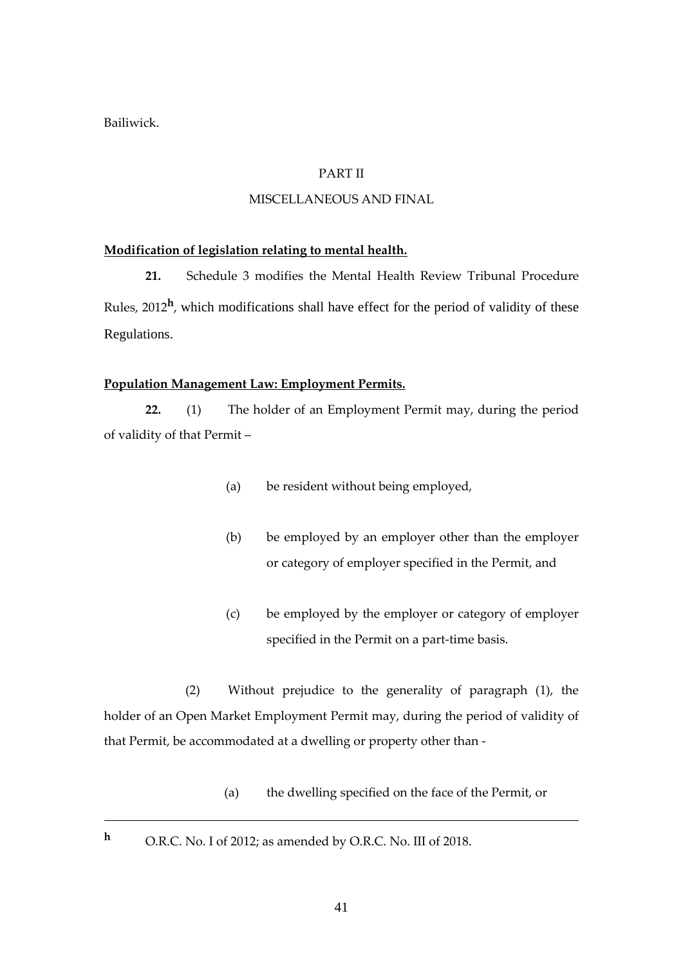Bailiwick.

# PART II

## MISCELLANEOUS AND FINAL

## **Modification of legislation relating to mental health.**

**21.** Schedule 3 modifies the Mental Health Review Tribunal Procedure Rules, 2012<sup>h</sup>, which modifications shall have effect for the period of validity of these Regulations.

## **Population Management Law: Employment Permits.**

**22.** (1) The holder of an Employment Permit may, during the period of validity of that Permit –

- (a) be resident without being employed,
- (b) be employed by an employer other than the employer or category of employer specified in the Permit, and
- (c) be employed by the employer or category of employer specified in the Permit on a part-time basis.

(2) Without prejudice to the generality of paragraph (1), the holder of an Open Market Employment Permit may, during the period of validity of that Permit, be accommodated at a dwelling or property other than -

- (a) the dwelling specified on the face of the Permit, or
- **<sup>h</sup>** O.R.C. No. I of 2012; as amended by O.R.C. No. III of 2018.

41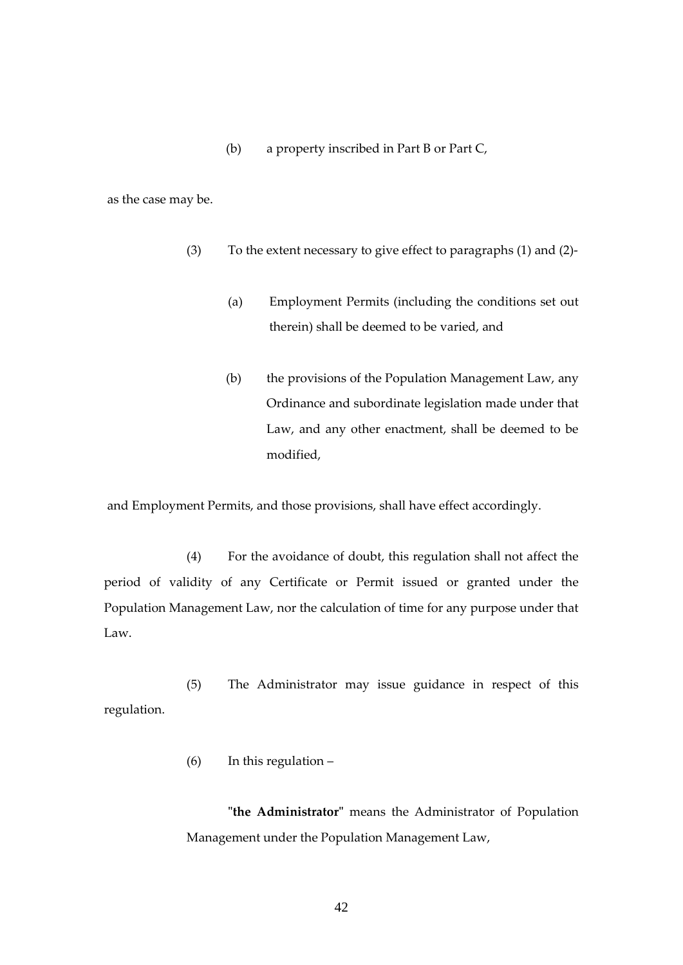(b) a property inscribed in Part B or Part C,

as the case may be.

- (3) To the extent necessary to give effect to paragraphs (1) and (2)-
	- (a) Employment Permits (including the conditions set out therein) shall be deemed to be varied, and
	- (b) the provisions of the Population Management Law, any Ordinance and subordinate legislation made under that Law, and any other enactment, shall be deemed to be modified,

and Employment Permits, and those provisions, shall have effect accordingly.

(4) For the avoidance of doubt, this regulation shall not affect the period of validity of any Certificate or Permit issued or granted under the Population Management Law, nor the calculation of time for any purpose under that Law.

(5) The Administrator may issue guidance in respect of this regulation.

(6) In this regulation –

**"the Administrator"** means the Administrator of Population Management under the Population Management Law,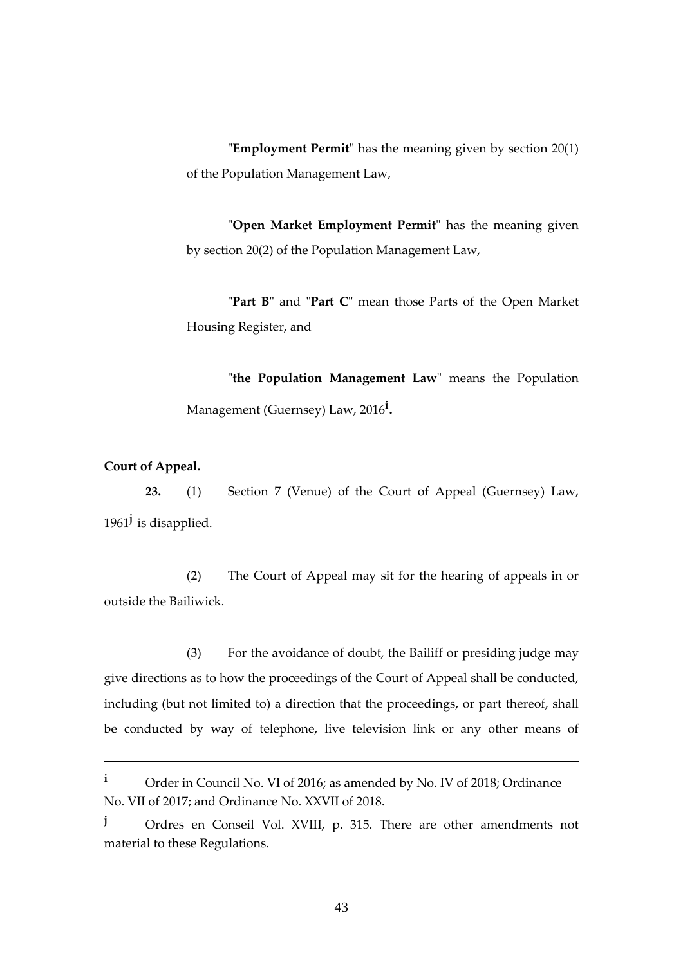"**Employment Permit**" has the meaning given by section 20(1) of the Population Management Law,

"**Open Market Employment Permit**" has the meaning given by section 20(2) of the Population Management Law,

"**Part B**" and "**Part C**" mean those Parts of the Open Market Housing Register, and

"**the Population Management Law**" means the Population Management (Guernsey) Law, 2016**<sup>i</sup>** .

## **Court of Appeal.**

**23.** (1) Section 7 (Venue) of the Court of Appeal (Guernsey) Law, 1961**<sup>j</sup>** is disapplied.

(2) The Court of Appeal may sit for the hearing of appeals in or outside the Bailiwick.

(3) For the avoidance of doubt, the Bailiff or presiding judge may give directions as to how the proceedings of the Court of Appeal shall be conducted, including (but not limited to) a direction that the proceedings, or part thereof, shall be conducted by way of telephone, live television link or any other means of

**<sup>i</sup>** Order in Council No. VI of 2016; as amended by No. IV of 2018; Ordinance No. VII of 2017; and Ordinance No. XXVII of 2018.

**<sup>j</sup>** Ordres en Conseil Vol. XVIII, p. 315. There are other amendments not material to these Regulations.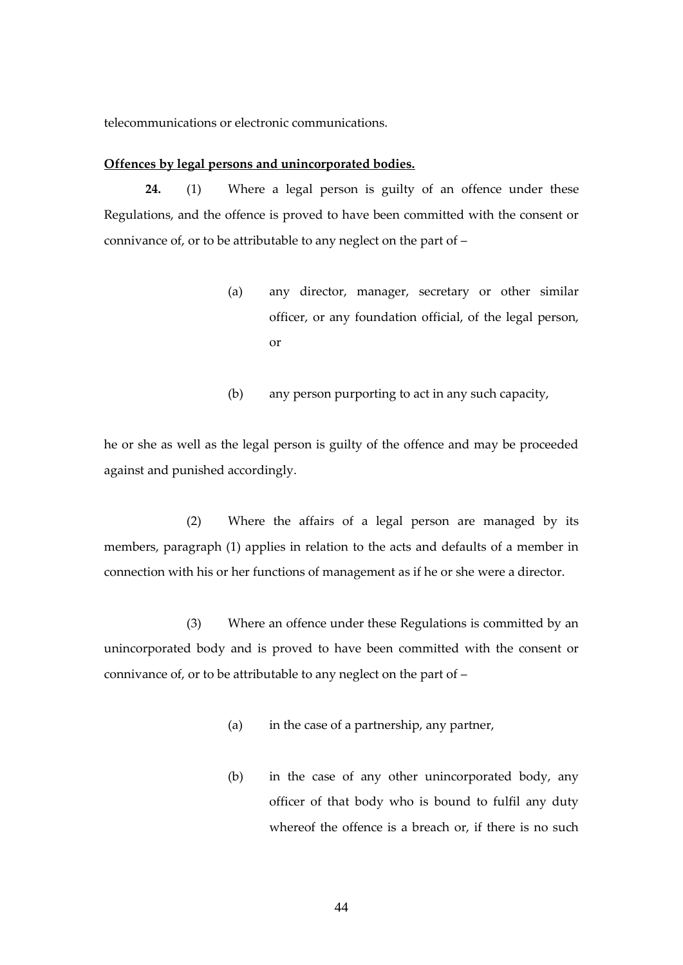telecommunications or electronic communications.

## **Offences by legal persons and unincorporated bodies.**

**24.** (1) Where a legal person is guilty of an offence under these Regulations, and the offence is proved to have been committed with the consent or connivance of, or to be attributable to any neglect on the part of –

- (a) any director, manager, secretary or other similar officer, or any foundation official, of the legal person, or
- (b) any person purporting to act in any such capacity,

he or she as well as the legal person is guilty of the offence and may be proceeded against and punished accordingly.

(2) Where the affairs of a legal person are managed by its members, paragraph (1) applies in relation to the acts and defaults of a member in connection with his or her functions of management as if he or she were a director.

(3) Where an offence under these Regulations is committed by an unincorporated body and is proved to have been committed with the consent or connivance of, or to be attributable to any neglect on the part of –

- (a) in the case of a partnership, any partner,
- (b) in the case of any other unincorporated body, any officer of that body who is bound to fulfil any duty whereof the offence is a breach or, if there is no such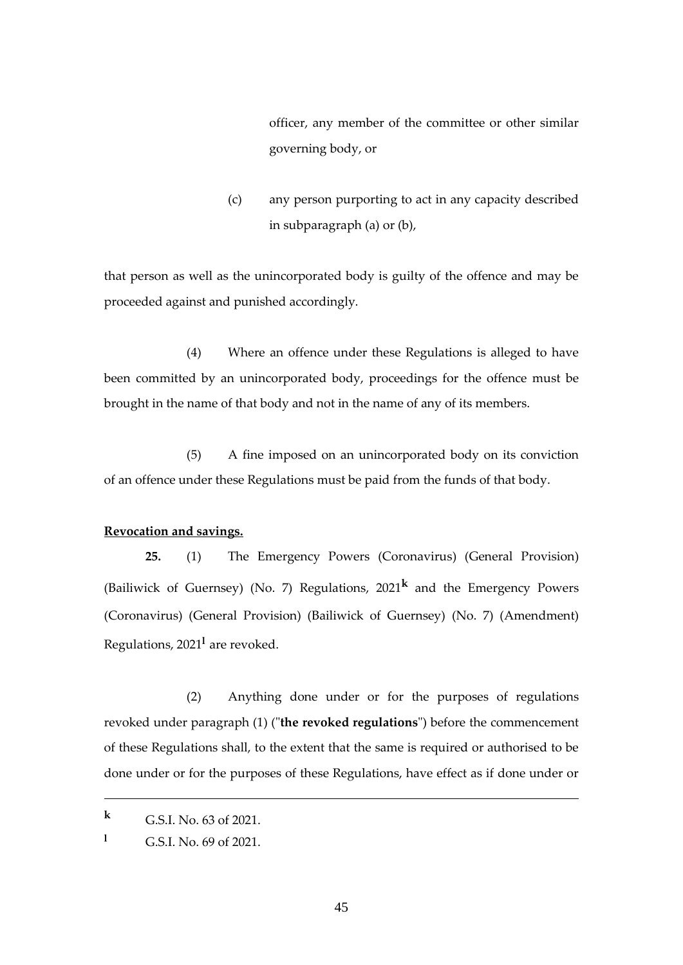officer, any member of the committee or other similar governing body, or

(c) any person purporting to act in any capacity described in subparagraph (a) or (b),

that person as well as the unincorporated body is guilty of the offence and may be proceeded against and punished accordingly.

(4) Where an offence under these Regulations is alleged to have been committed by an unincorporated body, proceedings for the offence must be brought in the name of that body and not in the name of any of its members.

(5) A fine imposed on an unincorporated body on its conviction of an offence under these Regulations must be paid from the funds of that body.

#### **Revocation and savings.**

**25.** (1) The Emergency Powers (Coronavirus) (General Provision) (Bailiwick of Guernsey) (No. 7) Regulations, 2021**<sup>k</sup>** and the Emergency Powers (Coronavirus) (General Provision) (Bailiwick of Guernsey) (No. 7) (Amendment) Regulations, 2021**<sup>l</sup>** are revoked.

(2) Anything done under or for the purposes of regulations revoked under paragraph (1) ("**the revoked regulations**") before the commencement of these Regulations shall, to the extent that the same is required or authorised to be done under or for the purposes of these Regulations, have effect as if done under or

**<sup>k</sup>** G.S.I. No. 63 of 2021.

**<sup>l</sup>** G.S.I. No. 69 of 2021.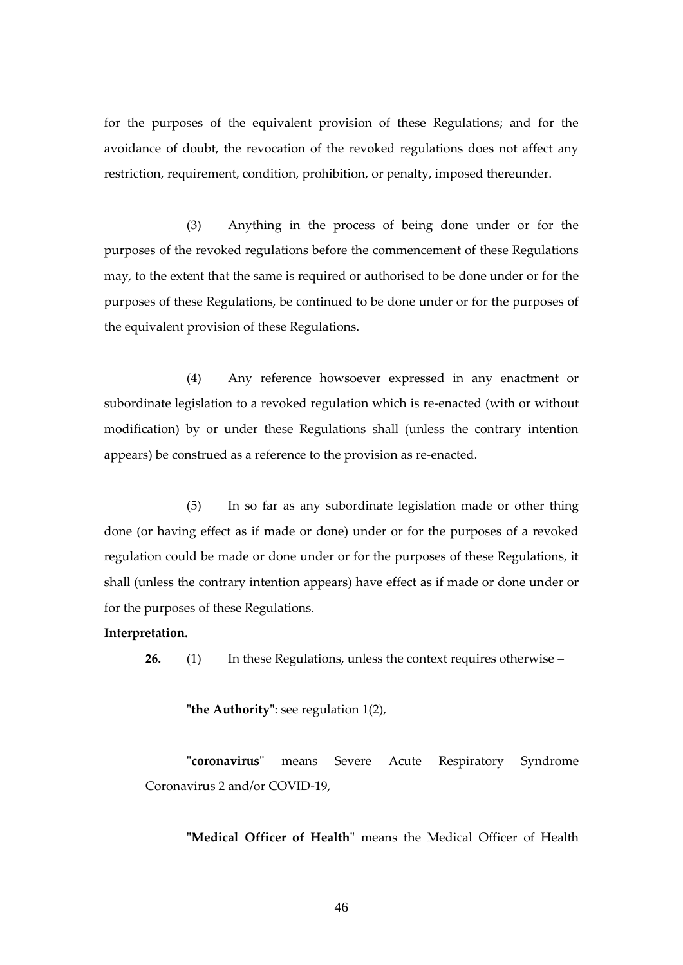for the purposes of the equivalent provision of these Regulations; and for the avoidance of doubt, the revocation of the revoked regulations does not affect any restriction, requirement, condition, prohibition, or penalty, imposed thereunder.

(3) Anything in the process of being done under or for the purposes of the revoked regulations before the commencement of these Regulations may, to the extent that the same is required or authorised to be done under or for the purposes of these Regulations, be continued to be done under or for the purposes of the equivalent provision of these Regulations.

(4) Any reference howsoever expressed in any enactment or subordinate legislation to a revoked regulation which is re-enacted (with or without modification) by or under these Regulations shall (unless the contrary intention appears) be construed as a reference to the provision as re-enacted.

(5) In so far as any subordinate legislation made or other thing done (or having effect as if made or done) under or for the purposes of a revoked regulation could be made or done under or for the purposes of these Regulations, it shall (unless the contrary intention appears) have effect as if made or done under or for the purposes of these Regulations.

#### **Interpretation.**

**26.** (1) In these Regulations, unless the context requires otherwise –

**"the Authority"**: see regulation 1(2),

**"coronavirus"** means Severe Acute Respiratory Syndrome Coronavirus 2 and/or COVID-19,

**"Medical Officer of Health"** means the Medical Officer of Health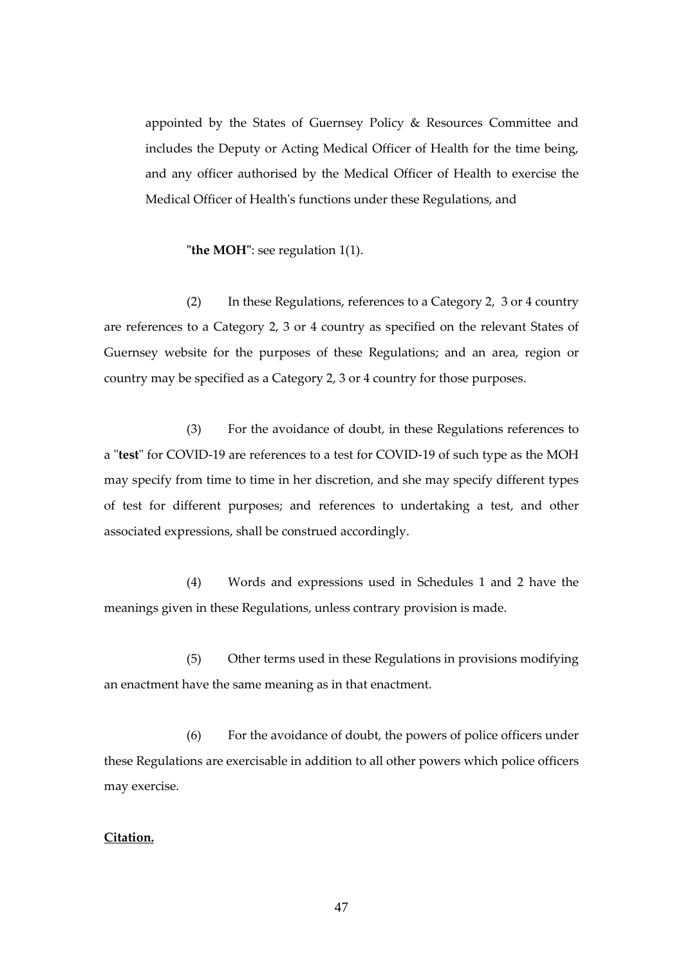appointed by the States of Guernsey Policy & Resources Committee and includes the Deputy or Acting Medical Officer of Health for the time being, and any officer authorised by the Medical Officer of Health to exercise the Medical Officer of Health's functions under these Regulations, and

**"the MOH"**: see regulation 1(1).

(2) In these Regulations, references to a Category 2, 3 or 4 country are references to a Category 2, 3 or 4 country as specified on the relevant States of Guernsey website for the purposes of these Regulations; and an area, region or country may be specified as a Category 2, 3 or 4 country for those purposes.

(3) For the avoidance of doubt, in these Regulations references to a "**test**" for COVID-19 are references to a test for COVID-19 of such type as the MOH may specify from time to time in her discretion, and she may specify different types of test for different purposes; and references to undertaking a test, and other associated expressions, shall be construed accordingly.

(4) Words and expressions used in [Schedules 1](#page-61-0) and 2 have the meanings given in these Regulations, unless contrary provision is made.

(5) Other terms used in these Regulations in provisions modifying an enactment have the same meaning as in that enactment.

(6) For the avoidance of doubt, the powers of police officers under these Regulations are exercisable in addition to all other powers which police officers may exercise.

## **Citation.**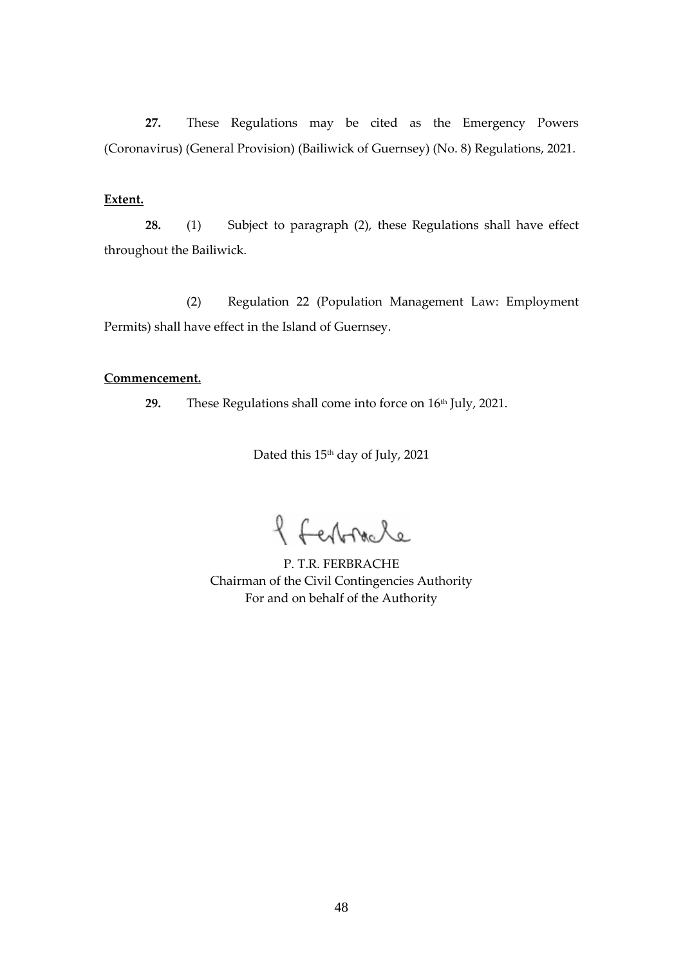**27.** These Regulations may be cited as the Emergency Powers (Coronavirus) (General Provision) (Bailiwick of Guernsey) (No. 8) Regulations, 2021.

## **Extent.**

**28.** (1) Subject to paragraph (2), these Regulations shall have effect throughout the Bailiwick.

(2) Regulation 22 (Population Management Law: Employment Permits) shall have effect in the Island of Guernsey.

## **Commencement.**

29. These Regulations shall come into force on 16<sup>th</sup> July, 2021.

Dated this 15<sup>th</sup> day of July, 2021

f ferbracle

P. T.R. FERBRACHE Chairman of the Civil Contingencies Authority For and on behalf of the Authority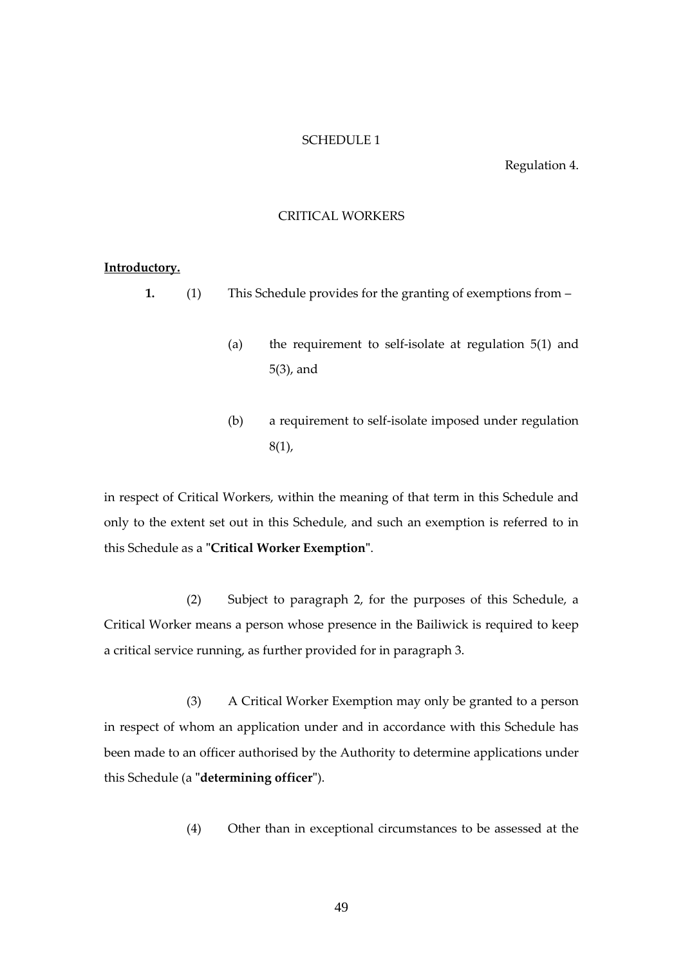### SCHEDULE 1

#### Regulation 4.

### CRITICAL WORKERS

### **Introductory.**

**1.** (1) This Schedule provides for the granting of exemptions from –

- (a) the requirement to self-isolate at regulation 5(1) and 5(3), and
- (b) a requirement to self-isolate imposed under regulation  $8(1)$ ,

in respect of Critical Workers, within the meaning of that term in this Schedule and only to the extent set out in this Schedule, and such an exemption is referred to in this Schedule as a **"Critical Worker Exemption"**.

(2) Subject to paragraph 2, for the purposes of this Schedule, a Critical Worker means a person whose presence in the Bailiwick is required to keep a critical service running, as further provided for in paragraph 3.

(3) A Critical Worker Exemption may only be granted to a person in respect of whom an application under and in accordance with this Schedule has been made to an officer authorised by the Authority to determine applications under this Schedule (a **"determining officer"**).

(4) Other than in exceptional circumstances to be assessed at the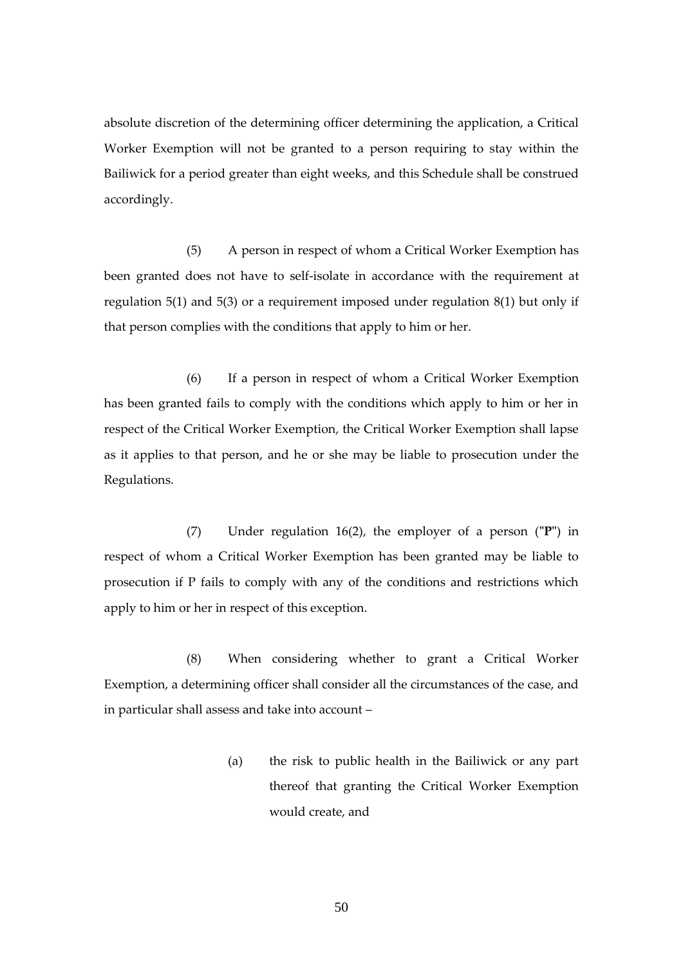absolute discretion of the determining officer determining the application, a Critical Worker Exemption will not be granted to a person requiring to stay within the Bailiwick for a period greater than eight weeks, and this Schedule shall be construed accordingly.

(5) A person in respect of whom a Critical Worker Exemption has been granted does not have to self-isolate in accordance with the requirement at regulation 5(1) and 5(3) or a requirement imposed under regulation 8(1) but only if that person complies with the conditions that apply to him or her.

(6) If a person in respect of whom a Critical Worker Exemption has been granted fails to comply with the conditions which apply to him or her in respect of the Critical Worker Exemption, the Critical Worker Exemption shall lapse as it applies to that person, and he or she may be liable to prosecution under the Regulations.

(7) Under regulation 16(2), the employer of a person (**"P"**) in respect of whom a Critical Worker Exemption has been granted may be liable to prosecution if P fails to comply with any of the conditions and restrictions which apply to him or her in respect of this exception.

(8) When considering whether to grant a Critical Worker Exemption, a determining officer shall consider all the circumstances of the case, and in particular shall assess and take into account –

> (a) the risk to public health in the Bailiwick or any part thereof that granting the Critical Worker Exemption would create, and

> > 50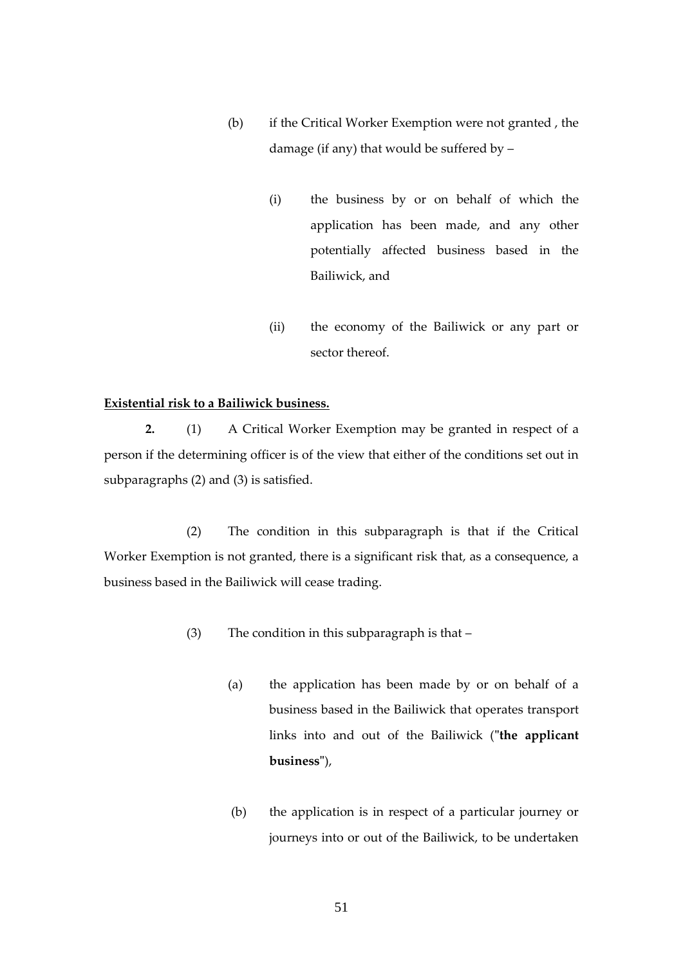- (b) if the Critical Worker Exemption were not granted , the damage (if any) that would be suffered by –
	- (i) the business by or on behalf of which the application has been made, and any other potentially affected business based in the Bailiwick, and
	- (ii) the economy of the Bailiwick or any part or sector thereof.

# **Existential risk to a Bailiwick business.**

**2.** (1) A Critical Worker Exemption may be granted in respect of a person if the determining officer is of the view that either of the conditions set out in subparagraphs (2) and (3) is satisfied.

(2) The condition in this subparagraph is that if the Critical Worker Exemption is not granted, there is a significant risk that, as a consequence, a business based in the Bailiwick will cease trading.

- (3) The condition in this subparagraph is that
	- (a) the application has been made by or on behalf of a business based in the Bailiwick that operates transport links into and out of the Bailiwick (**"the applicant business"**),
	- (b) the application is in respect of a particular journey or journeys into or out of the Bailiwick, to be undertaken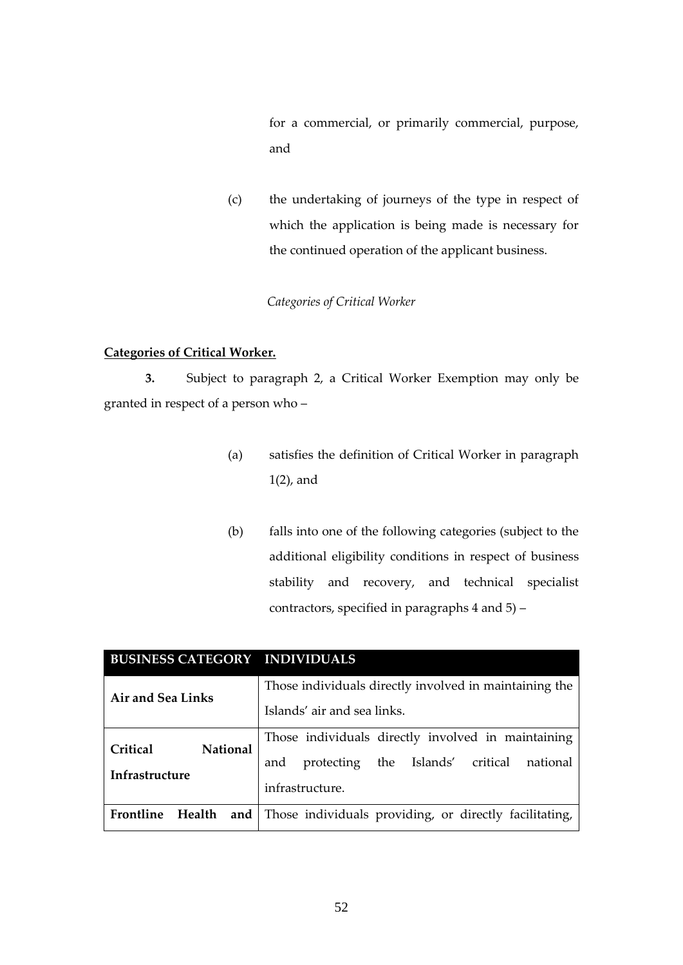for a commercial, or primarily commercial, purpose, and

(c) the undertaking of journeys of the type in respect of which the application is being made is necessary for the continued operation of the applicant business.

# *Categories of Critical Worker*

## **Categories of Critical Worker.**

**3.** Subject to paragraph 2, a Critical Worker Exemption may only be granted in respect of a person who –

- (a) satisfies the definition of Critical Worker in paragraph 1(2), and
- (b) falls into one of the following categories (subject to the additional eligibility conditions in respect of business stability and recovery, and technical specialist contractors, specified in paragraphs 4 and 5) –

| <b>BUSINESS CATEGORY INDIVIDUALS</b> |                                                        |
|--------------------------------------|--------------------------------------------------------|
| Air and Sea Links                    | Those individuals directly involved in maintaining the |
|                                      | Islands' air and sea links.                            |
| Critical<br><b>National</b>          | Those individuals directly involved in maintaining     |
| Infrastructure                       | protecting the Islands' critical<br>national<br>and    |
|                                      | infrastructure.                                        |
| Frontline<br>and $\vert$<br>Health   | Those individuals providing, or directly facilitating, |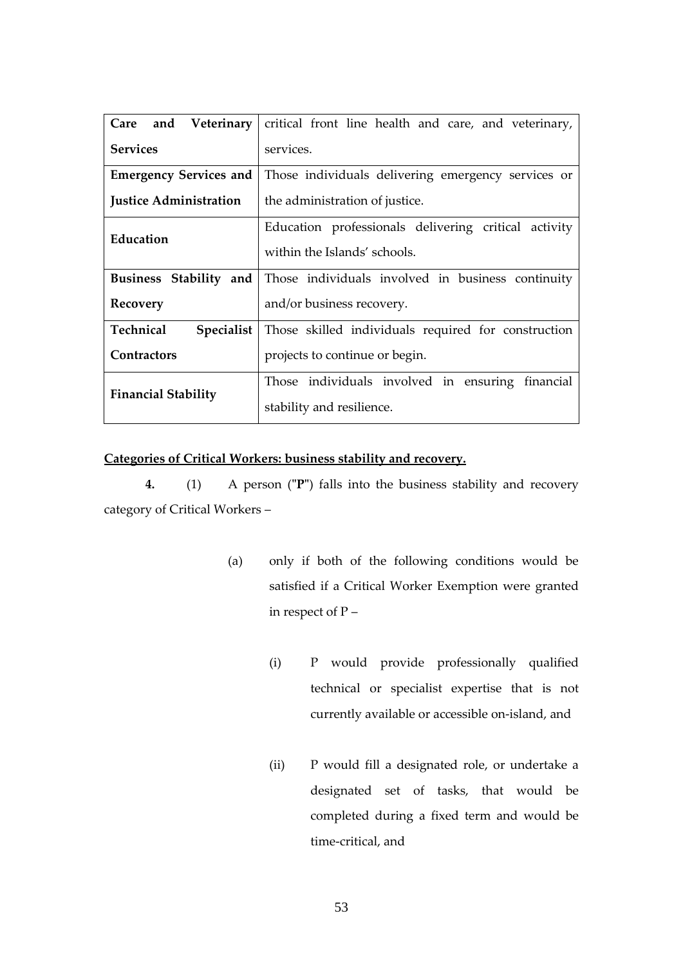|                               | Care and Veterinary   critical front line health and care, and veterinary, |
|-------------------------------|----------------------------------------------------------------------------|
| <b>Services</b>               | services.                                                                  |
| <b>Emergency Services and</b> | Those individuals delivering emergency services or                         |
| <b>Justice Administration</b> | the administration of justice.                                             |
| Education                     | Education professionals delivering critical activity                       |
|                               | within the Islands' schools.                                               |
| Business Stability and        | Those individuals involved in business continuity                          |
| Recovery                      | and/or business recovery.                                                  |
| Technical<br>Specialist       | Those skilled individuals required for construction                        |
| <b>Contractors</b>            | projects to continue or begin.                                             |
| <b>Financial Stability</b>    | Those individuals involved in ensuring financial                           |
|                               | stability and resilience.                                                  |

# **Categories of Critical Workers: business stability and recovery.**

**4.** (1) A person (**"P"**) falls into the business stability and recovery category of Critical Workers –

- (a) only if both of the following conditions would be satisfied if a Critical Worker Exemption were granted in respect of P –
	- (i) P would provide professionally qualified technical or specialist expertise that is not currently available or accessible on-island, and
	- (ii) P would fill a designated role, or undertake a designated set of tasks, that would be completed during a fixed term and would be time-critical, and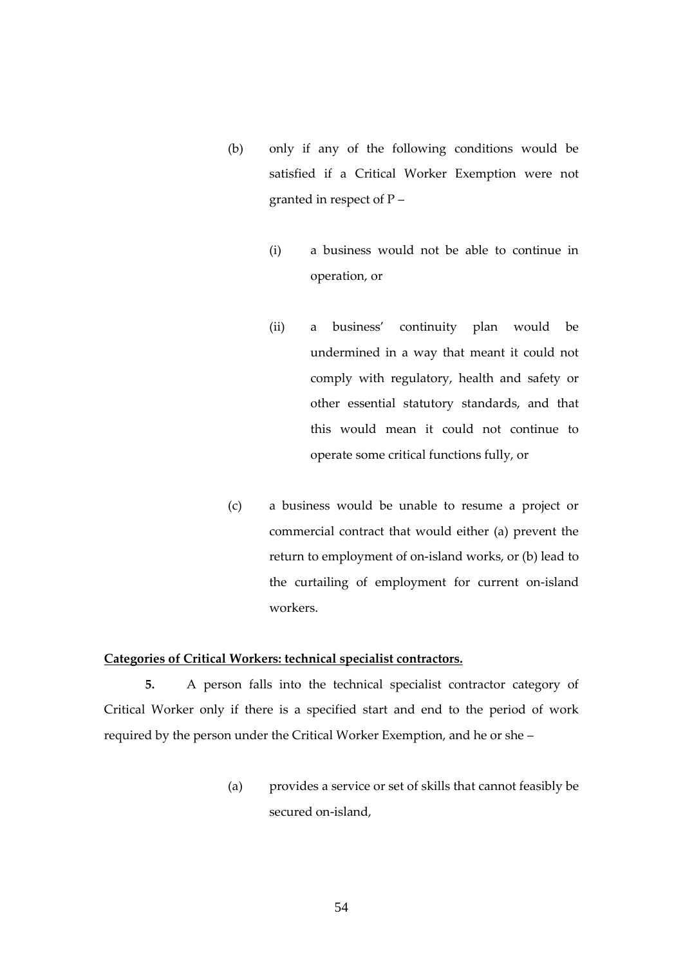- (b) only if any of the following conditions would be satisfied if a Critical Worker Exemption were not granted in respect of  $P -$ 
	- (i) a business would not be able to continue in operation, or
	- (ii) a business' continuity plan would be undermined in a way that meant it could not comply with regulatory, health and safety or other essential statutory standards, and that this would mean it could not continue to operate some critical functions fully, or
- (c) a business would be unable to resume a project or commercial contract that would either (a) prevent the return to employment of on-island works, or (b) lead to the curtailing of employment for current on-island workers.

## **Categories of Critical Workers: technical specialist contractors.**

**5.** A person falls into the technical specialist contractor category of Critical Worker only if there is a specified start and end to the period of work required by the person under the Critical Worker Exemption, and he or she –

> (a) provides a service or set of skills that cannot feasibly be secured on-island,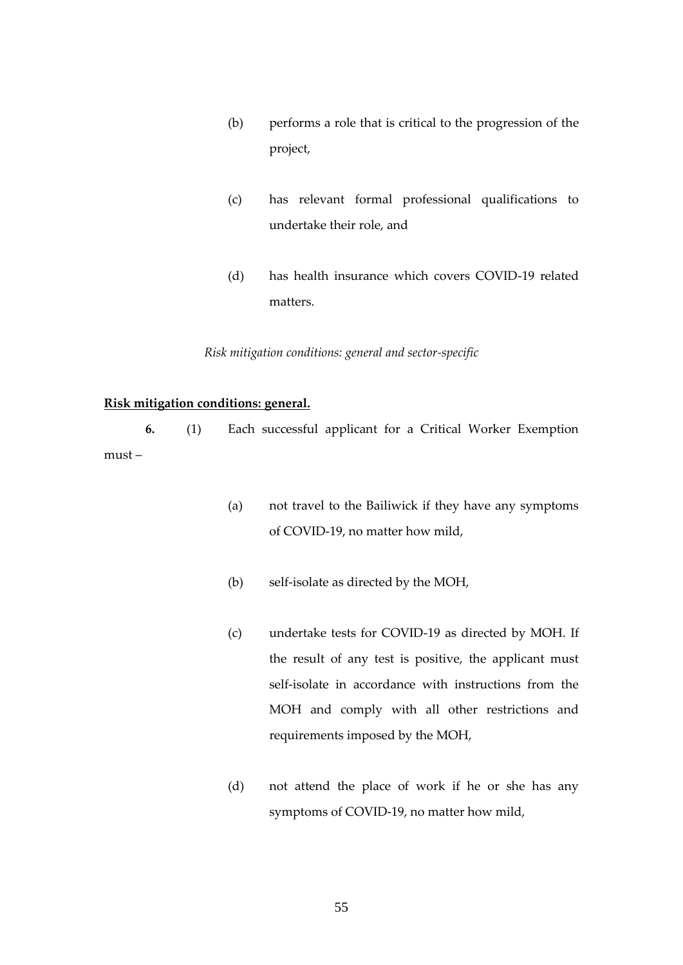- (b) performs a role that is critical to the progression of the project,
- (c) has relevant formal professional qualifications to undertake their role, and
- (d) has health insurance which covers COVID-19 related matters.

*Risk mitigation conditions: general and sector-specific*

# **Risk mitigation conditions: general.**

**6.** (1) Each successful applicant for a Critical Worker Exemption must –

- (a) not travel to the Bailiwick if they have any symptoms of COVID-19, no matter how mild,
- (b) self-isolate as directed by the MOH,
- (c) undertake tests for COVID-19 as directed by MOH. If the result of any test is positive, the applicant must self-isolate in accordance with instructions from the MOH and comply with all other restrictions and requirements imposed by the MOH,
- (d) not attend the place of work if he or she has any symptoms of COVID-19, no matter how mild,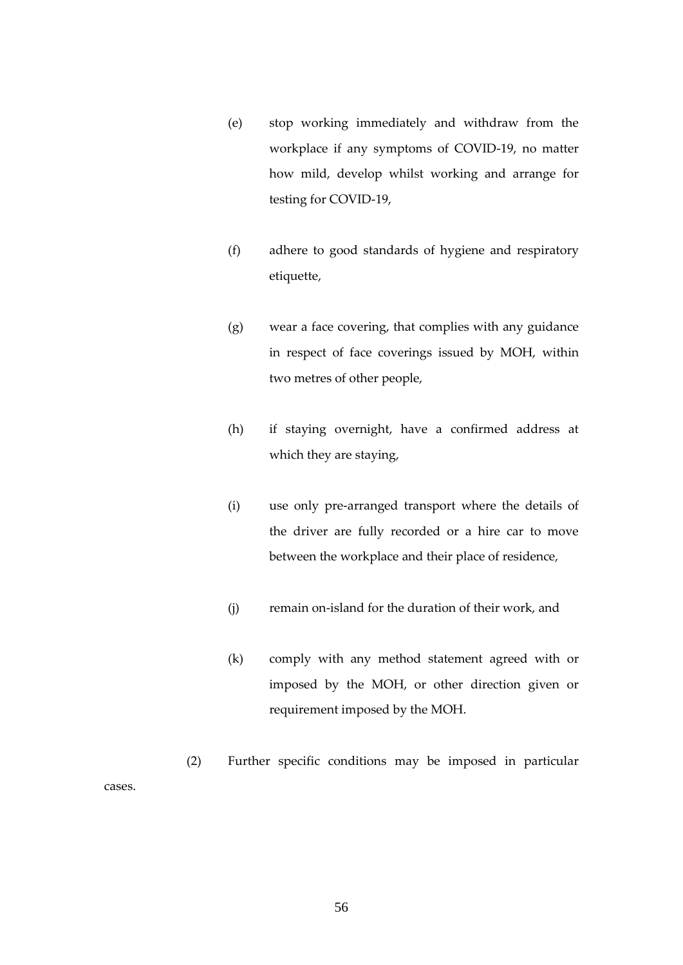- (e) stop working immediately and withdraw from the workplace if any symptoms of COVID-19, no matter how mild, develop whilst working and arrange for testing for COVID-19,
- (f) adhere to good standards of hygiene and respiratory etiquette,
- (g) wear a face covering, that complies with any guidance in respect of face coverings issued by MOH, within two metres of other people,
- (h) if staying overnight, have a confirmed address at which they are staying,
- (i) use only pre-arranged transport where the details of the driver are fully recorded or a hire car to move between the workplace and their place of residence,
- (j) remain on-island for the duration of their work, and
- (k) comply with any method statement agreed with or imposed by the MOH, or other direction given or requirement imposed by the MOH.

(2) Further specific conditions may be imposed in particular cases.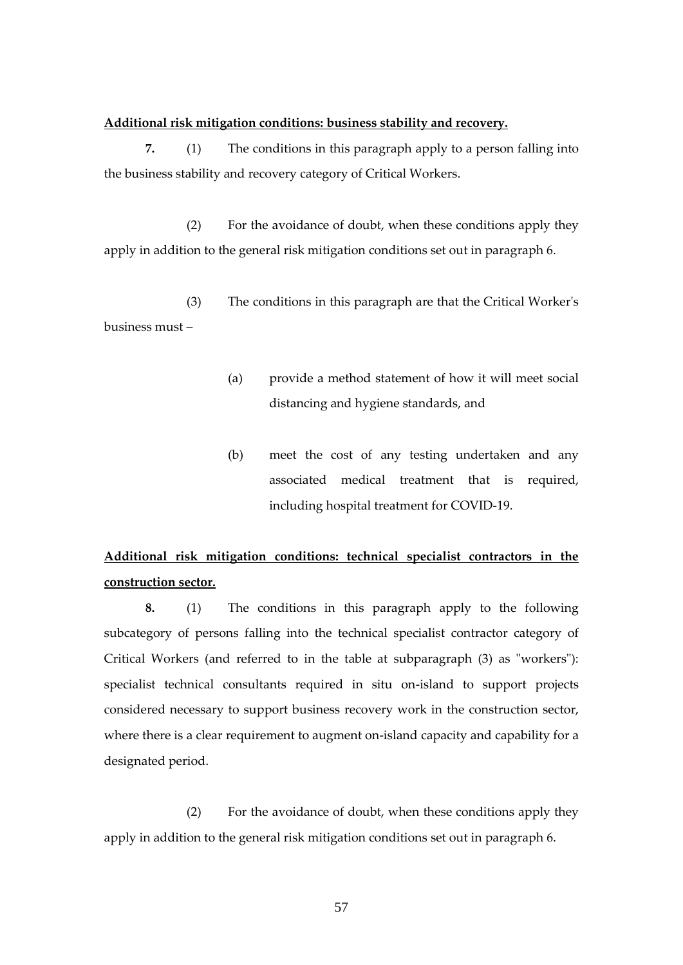### **Additional risk mitigation conditions: business stability and recovery.**

**7.** (1) The conditions in this paragraph apply to a person falling into the business stability and recovery category of Critical Workers.

(2) For the avoidance of doubt, when these conditions apply they apply in addition to the general risk mitigation conditions set out in paragraph 6.

(3) The conditions in this paragraph are that the Critical Worker's business must –

- (a) provide a method statement of how it will meet social distancing and hygiene standards, and
- (b) meet the cost of any testing undertaken and any associated medical treatment that is required, including hospital treatment for COVID-19.

# **Additional risk mitigation conditions: technical specialist contractors in the construction sector.**

**8.** (1) The conditions in this paragraph apply to the following subcategory of persons falling into the technical specialist contractor category of Critical Workers (and referred to in the table at subparagraph (3) as "workers"): specialist technical consultants required in situ on-island to support projects considered necessary to support business recovery work in the construction sector, where there is a clear requirement to augment on-island capacity and capability for a designated period.

(2) For the avoidance of doubt, when these conditions apply they apply in addition to the general risk mitigation conditions set out in paragraph 6.

57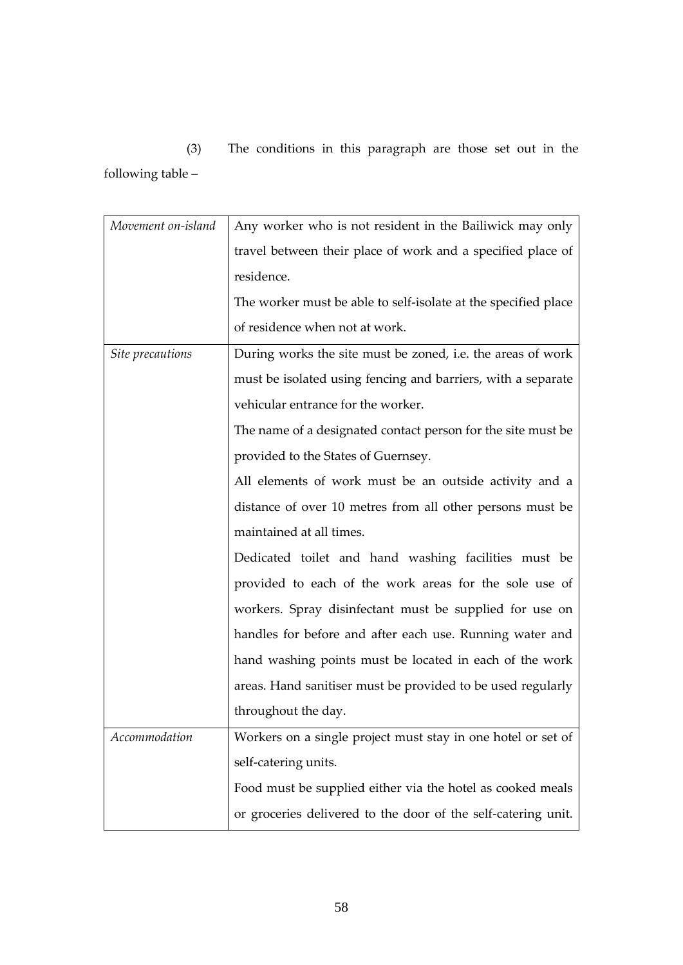(3) The conditions in this paragraph are those set out in the following table –

| Movement on-island | Any worker who is not resident in the Bailiwick may only       |
|--------------------|----------------------------------------------------------------|
|                    | travel between their place of work and a specified place of    |
|                    | residence.                                                     |
|                    | The worker must be able to self-isolate at the specified place |
|                    | of residence when not at work.                                 |
| Site precautions   | During works the site must be zoned, i.e. the areas of work    |
|                    | must be isolated using fencing and barriers, with a separate   |
|                    | vehicular entrance for the worker.                             |
|                    | The name of a designated contact person for the site must be   |
|                    | provided to the States of Guernsey.                            |
|                    | All elements of work must be an outside activity and a         |
|                    | distance of over 10 metres from all other persons must be      |
|                    | maintained at all times.                                       |
|                    | Dedicated toilet and hand washing facilities must be           |
|                    | provided to each of the work areas for the sole use of         |
|                    | workers. Spray disinfectant must be supplied for use on        |
|                    | handles for before and after each use. Running water and       |
|                    | hand washing points must be located in each of the work        |
|                    | areas. Hand sanitiser must be provided to be used regularly    |
|                    | throughout the day.                                            |
| Accommodation      | Workers on a single project must stay in one hotel or set of   |
|                    | self-catering units.                                           |
|                    | Food must be supplied either via the hotel as cooked meals     |
|                    | or groceries delivered to the door of the self-catering unit.  |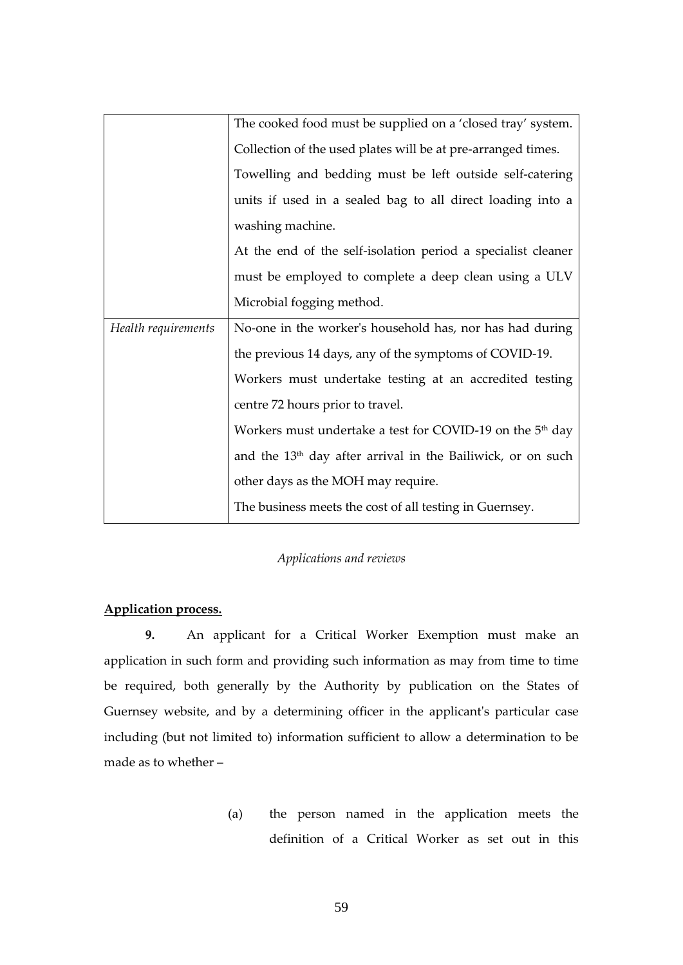|                     | The cooked food must be supplied on a 'closed tray' system.             |
|---------------------|-------------------------------------------------------------------------|
|                     | Collection of the used plates will be at pre-arranged times.            |
|                     | Towelling and bedding must be left outside self-catering                |
|                     | units if used in a sealed bag to all direct loading into a              |
|                     | washing machine.                                                        |
|                     | At the end of the self-isolation period a specialist cleaner            |
|                     | must be employed to complete a deep clean using a ULV                   |
|                     | Microbial fogging method.                                               |
| Health requirements | No-one in the worker's household has, nor has had during                |
|                     | the previous 14 days, any of the symptoms of COVID-19.                  |
|                     | Workers must undertake testing at an accredited testing                 |
|                     | centre 72 hours prior to travel.                                        |
|                     | Workers must undertake a test for COVID-19 on the 5 <sup>th</sup> day   |
|                     | and the 13 <sup>th</sup> day after arrival in the Bailiwick, or on such |
|                     | other days as the MOH may require.                                      |
|                     | The business meets the cost of all testing in Guernsey.                 |

# *Applications and reviews*

# **Application process.**

**9.** An applicant for a Critical Worker Exemption must make an application in such form and providing such information as may from time to time be required, both generally by the Authority by publication on the States of Guernsey website, and by a determining officer in the applicant's particular case including (but not limited to) information sufficient to allow a determination to be made as to whether –

> (a) the person named in the application meets the definition of a Critical Worker as set out in this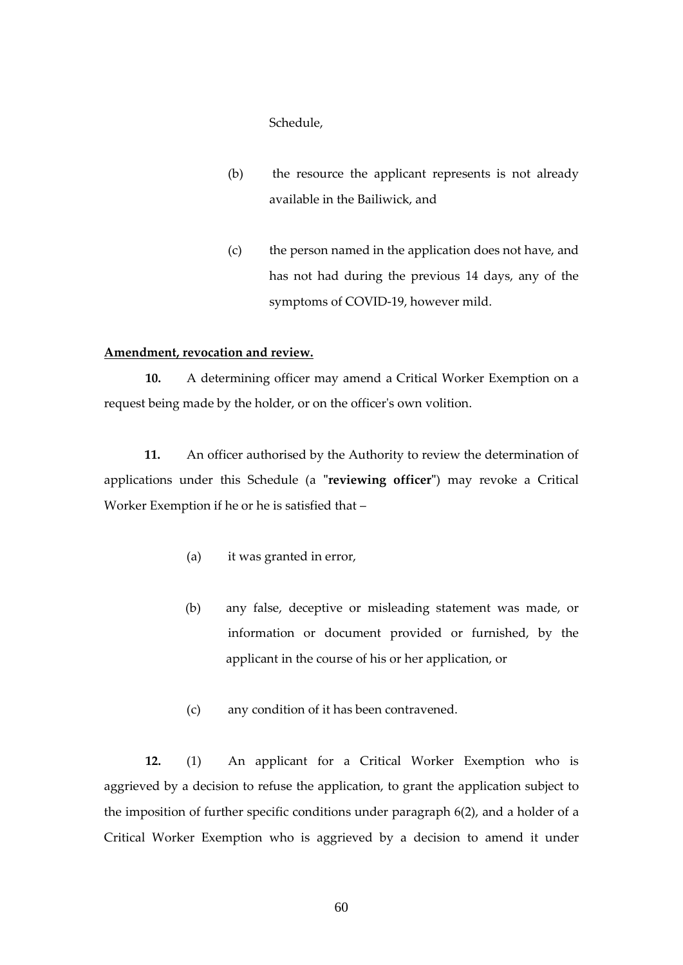Schedule,

- (b) the resource the applicant represents is not already available in the Bailiwick, and
- (c) the person named in the application does not have, and has not had during the previous 14 days, any of the symptoms of COVID-19, however mild.

## **Amendment, revocation and review.**

**10.** A determining officer may amend a Critical Worker Exemption on a request being made by the holder, or on the officer's own volition.

**11.** An officer authorised by the Authority to review the determination of applications under this Schedule (a **"reviewing officer"**) may revoke a Critical Worker Exemption if he or he is satisfied that –

- (a) it was granted in error,
- (b) any false, deceptive or misleading statement was made, or information or document provided or furnished, by the applicant in the course of his or her application, or
- (c) any condition of it has been contravened.

**12.** (1) An applicant for a Critical Worker Exemption who is aggrieved by a decision to refuse the application, to grant the application subject to the imposition of further specific conditions under paragraph 6(2), and a holder of a Critical Worker Exemption who is aggrieved by a decision to amend it under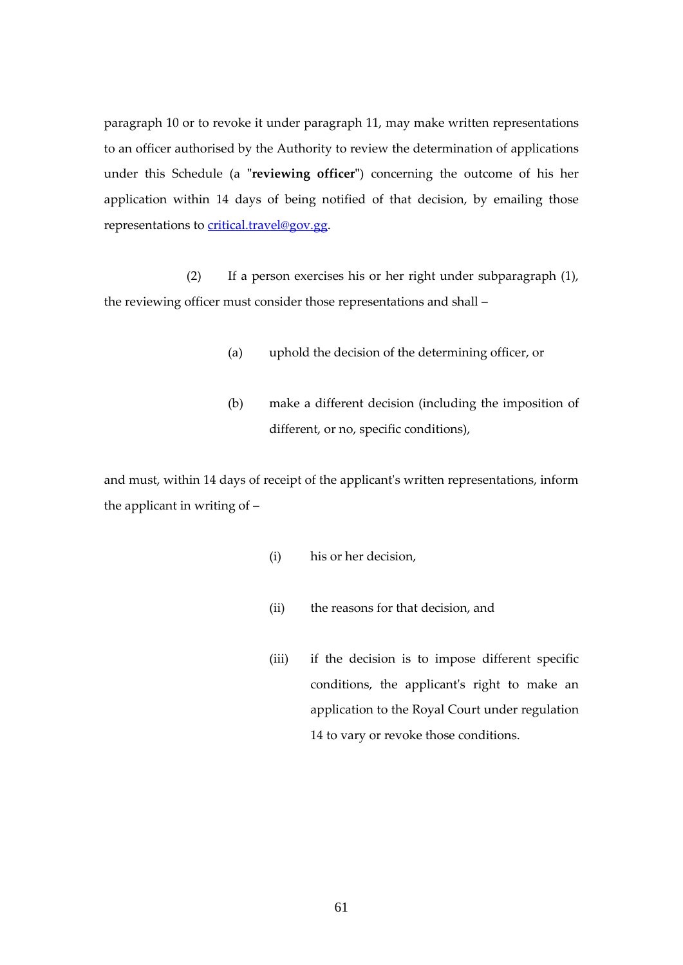paragraph 10 or to revoke it under paragraph 11, may make written representations to an officer authorised by the Authority to review the determination of applications under this Schedule (a **"reviewing officer"**) concerning the outcome of his her application within 14 days of being notified of that decision, by emailing those representations to [critical.travel@gov.gg.](mailto:critical.travel@gov.gg)

(2) If a person exercises his or her right under subparagraph (1), the reviewing officer must consider those representations and shall –

- (a) uphold the decision of the determining officer, or
- (b) make a different decision (including the imposition of different, or no, specific conditions),

and must, within 14 days of receipt of the applicant's written representations, inform the applicant in writing of –

- (i) his or her decision,
- (ii) the reasons for that decision, and
- (iii) if the decision is to impose different specific conditions, the applicant's right to make an application to the Royal Court under regulation 14 to vary or revoke those conditions.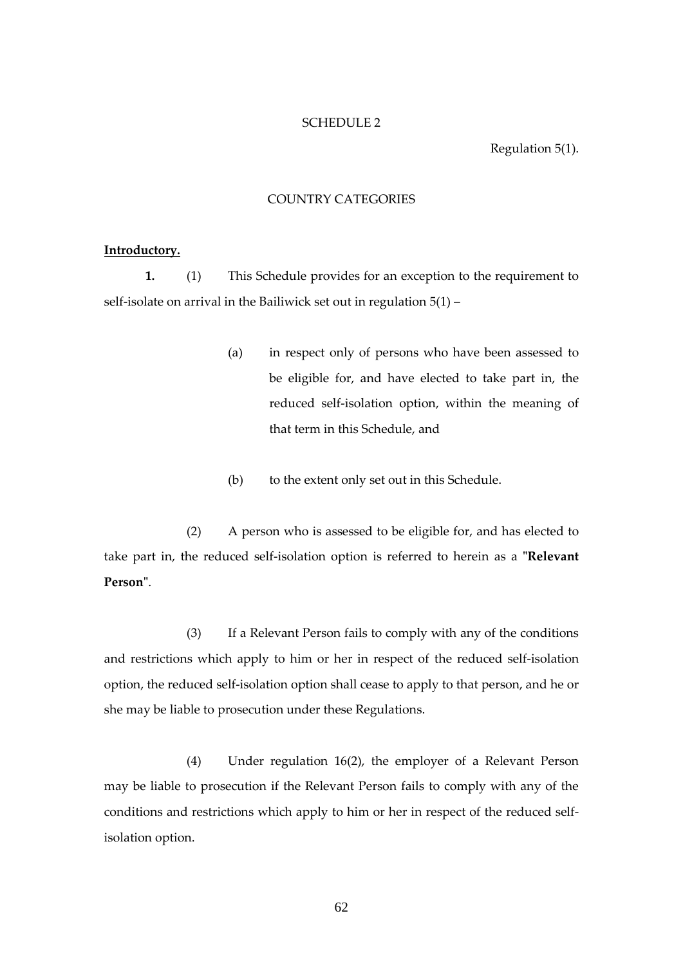#### SCHEDULE 2

Regulation 5(1).

# COUNTRY CATEGORIES

#### <span id="page-61-0"></span>**Introductory.**

**1.** (1) This Schedule provides for an exception to the requirement to self-isolate on arrival in the Bailiwick set out in regulation 5(1) –

- (a) in respect only of persons who have been assessed to be eligible for, and have elected to take part in, the reduced self-isolation option, within the meaning of that term in this Schedule, and
- (b) to the extent only set out in this Schedule.

(2) A person who is assessed to be eligible for, and has elected to take part in, the reduced self-isolation option is referred to herein as a **"Relevant Person"**.

(3) If a Relevant Person fails to comply with any of the conditions and restrictions which apply to him or her in respect of the reduced self-isolation option, the reduced self-isolation option shall cease to apply to that person, and he or she may be liable to prosecution under these Regulations.

(4) Under regulation 16(2), the employer of a Relevant Person may be liable to prosecution if the Relevant Person fails to comply with any of the conditions and restrictions which apply to him or her in respect of the reduced selfisolation option.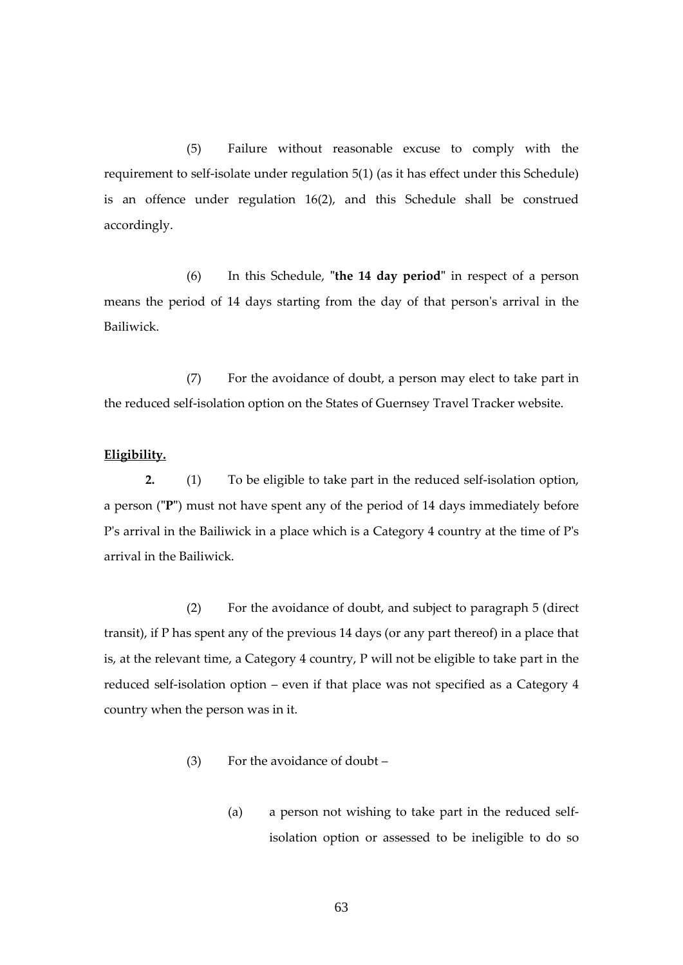(5) Failure without reasonable excuse to comply with the requirement to self-isolate under regulation 5(1) (as it has effect under this Schedule) is an offence under regulation 16(2), and this Schedule shall be construed accordingly.

(6) In this Schedule, **"the 14 day period"** in respect of a person means the period of 14 days starting from the day of that person's arrival in the Bailiwick.

(7) For the avoidance of doubt, a person may elect to take part in the reduced self-isolation option on the States of Guernsey Travel Tracker website.

### **Eligibility.**

**2.** (1) To be eligible to take part in the reduced self-isolation option, a person (**"P"**) must not have spent any of the period of 14 days immediately before P's arrival in the Bailiwick in a place which is a Category 4 country at the time of P's arrival in the Bailiwick.

(2) For the avoidance of doubt, and subject to paragraph 5 (direct transit), if P has spent any of the previous 14 days (or any part thereof) in a place that is, at the relevant time, a Category 4 country, P will not be eligible to take part in the reduced self-isolation option – even if that place was not specified as a Category 4 country when the person was in it.

- (3) For the avoidance of doubt
	- (a) a person not wishing to take part in the reduced selfisolation option or assessed to be ineligible to do so
		- 63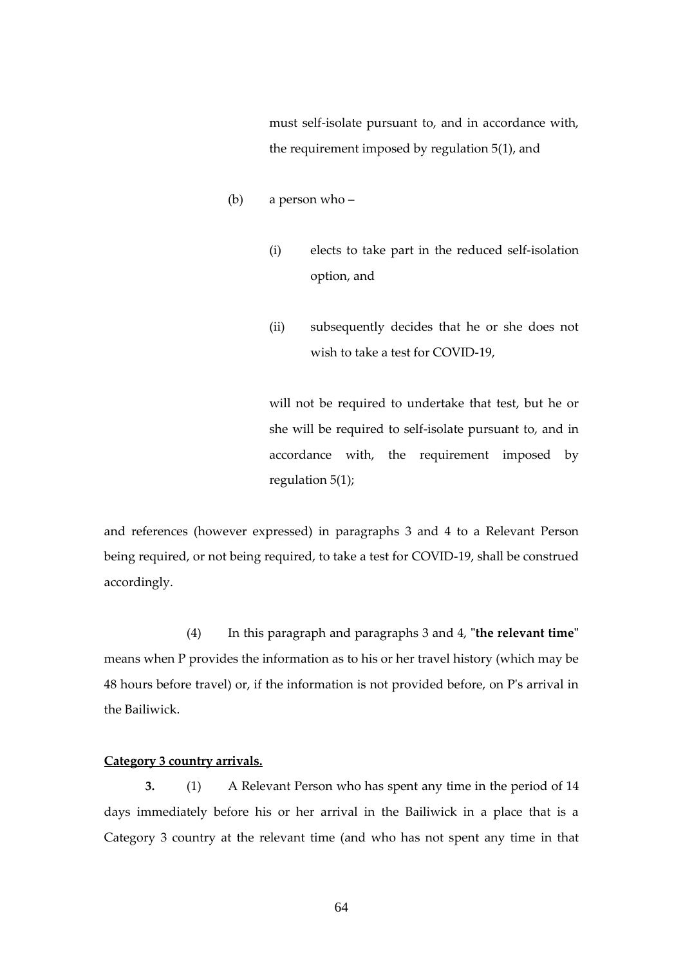must self-isolate pursuant to, and in accordance with, the requirement imposed by regulation 5(1), and

- (b) a person who
	- (i) elects to take part in the reduced self-isolation option, and
	- (ii) subsequently decides that he or she does not wish to take a test for COVID-19,

will not be required to undertake that test, but he or she will be required to self-isolate pursuant to, and in accordance with, the requirement imposed by regulation 5(1);

and references (however expressed) in paragraphs 3 and 4 to a Relevant Person being required, or not being required, to take a test for COVID-19, shall be construed accordingly.

(4) In this paragraph and paragraphs 3 and 4, **"the relevant time"** means when P provides the information as to his or her travel history (which may be 48 hours before travel) or, if the information is not provided before, on P's arrival in the Bailiwick.

# **Category 3 country arrivals.**

**3.** (1) A Relevant Person who has spent any time in the period of 14 days immediately before his or her arrival in the Bailiwick in a place that is a Category 3 country at the relevant time (and who has not spent any time in that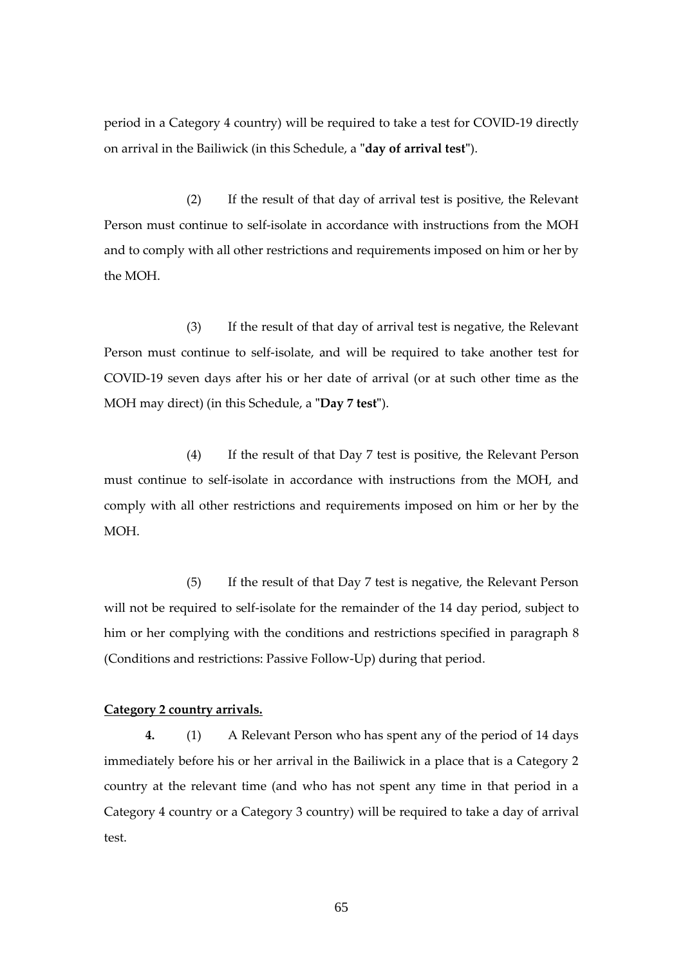period in a Category 4 country) will be required to take a test for COVID-19 directly on arrival in the Bailiwick (in this Schedule, a **"day of arrival test"**).

(2) If the result of that day of arrival test is positive, the Relevant Person must continue to self-isolate in accordance with instructions from the MOH and to comply with all other restrictions and requirements imposed on him or her by the MOH.

(3) If the result of that day of arrival test is negative, the Relevant Person must continue to self-isolate, and will be required to take another test for COVID-19 seven days after his or her date of arrival (or at such other time as the MOH may direct) (in this Schedule, a **"Day 7 test"**).

(4) If the result of that Day 7 test is positive, the Relevant Person must continue to self-isolate in accordance with instructions from the MOH, and comply with all other restrictions and requirements imposed on him or her by the MOH.

(5) If the result of that Day 7 test is negative, the Relevant Person will not be required to self-isolate for the remainder of the 14 day period, subject to him or her complying with the conditions and restrictions specified in paragraph 8 (Conditions and restrictions: Passive Follow-Up) during that period.

# **Category 2 country arrivals.**

**4.** (1) A Relevant Person who has spent any of the period of 14 days immediately before his or her arrival in the Bailiwick in a place that is a Category 2 country at the relevant time (and who has not spent any time in that period in a Category 4 country or a Category 3 country) will be required to take a day of arrival test.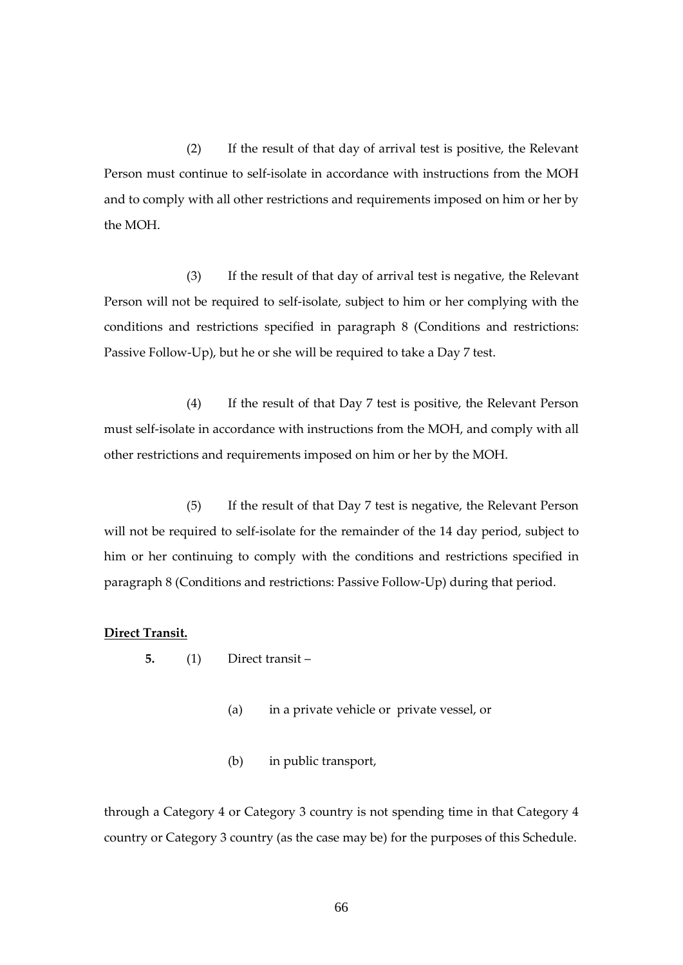(2) If the result of that day of arrival test is positive, the Relevant Person must continue to self-isolate in accordance with instructions from the MOH and to comply with all other restrictions and requirements imposed on him or her by the MOH.

(3) If the result of that day of arrival test is negative, the Relevant Person will not be required to self-isolate, subject to him or her complying with the conditions and restrictions specified in paragraph 8 (Conditions and restrictions: Passive Follow-Up), but he or she will be required to take a Day 7 test.

(4) If the result of that Day 7 test is positive, the Relevant Person must self-isolate in accordance with instructions from the MOH, and comply with all other restrictions and requirements imposed on him or her by the MOH.

(5) If the result of that Day 7 test is negative, the Relevant Person will not be required to self-isolate for the remainder of the 14 day period, subject to him or her continuing to comply with the conditions and restrictions specified in paragraph 8 (Conditions and restrictions: Passive Follow-Up) during that period.

## **Direct Transit.**

- **5.** (1) Direct transit
	- (a) in a private vehicle or private vessel, or
	- (b) in public transport,

through a Category 4 or Category 3 country is not spending time in that Category 4 country or Category 3 country (as the case may be) for the purposes of this Schedule.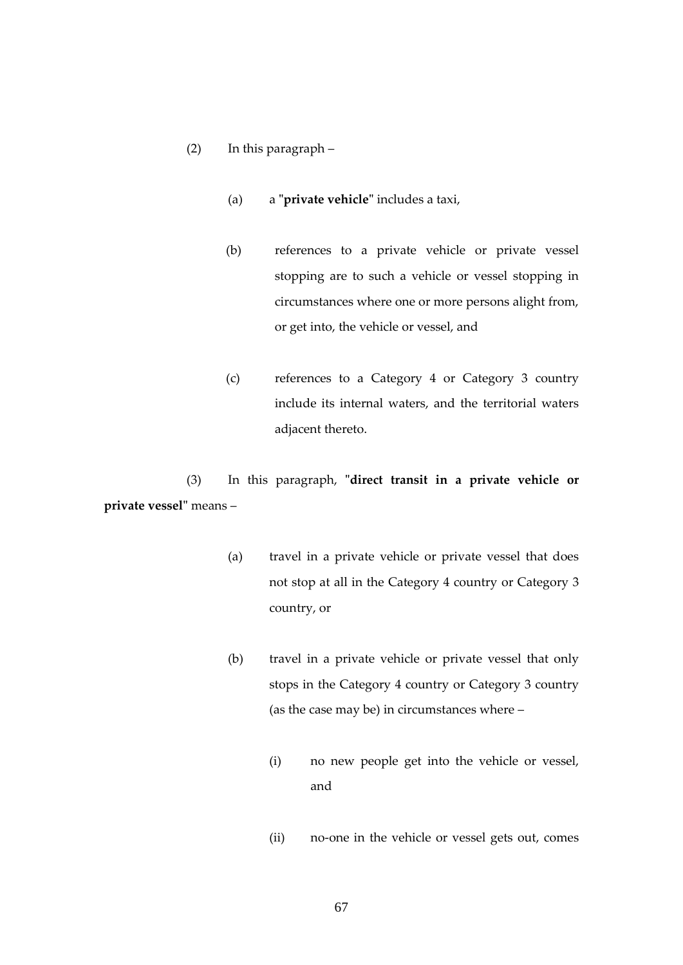# (2) In this paragraph –

- (a) a **"private vehicle"** includes a taxi,
- (b) references to a private vehicle or private vessel stopping are to such a vehicle or vessel stopping in circumstances where one or more persons alight from, or get into, the vehicle or vessel, and
- (c) references to a Category 4 or Category 3 country include its internal waters, and the territorial waters adjacent thereto.

(3) In this paragraph, **"direct transit in a private vehicle or private vessel"** means –

- (a) travel in a private vehicle or private vessel that does not stop at all in the Category 4 country or Category 3 country, or
- (b) travel in a private vehicle or private vessel that only stops in the Category 4 country or Category 3 country (as the case may be) in circumstances where –
	- (i) no new people get into the vehicle or vessel, and
	- (ii) no-one in the vehicle or vessel gets out, comes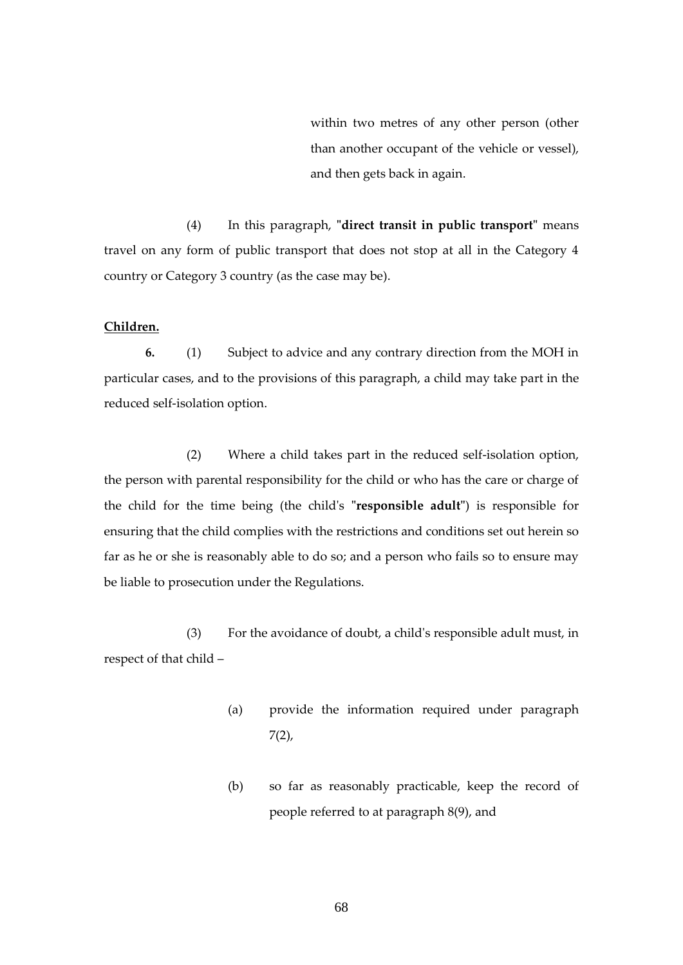within two metres of any other person (other than another occupant of the vehicle or vessel), and then gets back in again.

(4) In this paragraph, **"direct transit in public transport"** means travel on any form of public transport that does not stop at all in the Category 4 country or Category 3 country (as the case may be).

## **Children.**

**6.** (1) Subject to advice and any contrary direction from the MOH in particular cases, and to the provisions of this paragraph, a child may take part in the reduced self-isolation option.

(2) Where a child takes part in the reduced self-isolation option, the person with parental responsibility for the child or who has the care or charge of the child for the time being (the child's **"responsible adult"**) is responsible for ensuring that the child complies with the restrictions and conditions set out herein so far as he or she is reasonably able to do so; and a person who fails so to ensure may be liable to prosecution under the Regulations.

(3) For the avoidance of doubt, a child's responsible adult must, in respect of that child –

- (a) provide the information required under paragraph  $7(2)$ ,
- (b) so far as reasonably practicable, keep the record of people referred to at paragraph 8(9), and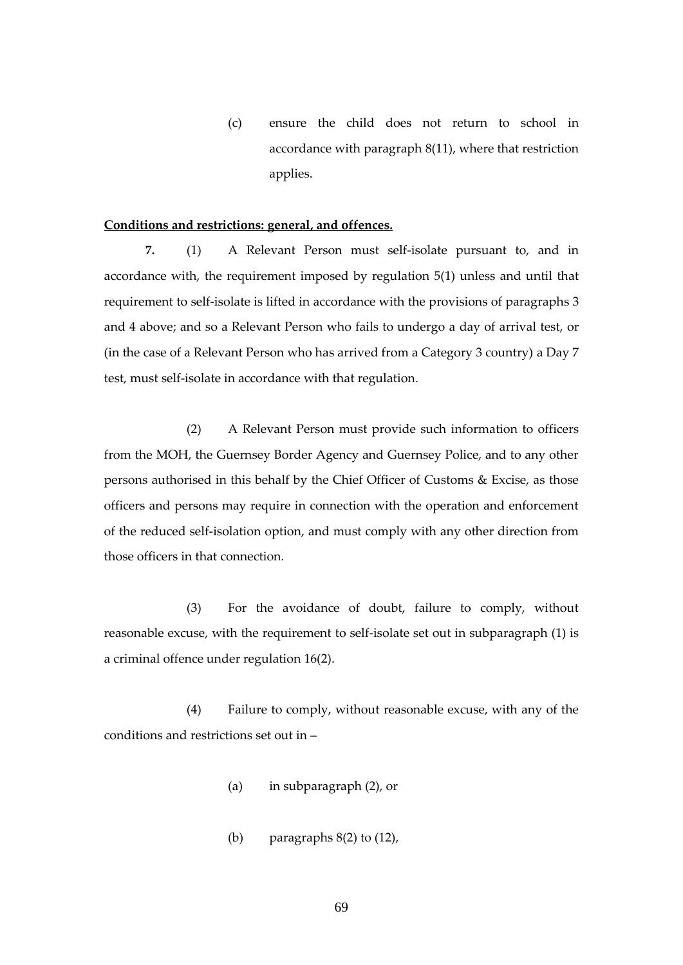(c) ensure the child does not return to school in accordance with paragraph 8(11), where that restriction applies.

## **Conditions and restrictions: general, and offences.**

**7.** (1) A Relevant Person must self-isolate pursuant to, and in accordance with, the requirement imposed by regulation 5(1) unless and until that requirement to self-isolate is lifted in accordance with the provisions of paragraphs 3 and 4 above; and so a Relevant Person who fails to undergo a day of arrival test, or (in the case of a Relevant Person who has arrived from a Category 3 country) a Day 7 test, must self-isolate in accordance with that regulation.

(2) A Relevant Person must provide such information to officers from the MOH, the Guernsey Border Agency and Guernsey Police, and to any other persons authorised in this behalf by the Chief Officer of Customs & Excise, as those officers and persons may require in connection with the operation and enforcement of the reduced self-isolation option, and must comply with any other direction from those officers in that connection.

(3) For the avoidance of doubt, failure to comply, without reasonable excuse, with the requirement to self-isolate set out in subparagraph (1) is a criminal offence under regulation 16(2).

(4) Failure to comply, without reasonable excuse, with any of the conditions and restrictions set out in –

- (a) in subparagraph (2), or
- (b) paragraphs  $8(2)$  to  $(12)$ ,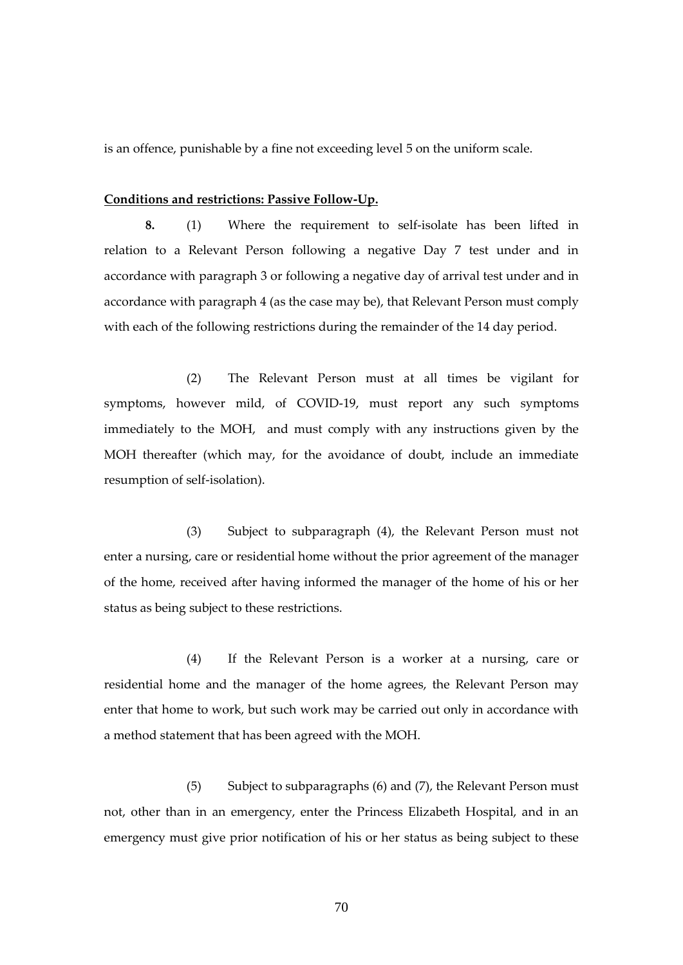is an offence, punishable by a fine not exceeding level 5 on the uniform scale.

#### **Conditions and restrictions: Passive Follow-Up.**

**8.** (1) Where the requirement to self-isolate has been lifted in relation to a Relevant Person following a negative Day 7 test under and in accordance with paragraph 3 or following a negative day of arrival test under and in accordance with paragraph 4 (as the case may be), that Relevant Person must comply with each of the following restrictions during the remainder of the 14 day period.

(2) The Relevant Person must at all times be vigilant for symptoms, however mild, of COVID-19, must report any such symptoms immediately to the MOH, and must comply with any instructions given by the MOH thereafter (which may, for the avoidance of doubt, include an immediate resumption of self-isolation).

(3) Subject to subparagraph (4), the Relevant Person must not enter a nursing, care or residential home without the prior agreement of the manager of the home, received after having informed the manager of the home of his or her status as being subject to these restrictions.

(4) If the Relevant Person is a worker at a nursing, care or residential home and the manager of the home agrees, the Relevant Person may enter that home to work, but such work may be carried out only in accordance with a method statement that has been agreed with the MOH.

(5) Subject to subparagraphs (6) and (7), the Relevant Person must not, other than in an emergency, enter the Princess Elizabeth Hospital, and in an emergency must give prior notification of his or her status as being subject to these

70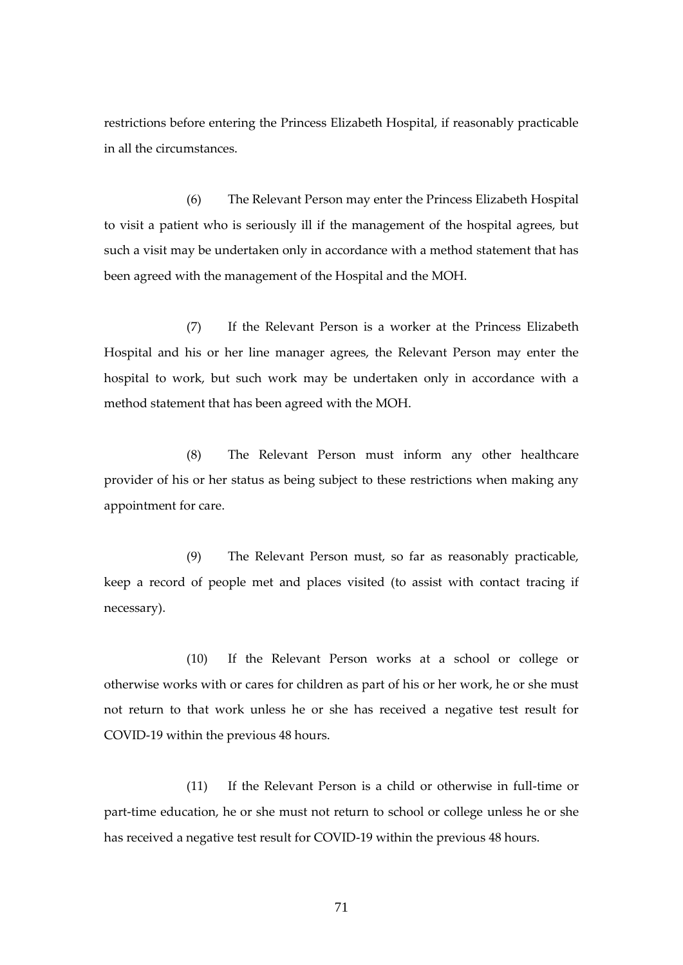restrictions before entering the Princess Elizabeth Hospital, if reasonably practicable in all the circumstances.

(6) The Relevant Person may enter the Princess Elizabeth Hospital to visit a patient who is seriously ill if the management of the hospital agrees, but such a visit may be undertaken only in accordance with a method statement that has been agreed with the management of the Hospital and the MOH.

(7) If the Relevant Person is a worker at the Princess Elizabeth Hospital and his or her line manager agrees, the Relevant Person may enter the hospital to work, but such work may be undertaken only in accordance with a method statement that has been agreed with the MOH.

(8) The Relevant Person must inform any other healthcare provider of his or her status as being subject to these restrictions when making any appointment for care.

(9) The Relevant Person must, so far as reasonably practicable, keep a record of people met and places visited (to assist with contact tracing if necessary).

(10) If the Relevant Person works at a school or college or otherwise works with or cares for children as part of his or her work, he or she must not return to that work unless he or she has received a negative test result for COVID-19 within the previous 48 hours.

(11) If the Relevant Person is a child or otherwise in full-time or part-time education, he or she must not return to school or college unless he or she has received a negative test result for COVID-19 within the previous 48 hours.

71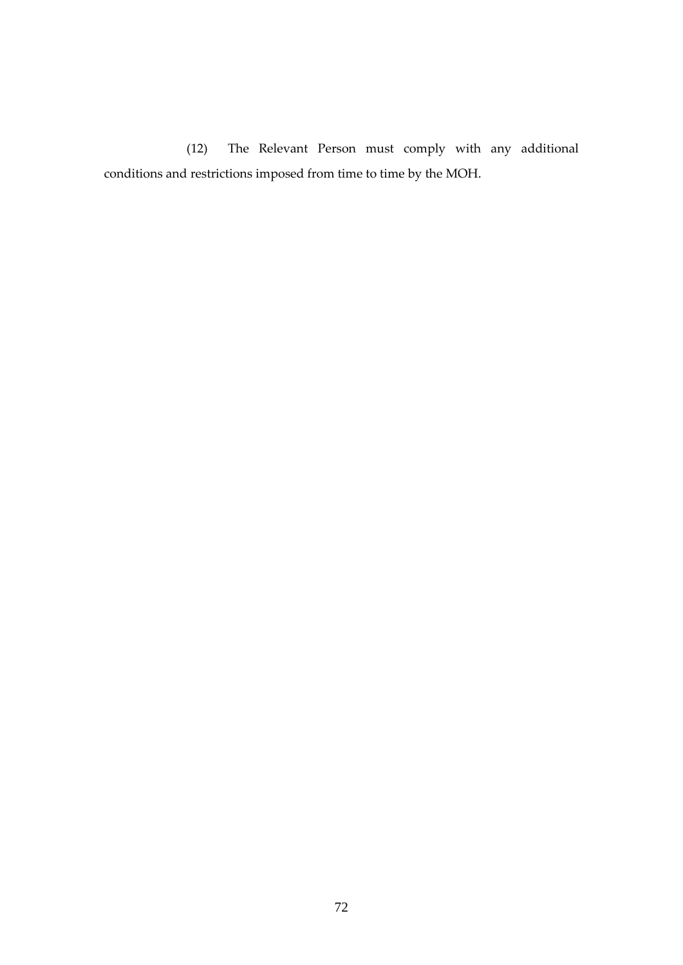(12) The Relevant Person must comply with any additional conditions and restrictions imposed from time to time by the MOH.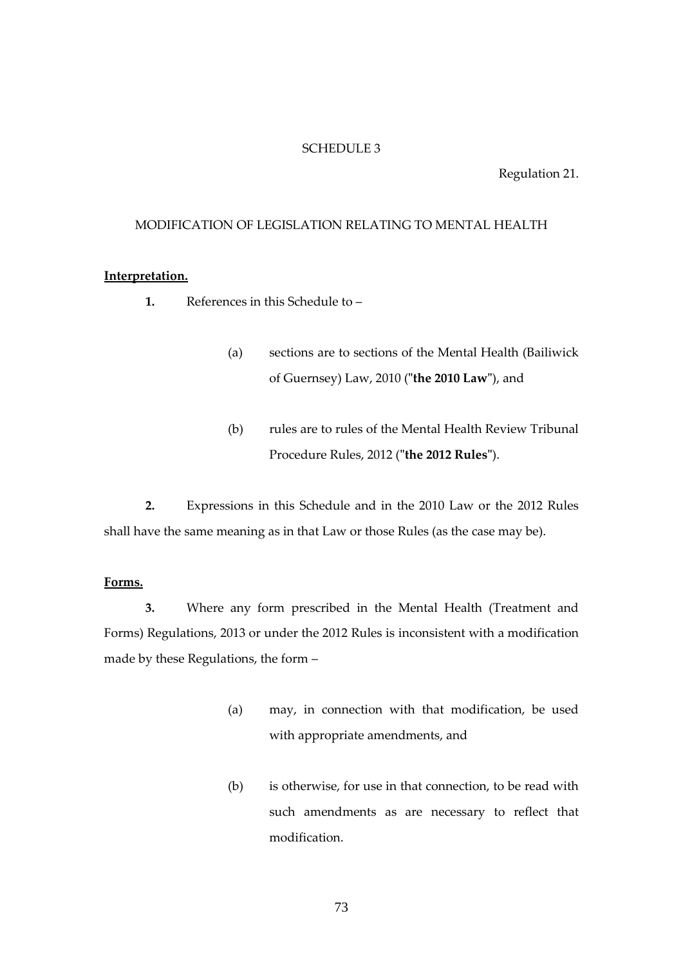### SCHEDULE 3

#### Regulation 21.

#### MODIFICATION OF LEGISLATION RELATING TO MENTAL HEALTH

### **Interpretation.**

- **1.** References in this Schedule to
	- (a) sections are to sections of the Mental Health (Bailiwick of Guernsey) Law, 2010 (**"the 2010 Law"**), and
	- (b) rules are to rules of the Mental Health Review Tribunal Procedure Rules, 2012 (**"the 2012 Rules"**).

**2.** Expressions in this Schedule and in the 2010 Law or the 2012 Rules shall have the same meaning as in that Law or those Rules (as the case may be).

#### **Forms.**

**3.** Where any form prescribed in the Mental Health (Treatment and Forms) Regulations, 2013 or under the 2012 Rules is inconsistent with a modification made by these Regulations, the form –

- (a) may, in connection with that modification, be used with appropriate amendments, and
- (b) is otherwise, for use in that connection, to be read with such amendments as are necessary to reflect that modification.

73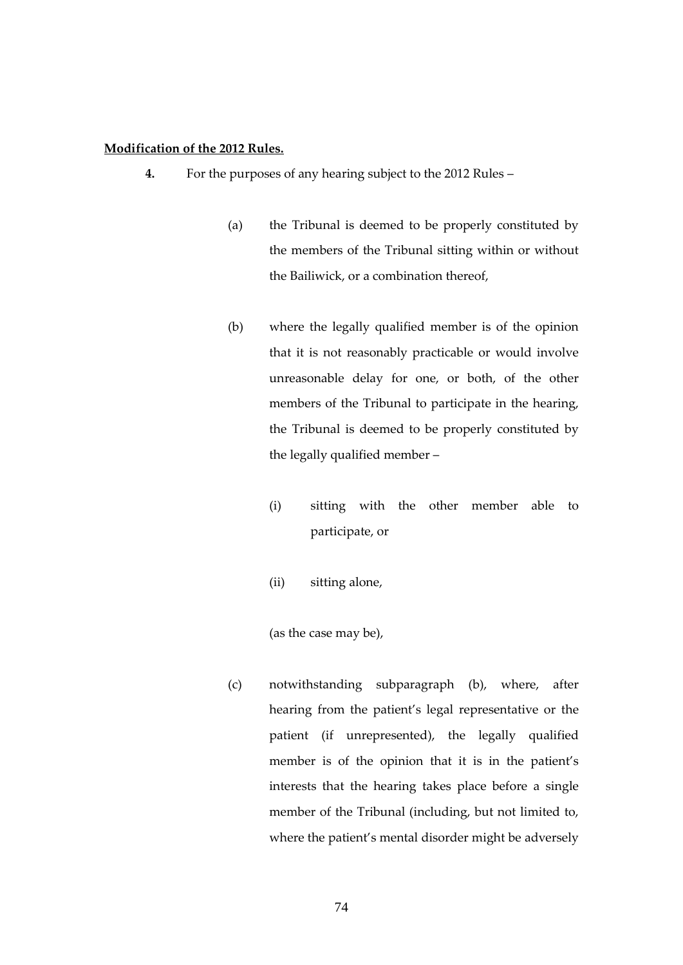#### **Modification of the 2012 Rules.**

- **4.** For the purposes of any hearing subject to the 2012 Rules
	- (a) the Tribunal is deemed to be properly constituted by the members of the Tribunal sitting within or without the Bailiwick, or a combination thereof,
	- (b) where the legally qualified member is of the opinion that it is not reasonably practicable or would involve unreasonable delay for one, or both, of the other members of the Tribunal to participate in the hearing, the Tribunal is deemed to be properly constituted by the legally qualified member –
		- (i) sitting with the other member able to participate, or
		- (ii) sitting alone,

(as the case may be),

(c) notwithstanding subparagraph (b), where, after hearing from the patient's legal representative or the patient (if unrepresented), the legally qualified member is of the opinion that it is in the patient's interests that the hearing takes place before a single member of the Tribunal (including, but not limited to, where the patient's mental disorder might be adversely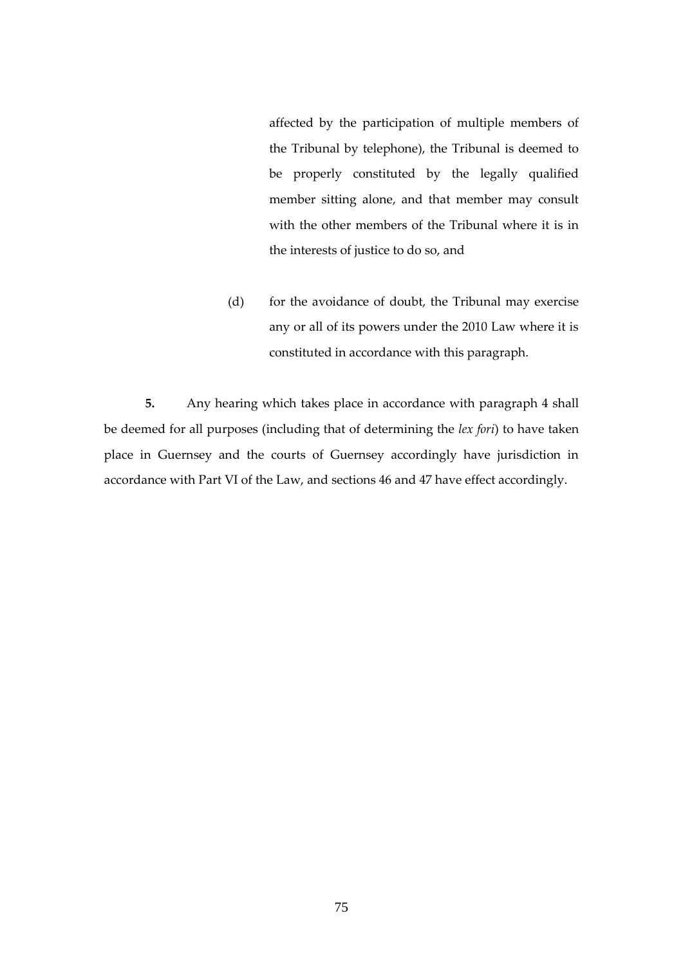affected by the participation of multiple members of the Tribunal by telephone), the Tribunal is deemed to be properly constituted by the legally qualified member sitting alone, and that member may consult with the other members of the Tribunal where it is in the interests of justice to do so, and

(d) for the avoidance of doubt, the Tribunal may exercise any or all of its powers under the 2010 Law where it is constituted in accordance with this paragraph.

**5.** Any hearing which takes place in accordance with paragraph 4 shall be deemed for all purposes (including that of determining the *lex fori*) to have taken place in Guernsey and the courts of Guernsey accordingly have jurisdiction in accordance with Part VI of the Law, and sections 46 and 47 have effect accordingly.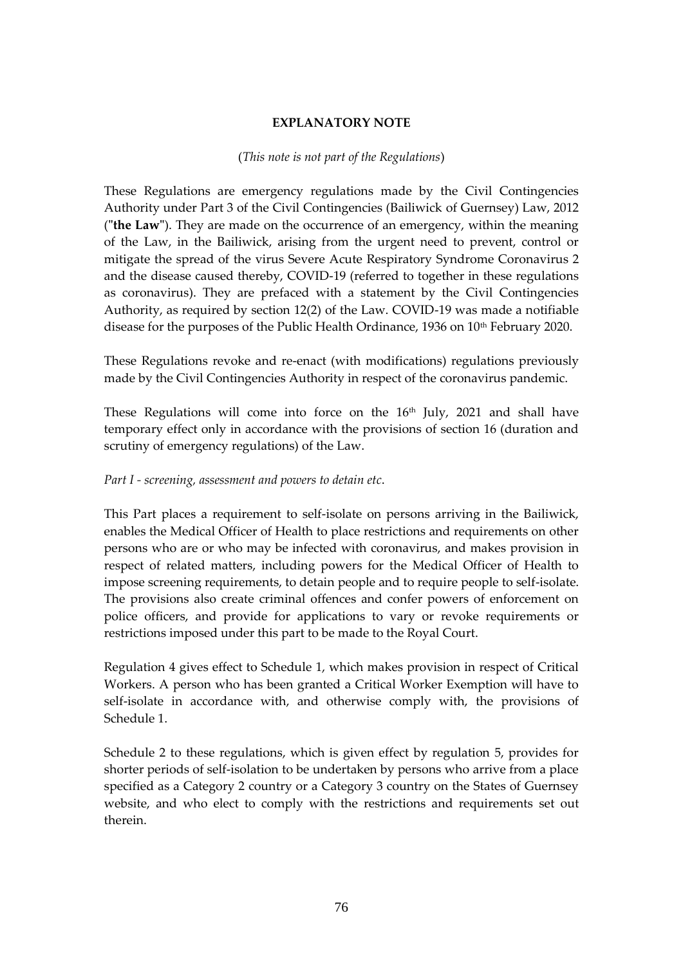# **EXPLANATORY NOTE**

### (*This note is not part of the Regulations*)

These Regulations are emergency regulations made by the Civil Contingencies Authority under Part 3 of the Civil Contingencies (Bailiwick of Guernsey) Law, 2012 (**"the Law"**). They are made on the occurrence of an emergency, within the meaning of the Law, in the Bailiwick, arising from the urgent need to prevent, control or mitigate the spread of the virus Severe Acute Respiratory Syndrome Coronavirus 2 and the disease caused thereby, COVID-19 (referred to together in these regulations as coronavirus). They are prefaced with a statement by the Civil Contingencies Authority, as required by section 12(2) of the Law. COVID-19 was made a notifiable disease for the purposes of the Public Health Ordinance, 1936 on 10<sup>th</sup> February 2020.

These Regulations revoke and re-enact (with modifications) regulations previously made by the Civil Contingencies Authority in respect of the coronavirus pandemic.

These Regulations will come into force on the  $16<sup>th</sup>$  July, 2021 and shall have temporary effect only in accordance with the provisions of section 16 (duration and scrutiny of emergency regulations) of the Law.

# *Part I - screening, assessment and powers to detain etc*.

This Part places a requirement to self-isolate on persons arriving in the Bailiwick, enables the Medical Officer of Health to place restrictions and requirements on other persons who are or who may be infected with coronavirus, and makes provision in respect of related matters, including powers for the Medical Officer of Health to impose screening requirements, to detain people and to require people to self-isolate. The provisions also create criminal offences and confer powers of enforcement on police officers, and provide for applications to vary or revoke requirements or restrictions imposed under this part to be made to the Royal Court.

Regulation 4 gives effect to Schedule 1, which makes provision in respect of Critical Workers. A person who has been granted a Critical Worker Exemption will have to self-isolate in accordance with, and otherwise comply with, the provisions of Schedule 1.

Schedule 2 to these regulations, which is given effect by regulation 5, provides for shorter periods of self-isolation to be undertaken by persons who arrive from a place specified as a Category 2 country or a Category 3 country on the States of Guernsey website, and who elect to comply with the restrictions and requirements set out therein.